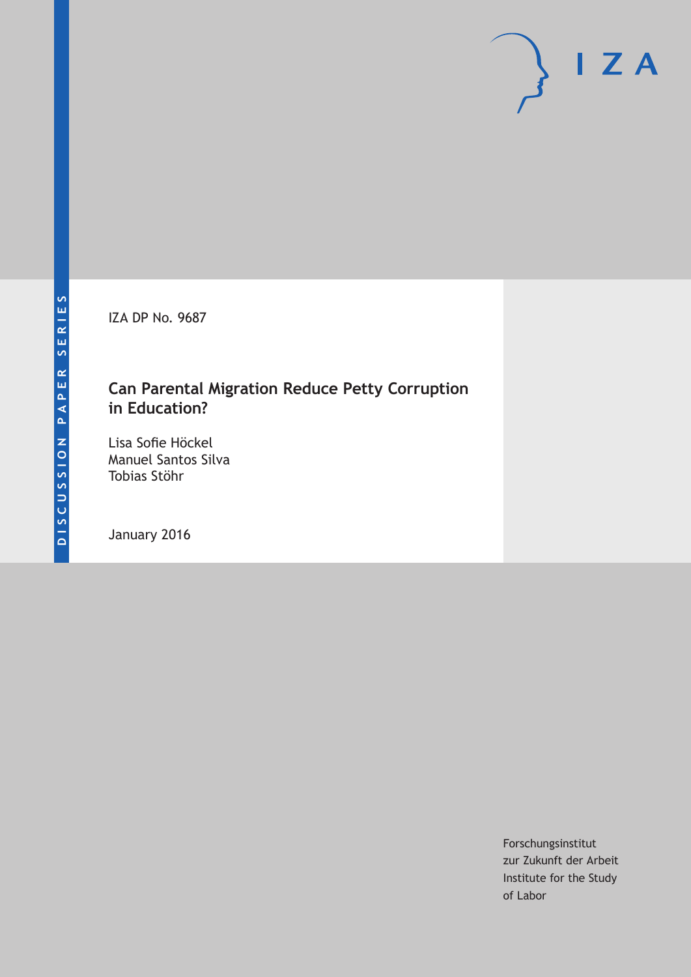IZA DP No. 9687

## **Can Parental Migration Reduce Petty Corruption in Education?**

Lisa Sofie Höckel Manuel Santos Silva Tobias Stöhr

January 2016

Forschungsinstitut zur Zukunft der Arbeit Institute for the Study of Labor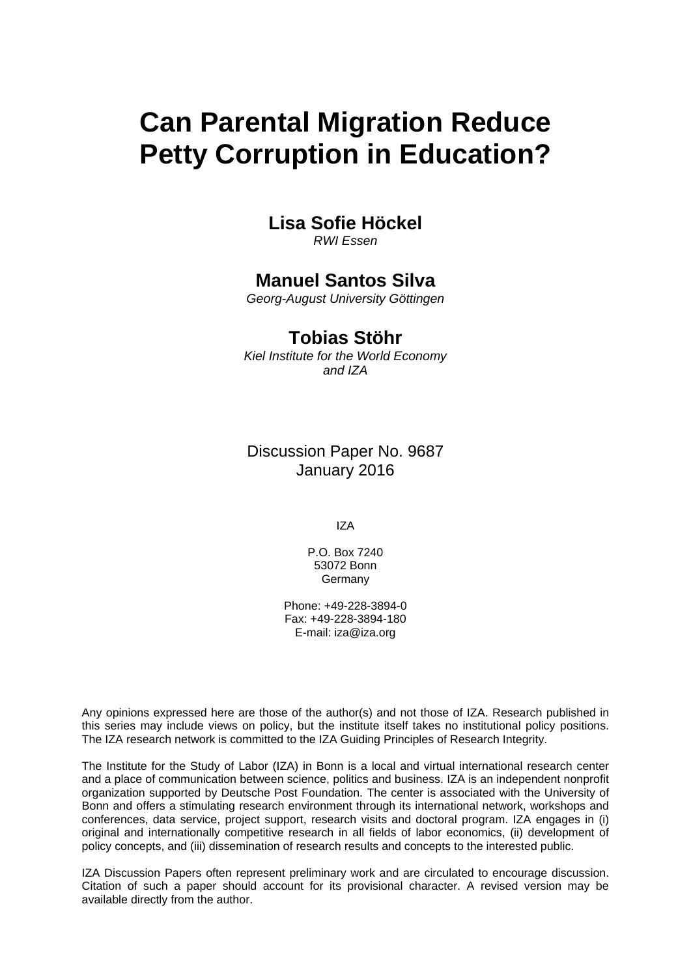# **Can Parental Migration Reduce Petty Corruption in Education?**

## **Lisa Sofie Höckel**

*RWI Essen* 

## **Manuel Santos Silva**

*Georg-August University Göttingen* 

## **Tobias Stöhr**

*Kiel Institute for the World Economy and IZA*

Discussion Paper No. 9687 January 2016

IZA

P.O. Box 7240 53072 Bonn Germany

Phone: +49-228-3894-0 Fax: +49-228-3894-180 E-mail: iza@iza.org

Any opinions expressed here are those of the author(s) and not those of IZA. Research published in this series may include views on policy, but the institute itself takes no institutional policy positions. The IZA research network is committed to the IZA Guiding Principles of Research Integrity.

The Institute for the Study of Labor (IZA) in Bonn is a local and virtual international research center and a place of communication between science, politics and business. IZA is an independent nonprofit organization supported by Deutsche Post Foundation. The center is associated with the University of Bonn and offers a stimulating research environment through its international network, workshops and conferences, data service, project support, research visits and doctoral program. IZA engages in (i) original and internationally competitive research in all fields of labor economics, (ii) development of policy concepts, and (iii) dissemination of research results and concepts to the interested public.

IZA Discussion Papers often represent preliminary work and are circulated to encourage discussion. Citation of such a paper should account for its provisional character. A revised version may be available directly from the author.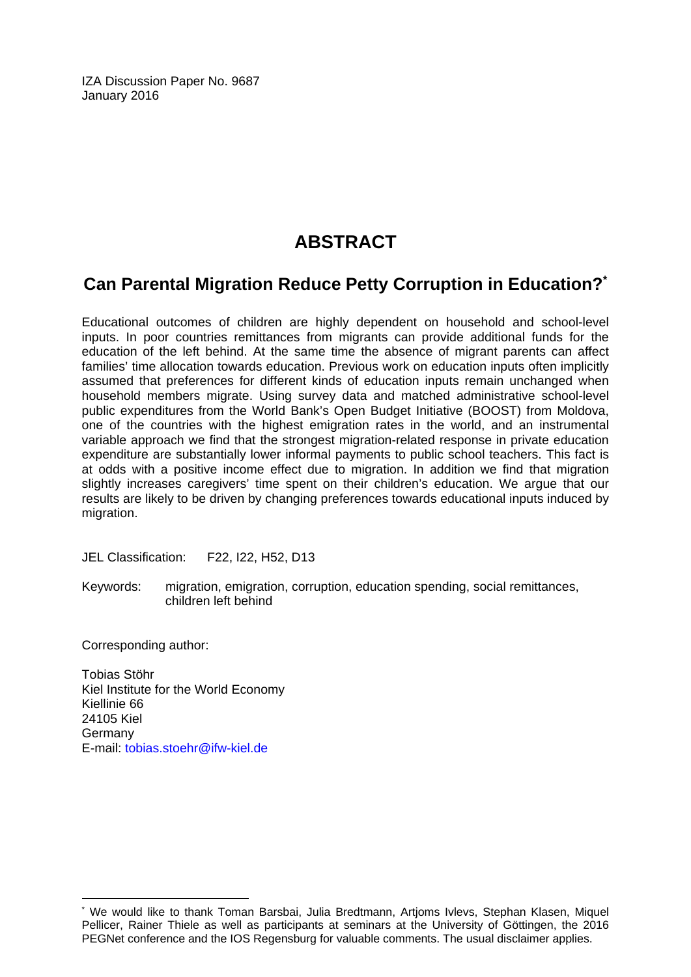IZA Discussion Paper No. 9687 January 2016

## **ABSTRACT**

## **Can Parental Migration Reduce Petty Corruption in Education?\***

Educational outcomes of children are highly dependent on household and school-level inputs. In poor countries remittances from migrants can provide additional funds for the education of the left behind. At the same time the absence of migrant parents can affect families' time allocation towards education. Previous work on education inputs often implicitly assumed that preferences for different kinds of education inputs remain unchanged when household members migrate. Using survey data and matched administrative school-level public expenditures from the World Bank's Open Budget Initiative (BOOST) from Moldova, one of the countries with the highest emigration rates in the world, and an instrumental variable approach we find that the strongest migration-related response in private education expenditure are substantially lower informal payments to public school teachers. This fact is at odds with a positive income effect due to migration. In addition we find that migration slightly increases caregivers' time spent on their children's education. We argue that our results are likely to be driven by changing preferences towards educational inputs induced by migration.

JEL Classification: F22, I22, H52, D13

Keywords: migration, emigration, corruption, education spending, social remittances, children left behind

Corresponding author:

 $\overline{a}$ 

Tobias Stöhr Kiel Institute for the World Economy Kiellinie 66 24105 Kiel Germany E-mail: tobias.stoehr@ifw-kiel.de

<sup>\*</sup> We would like to thank Toman Barsbai, Julia Bredtmann, Artjoms Ivlevs, Stephan Klasen, Miquel Pellicer, Rainer Thiele as well as participants at seminars at the University of Göttingen, the 2016 PEGNet conference and the IOS Regensburg for valuable comments. The usual disclaimer applies.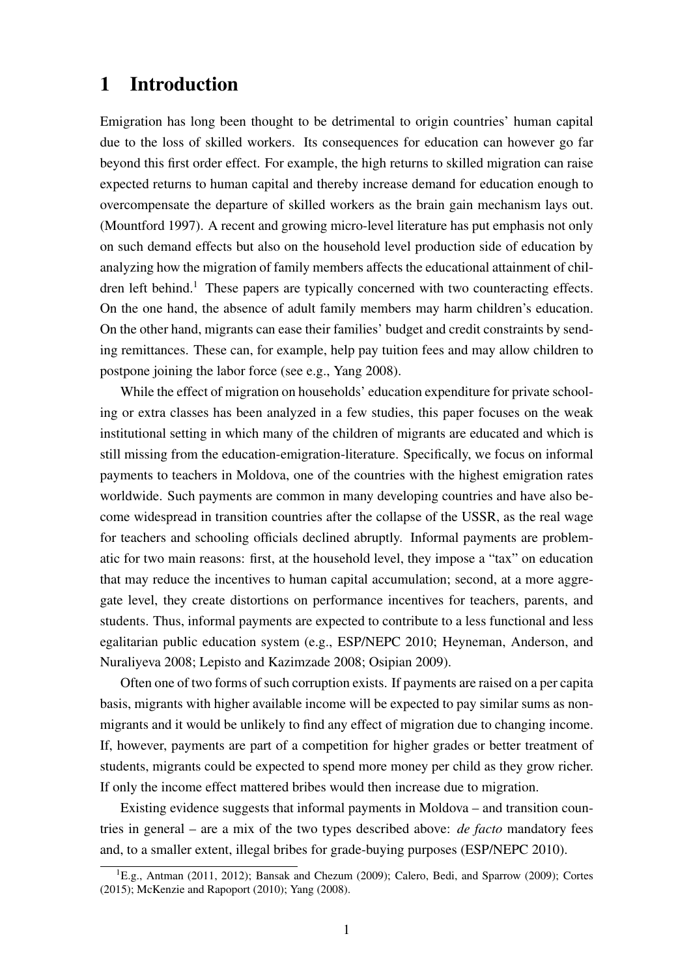## <span id="page-3-1"></span>1 Introduction

Emigration has long been thought to be detrimental to origin countries' human capital due to the loss of skilled workers. Its consequences for education can however go far beyond this first order effect. For example, the high returns to skilled migration can raise expected returns to human capital and thereby increase demand for education enough to overcompensate the departure of skilled workers as the brain gain mechanism lays out. (Mountford [1997\)](#page-25-0). A recent and growing micro-level literature has put emphasis not only on such demand effects but also on the household level production side of education by analyzing how the migration of family members affects the educational attainment of chil-dren left behind.<sup>[1](#page-3-0)</sup> These papers are typically concerned with two counteracting effects. On the one hand, the absence of adult family members may harm children's education. On the other hand, migrants can ease their families' budget and credit constraints by sending remittances. These can, for example, help pay tuition fees and may allow children to postpone joining the labor force (see e.g., Yang [2008\)](#page-26-0).

While the effect of migration on households' education expenditure for private schooling or extra classes has been analyzed in a few studies, this paper focuses on the weak institutional setting in which many of the children of migrants are educated and which is still missing from the education-emigration-literature. Specifically, we focus on informal payments to teachers in Moldova, one of the countries with the highest emigration rates worldwide. Such payments are common in many developing countries and have also become widespread in transition countries after the collapse of the USSR, as the real wage for teachers and schooling officials declined abruptly. Informal payments are problematic for two main reasons: first, at the household level, they impose a "tax" on education that may reduce the incentives to human capital accumulation; second, at a more aggregate level, they create distortions on performance incentives for teachers, parents, and students. Thus, informal payments are expected to contribute to a less functional and less egalitarian public education system (e.g., ESP/NEPC [2010;](#page-25-1) Heyneman, Anderson, and Nuraliyeva [2008;](#page-25-2) Lepisto and Kazimzade [2008;](#page-25-3) Osipian [2009\)](#page-26-1).

Often one of two forms of such corruption exists. If payments are raised on a per capita basis, migrants with higher available income will be expected to pay similar sums as nonmigrants and it would be unlikely to find any effect of migration due to changing income. If, however, payments are part of a competition for higher grades or better treatment of students, migrants could be expected to spend more money per child as they grow richer. If only the income effect mattered bribes would then increase due to migration.

Existing evidence suggests that informal payments in Moldova – and transition countries in general – are a mix of the two types described above: *de facto* mandatory fees and, to a smaller extent, illegal bribes for grade-buying purposes (ESP/NEPC [2010\)](#page-25-1).

<span id="page-3-0"></span><sup>&</sup>lt;sup>1</sup>E.g., Antman [\(2011,](#page-24-0) [2012\)](#page-24-1); Bansak and Chezum [\(2009\)](#page-24-3); Calero, Bedi, and Sparrow (2009); Cortes [\(2015\)](#page-24-4); McKenzie and Rapoport [\(2010\)](#page-25-4); Yang [\(2008\)](#page-26-0).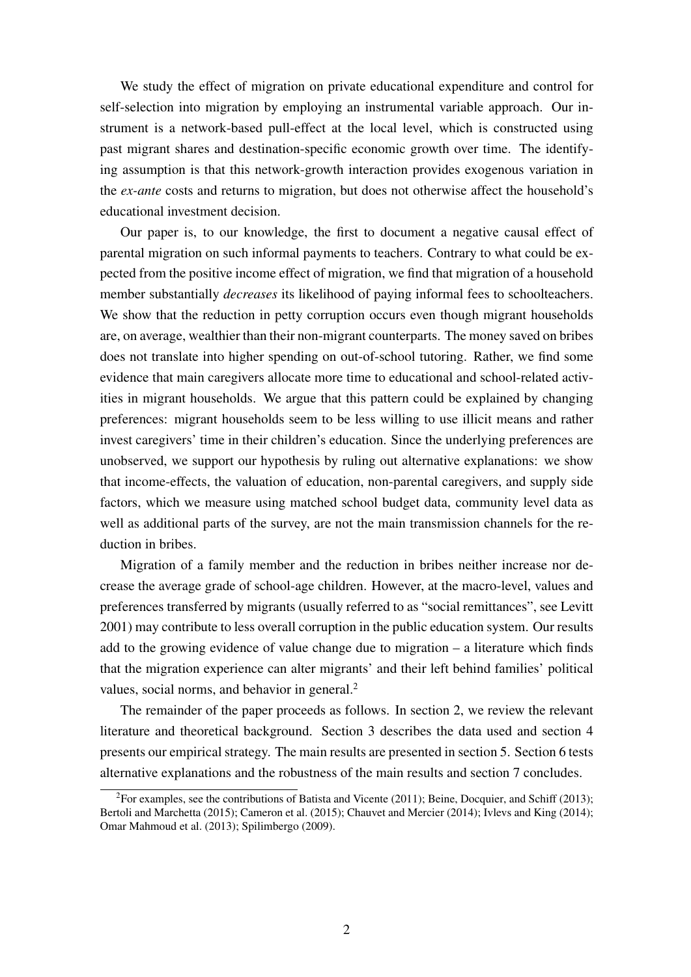We study the effect of migration on private educational expenditure and control for self-selection into migration by employing an instrumental variable approach. Our instrument is a network-based pull-effect at the local level, which is constructed using past migrant shares and destination-specific economic growth over time. The identifying assumption is that this network-growth interaction provides exogenous variation in the *ex-ante* costs and returns to migration, but does not otherwise affect the household's educational investment decision.

Our paper is, to our knowledge, the first to document a negative causal effect of parental migration on such informal payments to teachers. Contrary to what could be expected from the positive income effect of migration, we find that migration of a household member substantially *decreases* its likelihood of paying informal fees to schoolteachers. We show that the reduction in petty corruption occurs even though migrant households are, on average, wealthier than their non-migrant counterparts. The money saved on bribes does not translate into higher spending on out-of-school tutoring. Rather, we find some evidence that main caregivers allocate more time to educational and school-related activities in migrant households. We argue that this pattern could be explained by changing preferences: migrant households seem to be less willing to use illicit means and rather invest caregivers' time in their children's education. Since the underlying preferences are unobserved, we support our hypothesis by ruling out alternative explanations: we show that income-effects, the valuation of education, non-parental caregivers, and supply side factors, which we measure using matched school budget data, community level data as well as additional parts of the survey, are not the main transmission channels for the reduction in bribes.

Migration of a family member and the reduction in bribes neither increase nor decrease the average grade of school-age children. However, at the macro-level, values and preferences transferred by migrants (usually referred to as "social remittances", see Levitt [2001\)](#page-25-5) may contribute to less overall corruption in the public education system. Our results add to the growing evidence of value change due to migration – a literature which finds that the migration experience can alter migrants' and their left behind families' political values, social norms, and behavior in general.<sup>[2](#page-4-0)</sup>

The remainder of the paper proceeds as follows. In section [2,](#page-5-0) we review the relevant literature and theoretical background. Section [3](#page-11-0) describes the data used and section [4](#page-13-0) presents our empirical strategy. The main results are presented in section [5.](#page-15-0) Section [6](#page-18-0) tests alternative explanations and the robustness of the main results and section [7](#page-22-0) concludes.

<span id="page-4-0"></span><sup>&</sup>lt;sup>2</sup>For examples, see the contributions of Batista and Vicente [\(2011\)](#page-24-5); Beine, Docquier, and Schiff [\(2013\)](#page-24-6); Bertoli and Marchetta [\(2015\)](#page-24-7); Cameron et al. [\(2015\)](#page-24-8); Chauvet and Mercier [\(2014\)](#page-24-9); Ivlevs and King [\(2014\)](#page-25-6); Omar Mahmoud et al. [\(2013\)](#page-26-2); Spilimbergo [\(2009\)](#page-26-3).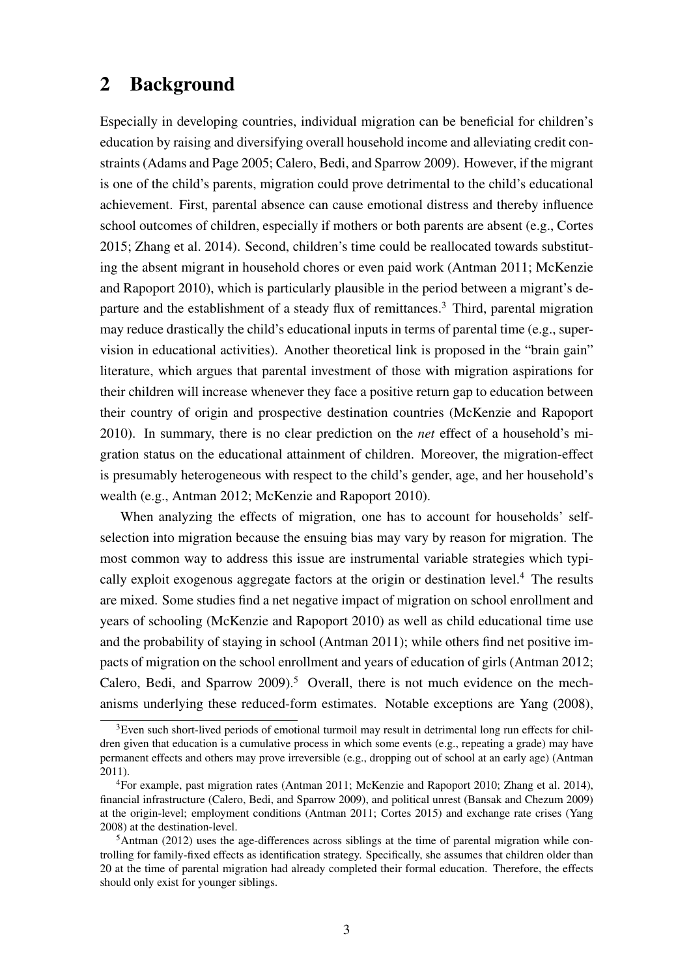## <span id="page-5-0"></span>2 Background

Especially in developing countries, individual migration can be beneficial for children's education by raising and diversifying overall household income and alleviating credit constraints (Adams and Page [2005;](#page-24-10) Calero, Bedi, and Sparrow [2009\)](#page-24-3). However, if the migrant is one of the child's parents, migration could prove detrimental to the child's educational achievement. First, parental absence can cause emotional distress and thereby influence school outcomes of children, especially if mothers or both parents are absent (e.g., Cortes [2015;](#page-24-4) Zhang et al. [2014\)](#page-26-4). Second, children's time could be reallocated towards substituting the absent migrant in household chores or even paid work (Antman [2011;](#page-24-0) McKenzie and Rapoport [2010\)](#page-25-4), which is particularly plausible in the period between a migrant's de-parture and the establishment of a steady flux of remittances.<sup>[3](#page-5-1)</sup> Third, parental migration may reduce drastically the child's educational inputs in terms of parental time (e.g., supervision in educational activities). Another theoretical link is proposed in the "brain gain" literature, which argues that parental investment of those with migration aspirations for their children will increase whenever they face a positive return gap to education between their country of origin and prospective destination countries (McKenzie and Rapoport [2010\)](#page-25-4). In summary, there is no clear prediction on the *net* effect of a household's migration status on the educational attainment of children. Moreover, the migration-effect is presumably heterogeneous with respect to the child's gender, age, and her household's wealth (e.g., Antman [2012;](#page-24-1) McKenzie and Rapoport [2010\)](#page-25-4).

When analyzing the effects of migration, one has to account for households' selfselection into migration because the ensuing bias may vary by reason for migration. The most common way to address this issue are instrumental variable strategies which typi-cally exploit exogenous aggregate factors at the origin or destination level.<sup>[4](#page-5-2)</sup> The results are mixed. Some studies find a net negative impact of migration on school enrollment and years of schooling (McKenzie and Rapoport [2010\)](#page-25-4) as well as child educational time use and the probability of staying in school (Antman [2011\)](#page-24-0); while others find net positive impacts of migration on the school enrollment and years of education of girls (Antman [2012;](#page-24-1) Calero, Bedi, and Sparrow [2009\)](#page-24-3).<sup>[5](#page-5-3)</sup> Overall, there is not much evidence on the mechanisms underlying these reduced-form estimates. Notable exceptions are Yang [\(2008\)](#page-26-0),

<span id="page-5-1"></span> $3$ Even such short-lived periods of emotional turmoil may result in detrimental long run effects for children given that education is a cumulative process in which some events (e.g., repeating a grade) may have permanent effects and others may prove irreversible (e.g., dropping out of school at an early age) (Antman [2011\)](#page-24-0).

<span id="page-5-2"></span><sup>4</sup>For example, past migration rates (Antman [2011;](#page-24-0) McKenzie and Rapoport [2010;](#page-25-4) Zhang et al. [2014\)](#page-26-4), financial infrastructure (Calero, Bedi, and Sparrow [2009\)](#page-24-3), and political unrest (Bansak and Chezum [2009\)](#page-24-2) at the origin-level; employment conditions (Antman [2011;](#page-24-0) Cortes [2015\)](#page-24-4) and exchange rate crises (Yang [2008\)](#page-26-0) at the destination-level.

<span id="page-5-3"></span> $5$ Antman [\(2012\)](#page-24-1) uses the age-differences across siblings at the time of parental migration while controlling for family-fixed effects as identification strategy. Specifically, she assumes that children older than 20 at the time of parental migration had already completed their formal education. Therefore, the effects should only exist for younger siblings.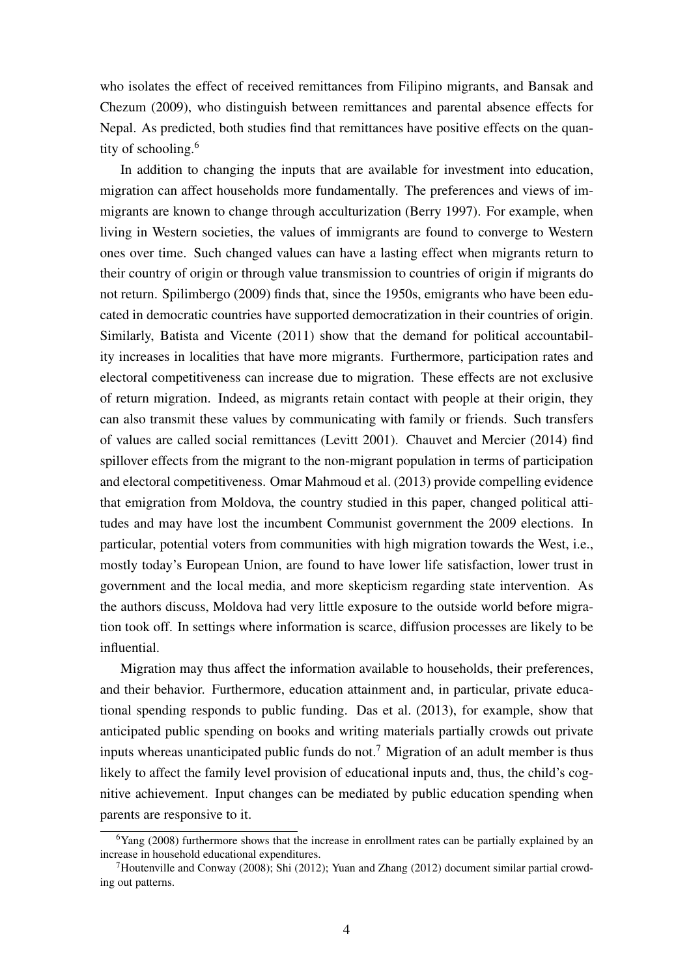who isolates the effect of received remittances from Filipino migrants, and Bansak and Chezum [\(2009\)](#page-24-2), who distinguish between remittances and parental absence effects for Nepal. As predicted, both studies find that remittances have positive effects on the quan-tity of schooling.<sup>[6](#page-6-0)</sup>

In addition to changing the inputs that are available for investment into education, migration can affect households more fundamentally. The preferences and views of immigrants are known to change through acculturization (Berry [1997\)](#page-24-11). For example, when living in Western societies, the values of immigrants are found to converge to Western ones over time. Such changed values can have a lasting effect when migrants return to their country of origin or through value transmission to countries of origin if migrants do not return. Spilimbergo [\(2009\)](#page-26-3) finds that, since the 1950s, emigrants who have been educated in democratic countries have supported democratization in their countries of origin. Similarly, Batista and Vicente [\(2011\)](#page-24-5) show that the demand for political accountability increases in localities that have more migrants. Furthermore, participation rates and electoral competitiveness can increase due to migration. These effects are not exclusive of return migration. Indeed, as migrants retain contact with people at their origin, they can also transmit these values by communicating with family or friends. Such transfers of values are called social remittances (Levitt [2001\)](#page-25-5). Chauvet and Mercier [\(2014\)](#page-24-9) find spillover effects from the migrant to the non-migrant population in terms of participation and electoral competitiveness. Omar Mahmoud et al. [\(2013\)](#page-26-2) provide compelling evidence that emigration from Moldova, the country studied in this paper, changed political attitudes and may have lost the incumbent Communist government the 2009 elections. In particular, potential voters from communities with high migration towards the West, i.e., mostly today's European Union, are found to have lower life satisfaction, lower trust in government and the local media, and more skepticism regarding state intervention. As the authors discuss, Moldova had very little exposure to the outside world before migration took off. In settings where information is scarce, diffusion processes are likely to be influential.

Migration may thus affect the information available to households, their preferences, and their behavior. Furthermore, education attainment and, in particular, private educational spending responds to public funding. Das et al. [\(2013\)](#page-25-7), for example, show that anticipated public spending on books and writing materials partially crowds out private inputs whereas unanticipated public funds do not.[7](#page-6-1) Migration of an adult member is thus likely to affect the family level provision of educational inputs and, thus, the child's cognitive achievement. Input changes can be mediated by public education spending when parents are responsive to it.

<span id="page-6-0"></span> $6$ Yang [\(2008\)](#page-26-0) furthermore shows that the increase in enrollment rates can be partially explained by an increase in household educational expenditures.

<span id="page-6-1"></span><sup>&</sup>lt;sup>7</sup>Houtenville and Conway [\(2008\)](#page-25-8); Shi [\(2012\)](#page-26-6); Yuan and Zhang (2012) document similar partial crowding out patterns.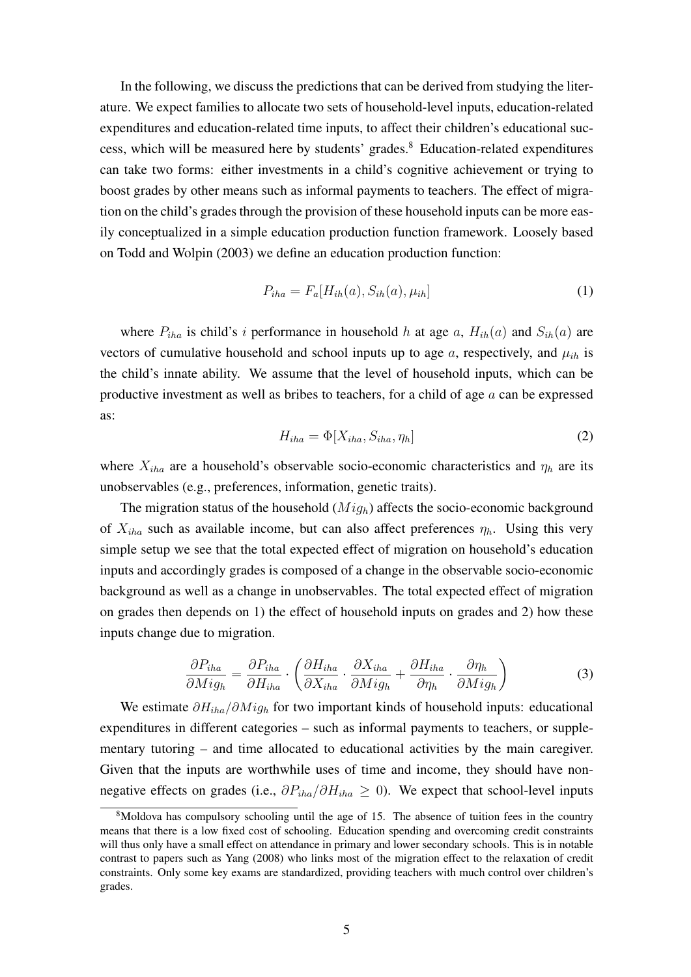In the following, we discuss the predictions that can be derived from studying the literature. We expect families to allocate two sets of household-level inputs, education-related expenditures and education-related time inputs, to affect their children's educational suc-cess, which will be measured here by students' grades.<sup>[8](#page-7-0)</sup> Education-related expenditures can take two forms: either investments in a child's cognitive achievement or trying to boost grades by other means such as informal payments to teachers. The effect of migration on the child's grades through the provision of these household inputs can be more easily conceptualized in a simple education production function framework. Loosely based on Todd and Wolpin [\(2003\)](#page-26-7) we define an education production function:

$$
P_{iha} = F_a[H_{ih}(a), S_{ih}(a), \mu_{ih}]
$$
\n(1)

where  $P_{iha}$  is child's i performance in household h at age a,  $H_{ih}(a)$  and  $S_{ih}(a)$  are vectors of cumulative household and school inputs up to age  $a$ , respectively, and  $\mu_{ih}$  is the child's innate ability. We assume that the level of household inputs, which can be productive investment as well as bribes to teachers, for a child of age  $\alpha$  can be expressed as:

$$
H_{iha} = \Phi[X_{iha}, S_{iha}, \eta_h]
$$
 (2)

where  $X_{iha}$  are a household's observable socio-economic characteristics and  $\eta_h$  are its unobservables (e.g., preferences, information, genetic traits).

The migration status of the household  $(Mig_h)$  affects the socio-economic background of  $X_{iha}$  such as available income, but can also affect preferences  $\eta_h$ . Using this very simple setup we see that the total expected effect of migration on household's education inputs and accordingly grades is composed of a change in the observable socio-economic background as well as a change in unobservables. The total expected effect of migration on grades then depends on 1) the effect of household inputs on grades and 2) how these inputs change due to migration.

$$
\frac{\partial P_{iha}}{\partial Mig_h} = \frac{\partial P_{iha}}{\partial H_{iha}} \cdot \left( \frac{\partial H_{iha}}{\partial X_{iha}} \cdot \frac{\partial X_{iha}}{\partial Mig_h} + \frac{\partial H_{iha}}{\partial \eta_h} \cdot \frac{\partial \eta_h}{\partial Mig_h} \right) \tag{3}
$$

We estimate  $\partial H_{iha}/\partial M_{igh}$  for two important kinds of household inputs: educational expenditures in different categories – such as informal payments to teachers, or supplementary tutoring – and time allocated to educational activities by the main caregiver. Given that the inputs are worthwhile uses of time and income, they should have nonnegative effects on grades (i.e.,  $\partial P_{iha}/\partial H_{iha} \geq 0$ ). We expect that school-level inputs

<span id="page-7-0"></span><sup>&</sup>lt;sup>8</sup>Moldova has compulsory schooling until the age of 15. The absence of tuition fees in the country means that there is a low fixed cost of schooling. Education spending and overcoming credit constraints will thus only have a small effect on attendance in primary and lower secondary schools. This is in notable contrast to papers such as Yang [\(2008\)](#page-26-0) who links most of the migration effect to the relaxation of credit constraints. Only some key exams are standardized, providing teachers with much control over children's grades.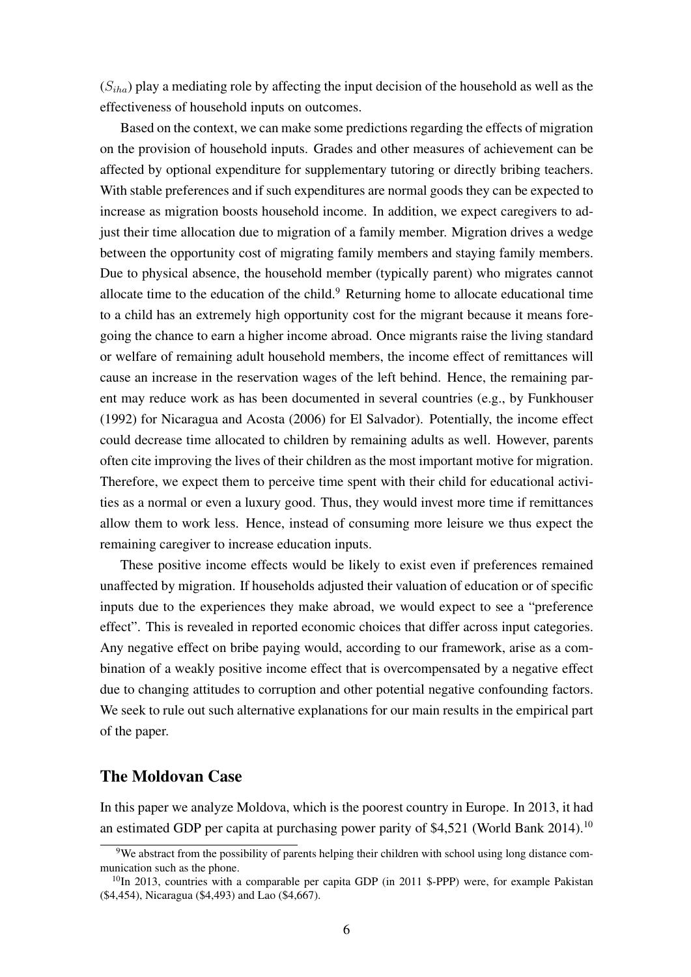$(S<sub>iha</sub>)$  play a mediating role by affecting the input decision of the household as well as the effectiveness of household inputs on outcomes.

Based on the context, we can make some predictions regarding the effects of migration on the provision of household inputs. Grades and other measures of achievement can be affected by optional expenditure for supplementary tutoring or directly bribing teachers. With stable preferences and if such expenditures are normal goods they can be expected to increase as migration boosts household income. In addition, we expect caregivers to adjust their time allocation due to migration of a family member. Migration drives a wedge between the opportunity cost of migrating family members and staying family members. Due to physical absence, the household member (typically parent) who migrates cannot allocate time to the education of the child.[9](#page-8-0) Returning home to allocate educational time to a child has an extremely high opportunity cost for the migrant because it means foregoing the chance to earn a higher income abroad. Once migrants raise the living standard or welfare of remaining adult household members, the income effect of remittances will cause an increase in the reservation wages of the left behind. Hence, the remaining parent may reduce work as has been documented in several countries (e.g., by Funkhouser [\(1992\)](#page-25-9) for Nicaragua and Acosta [\(2006\)](#page-24-12) for El Salvador). Potentially, the income effect could decrease time allocated to children by remaining adults as well. However, parents often cite improving the lives of their children as the most important motive for migration. Therefore, we expect them to perceive time spent with their child for educational activities as a normal or even a luxury good. Thus, they would invest more time if remittances allow them to work less. Hence, instead of consuming more leisure we thus expect the remaining caregiver to increase education inputs.

These positive income effects would be likely to exist even if preferences remained unaffected by migration. If households adjusted their valuation of education or of specific inputs due to the experiences they make abroad, we would expect to see a "preference effect". This is revealed in reported economic choices that differ across input categories. Any negative effect on bribe paying would, according to our framework, arise as a combination of a weakly positive income effect that is overcompensated by a negative effect due to changing attitudes to corruption and other potential negative confounding factors. We seek to rule out such alternative explanations for our main results in the empirical part of the paper.

#### The Moldovan Case

In this paper we analyze Moldova, which is the poorest country in Europe. In 2013, it had an estimated GDP per capita at purchasing power parity of \$4,521 (World Bank [2014\)](#page-26-8).[10](#page-8-1)

<span id="page-8-0"></span><sup>9</sup>We abstract from the possibility of parents helping their children with school using long distance communication such as the phone.

<span id="page-8-1"></span><sup>&</sup>lt;sup>10</sup>In 2013, countries with a comparable per capita GDP (in 2011 \$-PPP) were, for example Pakistan (\$4,454), Nicaragua (\$4,493) and Lao (\$4,667).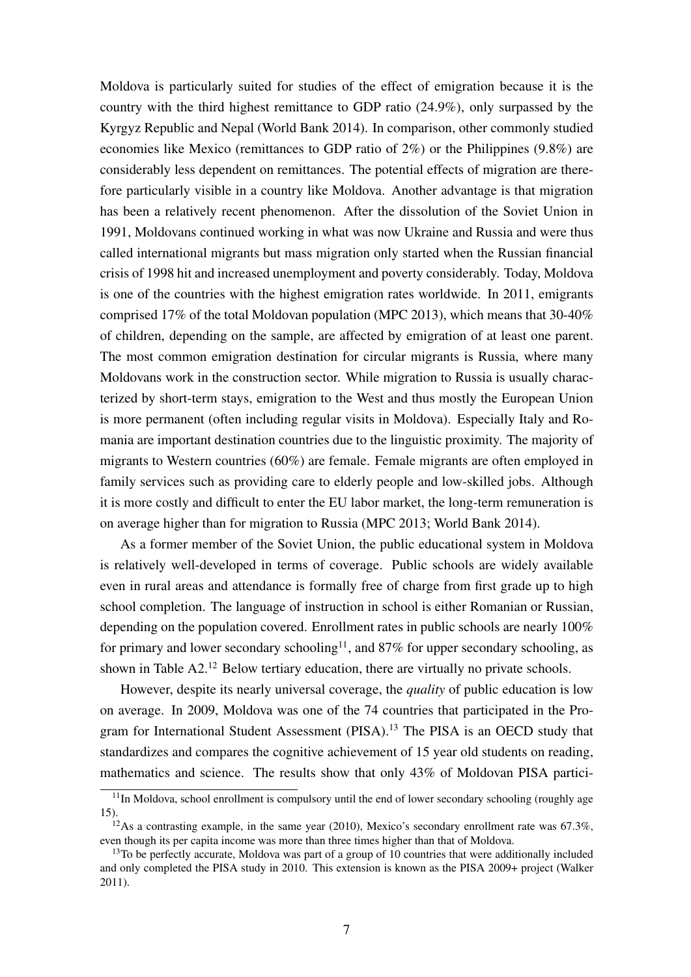Moldova is particularly suited for studies of the effect of emigration because it is the country with the third highest remittance to GDP ratio (24.9%), only surpassed by the Kyrgyz Republic and Nepal (World Bank [2014\)](#page-26-8). In comparison, other commonly studied economies like Mexico (remittances to GDP ratio of 2%) or the Philippines (9.8%) are considerably less dependent on remittances. The potential effects of migration are therefore particularly visible in a country like Moldova. Another advantage is that migration has been a relatively recent phenomenon. After the dissolution of the Soviet Union in 1991, Moldovans continued working in what was now Ukraine and Russia and were thus called international migrants but mass migration only started when the Russian financial crisis of 1998 hit and increased unemployment and poverty considerably. Today, Moldova is one of the countries with the highest emigration rates worldwide. In 2011, emigrants comprised 17% of the total Moldovan population (MPC [2013\)](#page-25-10), which means that 30-40% of children, depending on the sample, are affected by emigration of at least one parent. The most common emigration destination for circular migrants is Russia, where many Moldovans work in the construction sector. While migration to Russia is usually characterized by short-term stays, emigration to the West and thus mostly the European Union is more permanent (often including regular visits in Moldova). Especially Italy and Romania are important destination countries due to the linguistic proximity. The majority of migrants to Western countries (60%) are female. Female migrants are often employed in family services such as providing care to elderly people and low-skilled jobs. Although it is more costly and difficult to enter the EU labor market, the long-term remuneration is on average higher than for migration to Russia (MPC [2013;](#page-25-10) World Bank [2014\)](#page-26-8).

As a former member of the Soviet Union, the public educational system in Moldova is relatively well-developed in terms of coverage. Public schools are widely available even in rural areas and attendance is formally free of charge from first grade up to high school completion. The language of instruction in school is either Romanian or Russian, depending on the population covered. Enrollment rates in public schools are nearly 100% for primary and lower secondary schooling<sup>[11](#page-9-0)</sup>, and 87% for upper secondary schooling, as shown in Table  $A2<sup>12</sup>$  $A2<sup>12</sup>$  $A2<sup>12</sup>$  Below tertiary education, there are virtually no private schools.

However, despite its nearly universal coverage, the *quality* of public education is low on average. In 2009, Moldova was one of the 74 countries that participated in the Program for International Student Assessment (PISA).[13](#page-9-2) The PISA is an OECD study that standardizes and compares the cognitive achievement of 15 year old students on reading, mathematics and science. The results show that only 43% of Moldovan PISA partici-

<span id="page-9-0"></span> $11$ In Moldova, school enrollment is compulsory until the end of lower secondary schooling (roughly age 15).

<span id="page-9-1"></span> $12$ As a contrasting example, in the same year (2010), Mexico's secondary enrollment rate was 67.3%, even though its per capita income was more than three times higher than that of Moldova.

<span id="page-9-2"></span><sup>&</sup>lt;sup>13</sup>To be perfectly accurate, Moldova was part of a group of 10 countries that were additionally included and only completed the PISA study in 2010. This extension is known as the PISA 2009+ project (Walker [2011\)](#page-26-9).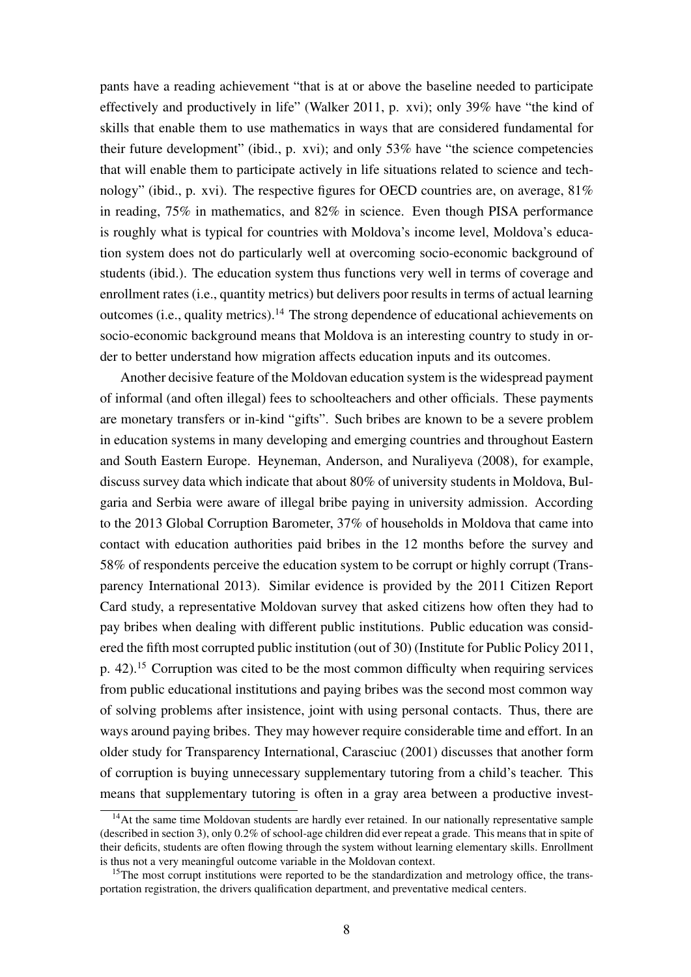pants have a reading achievement "that is at or above the baseline needed to participate effectively and productively in life" (Walker [2011,](#page-26-9) p. xvi); only 39% have "the kind of skills that enable them to use mathematics in ways that are considered fundamental for their future development" [\(ibid.,](#page-26-9) p. xvi); and only 53% have "the science competencies that will enable them to participate actively in life situations related to science and technology" [\(ibid.,](#page-26-9) p. xvi). The respective figures for OECD countries are, on average, 81% in reading, 75% in mathematics, and 82% in science. Even though PISA performance is roughly what is typical for countries with Moldova's income level, Moldova's education system does not do particularly well at overcoming socio-economic background of students [\(ibid.\)](#page-26-9). The education system thus functions very well in terms of coverage and enrollment rates (i.e., quantity metrics) but delivers poor results in terms of actual learning outcomes (i.e., quality metrics).[14](#page-10-0) The strong dependence of educational achievements on socio-economic background means that Moldova is an interesting country to study in order to better understand how migration affects education inputs and its outcomes.

Another decisive feature of the Moldovan education system is the widespread payment of informal (and often illegal) fees to schoolteachers and other officials. These payments are monetary transfers or in-kind "gifts". Such bribes are known to be a severe problem in education systems in many developing and emerging countries and throughout Eastern and South Eastern Europe. Heyneman, Anderson, and Nuraliyeva [\(2008\)](#page-25-2), for example, discuss survey data which indicate that about 80% of university students in Moldova, Bulgaria and Serbia were aware of illegal bribe paying in university admission. According to the 2013 Global Corruption Barometer, 37% of households in Moldova that came into contact with education authorities paid bribes in the 12 months before the survey and 58% of respondents perceive the education system to be corrupt or highly corrupt (Transparency International [2013\)](#page-26-10). Similar evidence is provided by the 2011 Citizen Report Card study, a representative Moldovan survey that asked citizens how often they had to pay bribes when dealing with different public institutions. Public education was considered the fifth most corrupted public institution (out of 30) (Institute for Public Policy [2011,](#page-25-11) p. 42).[15](#page-10-1) Corruption was cited to be the most common difficulty when requiring services from public educational institutions and paying bribes was the second most common way of solving problems after insistence, joint with using personal contacts. Thus, there are ways around paying bribes. They may however require considerable time and effort. In an older study for Transparency International, Carasciuc [\(2001\)](#page-24-13) discusses that another form of corruption is buying unnecessary supplementary tutoring from a child's teacher. This means that supplementary tutoring is often in a gray area between a productive invest-

<span id="page-10-0"></span><sup>&</sup>lt;sup>14</sup>At the same time Moldovan students are hardly ever retained. In our nationally representative sample (described in section [3\)](#page-11-1), only 0.2% of school-age children did ever repeat a grade. This means that in spite of their deficits, students are often flowing through the system without learning elementary skills. Enrollment is thus not a very meaningful outcome variable in the Moldovan context.

<span id="page-10-1"></span> $15$ The most corrupt institutions were reported to be the standardization and metrology office, the transportation registration, the drivers qualification department, and preventative medical centers.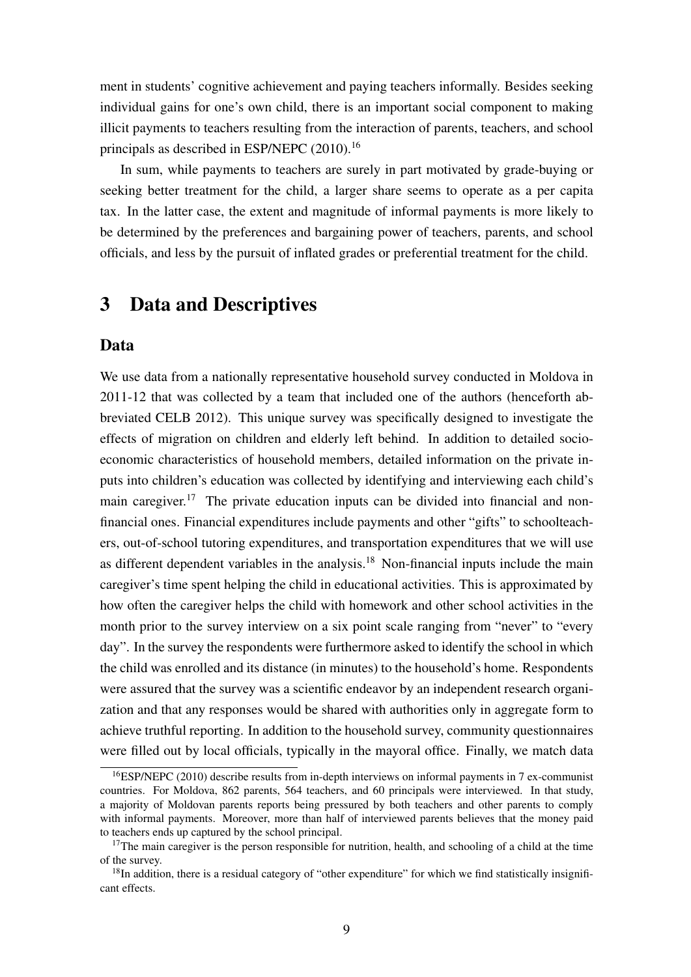ment in students' cognitive achievement and paying teachers informally. Besides seeking individual gains for one's own child, there is an important social component to making illicit payments to teachers resulting from the interaction of parents, teachers, and school principals as described in ESP/NEPC [\(2010\)](#page-25-1).<sup>[16](#page-11-2)</sup>

In sum, while payments to teachers are surely in part motivated by grade-buying or seeking better treatment for the child, a larger share seems to operate as a per capita tax. In the latter case, the extent and magnitude of informal payments is more likely to be determined by the preferences and bargaining power of teachers, parents, and school officials, and less by the pursuit of inflated grades or preferential treatment for the child.

## <span id="page-11-0"></span>3 Data and Descriptives

#### <span id="page-11-1"></span>Data

We use data from a nationally representative household survey conducted in Moldova in 2011-12 that was collected by a team that included one of the authors (henceforth abbreviated CELB 2012). This unique survey was specifically designed to investigate the effects of migration on children and elderly left behind. In addition to detailed socioeconomic characteristics of household members, detailed information on the private inputs into children's education was collected by identifying and interviewing each child's main caregiver.<sup>[17](#page-11-3)</sup> The private education inputs can be divided into financial and nonfinancial ones. Financial expenditures include payments and other "gifts" to schoolteachers, out-of-school tutoring expenditures, and transportation expenditures that we will use as different dependent variables in the analysis.[18](#page-11-4) Non-financial inputs include the main caregiver's time spent helping the child in educational activities. This is approximated by how often the caregiver helps the child with homework and other school activities in the month prior to the survey interview on a six point scale ranging from "never" to "every day". In the survey the respondents were furthermore asked to identify the school in which the child was enrolled and its distance (in minutes) to the household's home. Respondents were assured that the survey was a scientific endeavor by an independent research organization and that any responses would be shared with authorities only in aggregate form to achieve truthful reporting. In addition to the household survey, community questionnaires were filled out by local officials, typically in the mayoral office. Finally, we match data

<span id="page-11-2"></span> $16$ ESP/NEPC [\(2010\)](#page-25-1) describe results from in-depth interviews on informal payments in 7 ex-communist countries. For Moldova, 862 parents, 564 teachers, and 60 principals were interviewed. In that study, a majority of Moldovan parents reports being pressured by both teachers and other parents to comply with informal payments. Moreover, more than half of interviewed parents believes that the money paid to teachers ends up captured by the school principal.

<span id="page-11-3"></span><sup>&</sup>lt;sup>17</sup>The main caregiver is the person responsible for nutrition, health, and schooling of a child at the time of the survey.

<span id="page-11-4"></span><sup>&</sup>lt;sup>18</sup>In addition, there is a residual category of "other expenditure" for which we find statistically insignificant effects.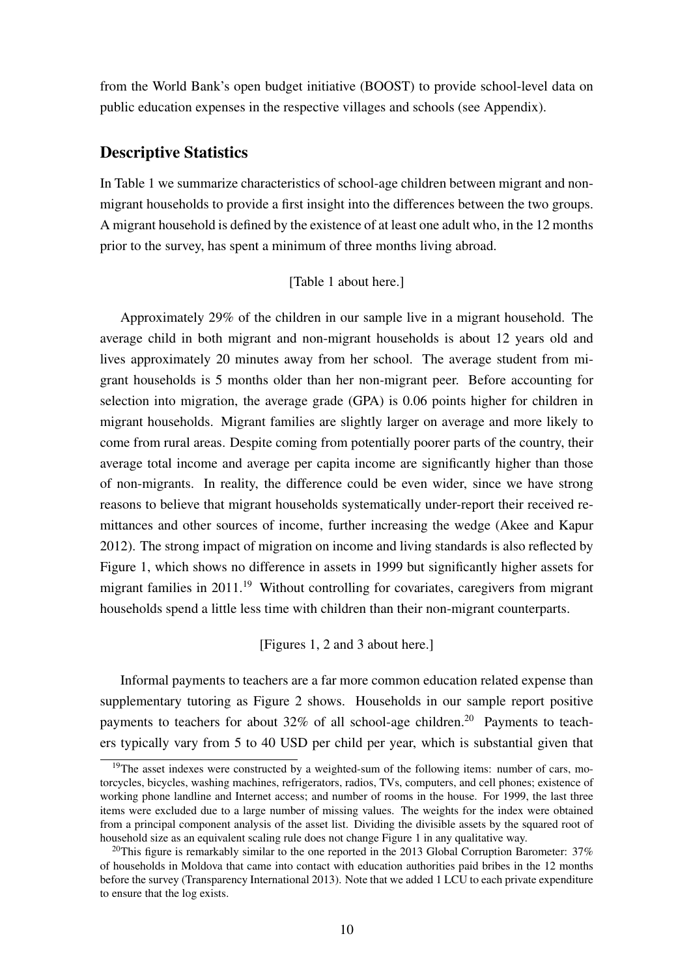from the World Bank's open budget initiative (BOOST) to provide school-level data on public education expenses in the respective villages and schools (see Appendix).

#### Descriptive Statistics

In Table [1](#page-29-0) we summarize characteristics of school-age children between migrant and nonmigrant households to provide a first insight into the differences between the two groups. A migrant household is defined by the existence of at least one adult who, in the 12 months prior to the survey, has spent a minimum of three months living abroad.

#### [Table [1](#page-29-0) about here.]

Approximately 29% of the children in our sample live in a migrant household. The average child in both migrant and non-migrant households is about 12 years old and lives approximately 20 minutes away from her school. The average student from migrant households is 5 months older than her non-migrant peer. Before accounting for selection into migration, the average grade (GPA) is 0.06 points higher for children in migrant households. Migrant families are slightly larger on average and more likely to come from rural areas. Despite coming from potentially poorer parts of the country, their average total income and average per capita income are significantly higher than those of non-migrants. In reality, the difference could be even wider, since we have strong reasons to believe that migrant households systematically under-report their received remittances and other sources of income, further increasing the wedge (Akee and Kapur [2012\)](#page-24-14). The strong impact of migration on income and living standards is also reflected by Figure [1,](#page-27-0) which shows no difference in assets in 1999 but significantly higher assets for migrant families in  $2011$ <sup>[19](#page-12-0)</sup> Without controlling for covariates, caregivers from migrant households spend a little less time with children than their non-migrant counterparts.

[Figures [1,](#page-27-0) [2](#page-27-1) and [3](#page-28-0) about here.]

Informal payments to teachers are a far more common education related expense than supplementary tutoring as Figure [2](#page-27-1) shows. Households in our sample report positive payments to teachers for about  $32\%$  of all school-age children.<sup>[20](#page-12-1)</sup> Payments to teachers typically vary from 5 to 40 USD per child per year, which is substantial given that

<span id="page-12-0"></span> $19$ The asset indexes were constructed by a weighted-sum of the following items: number of cars, motorcycles, bicycles, washing machines, refrigerators, radios, TVs, computers, and cell phones; existence of working phone landline and Internet access; and number of rooms in the house. For 1999, the last three items were excluded due to a large number of missing values. The weights for the index were obtained from a principal component analysis of the asset list. Dividing the divisible assets by the squared root of household size as an equivalent scaling rule does not change Figure [1](#page-27-0) in any qualitative way.

<span id="page-12-1"></span><sup>&</sup>lt;sup>20</sup>This figure is remarkably similar to the one reported in the 2013 Global Corruption Barometer:  $37\%$ of households in Moldova that came into contact with education authorities paid bribes in the 12 months before the survey (Transparency International [2013\)](#page-26-10). Note that we added 1 LCU to each private expenditure to ensure that the log exists.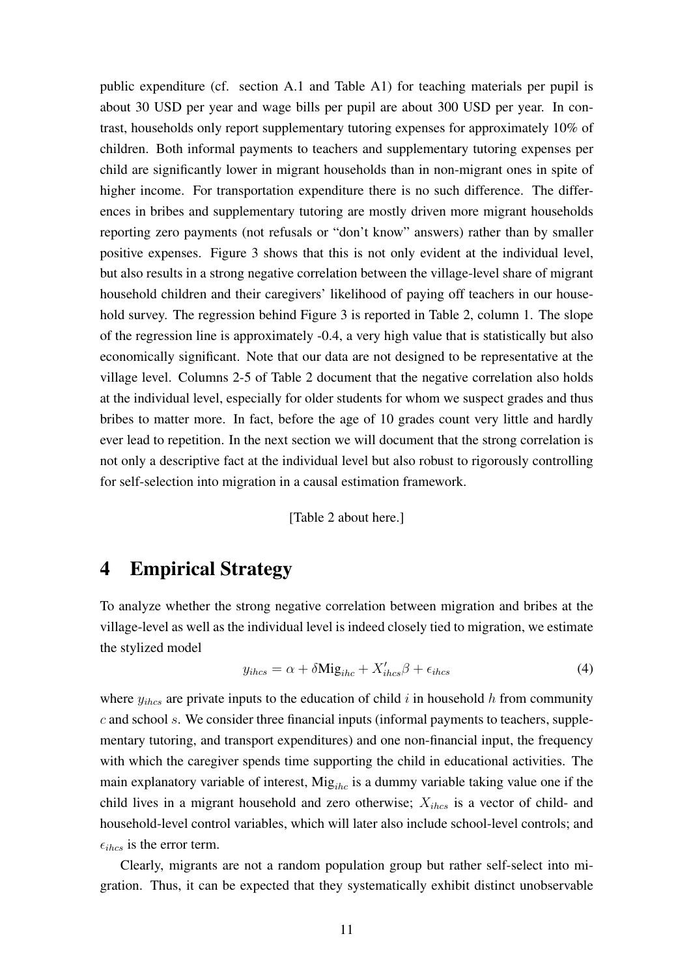public expenditure (cf. section [A.1](#page-3-1) and Table [A1\)](#page-39-1) for teaching materials per pupil is about 30 USD per year and wage bills per pupil are about 300 USD per year. In contrast, households only report supplementary tutoring expenses for approximately 10% of children. Both informal payments to teachers and supplementary tutoring expenses per child are significantly lower in migrant households than in non-migrant ones in spite of higher income. For transportation expenditure there is no such difference. The differences in bribes and supplementary tutoring are mostly driven more migrant households reporting zero payments (not refusals or "don't know" answers) rather than by smaller positive expenses. Figure [3](#page-28-0) shows that this is not only evident at the individual level, but also results in a strong negative correlation between the village-level share of migrant household children and their caregivers' likelihood of paying off teachers in our house-hold survey. The regression behind Figure [3](#page-28-0) is reported in Table [2,](#page-29-1) column 1. The slope of the regression line is approximately -0.4, a very high value that is statistically but also economically significant. Note that our data are not designed to be representative at the village level. Columns 2-5 of Table [2](#page-29-1) document that the negative correlation also holds at the individual level, especially for older students for whom we suspect grades and thus bribes to matter more. In fact, before the age of 10 grades count very little and hardly ever lead to repetition. In the next section we will document that the strong correlation is not only a descriptive fact at the individual level but also robust to rigorously controlling for self-selection into migration in a causal estimation framework.

[Table [2](#page-29-1) about here.]

## <span id="page-13-0"></span>4 Empirical Strategy

To analyze whether the strong negative correlation between migration and bribes at the village-level as well as the individual level is indeed closely tied to migration, we estimate the stylized model

<span id="page-13-1"></span>
$$
y_{ihcs} = \alpha + \delta \text{Mig}_{ihc} + X'_{ihcs}\beta + \epsilon_{ihcs}
$$
 (4)

where  $y_{ihcs}$  are private inputs to the education of child i in household h from community c and school s. We consider three financial inputs (informal payments to teachers, supplementary tutoring, and transport expenditures) and one non-financial input, the frequency with which the caregiver spends time supporting the child in educational activities. The main explanatory variable of interest,  $Mig_{i\alpha}$  is a dummy variable taking value one if the child lives in a migrant household and zero otherwise;  $X_{ihcs}$  is a vector of child- and household-level control variables, which will later also include school-level controls; and  $\epsilon_{ihcs}$  is the error term.

Clearly, migrants are not a random population group but rather self-select into migration. Thus, it can be expected that they systematically exhibit distinct unobservable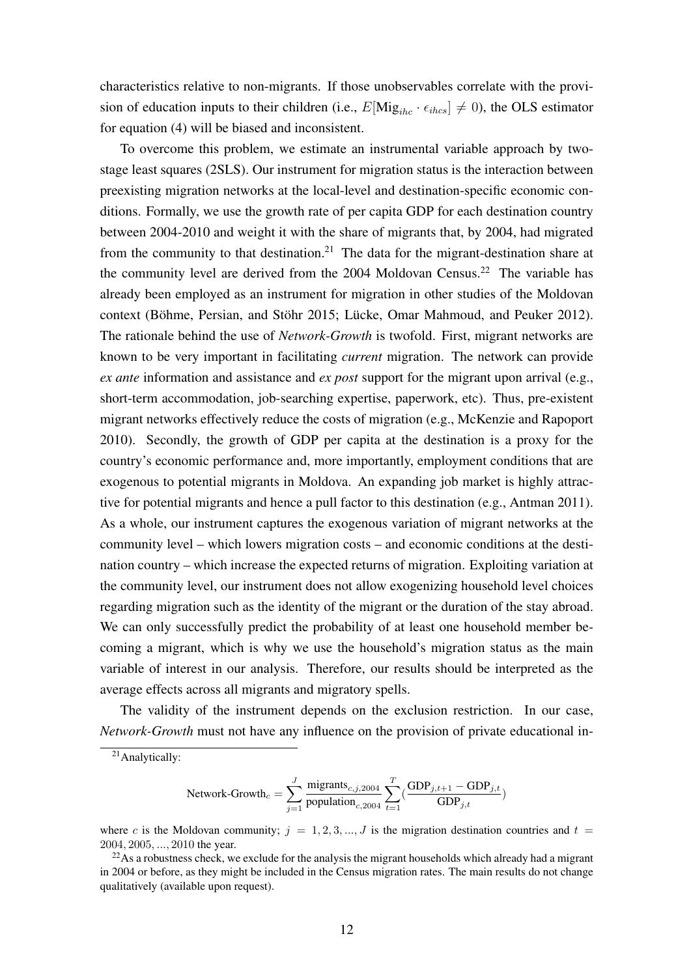characteristics relative to non-migrants. If those unobservables correlate with the provision of education inputs to their children (i.e.,  $E[\text{Mig}_{\text{the}} \cdot \epsilon_{\text{thcs}}] \neq 0$ ), the OLS estimator for equation [\(4\)](#page-13-1) will be biased and inconsistent.

To overcome this problem, we estimate an instrumental variable approach by twostage least squares (2SLS). Our instrument for migration status is the interaction between preexisting migration networks at the local-level and destination-specific economic conditions. Formally, we use the growth rate of per capita GDP for each destination country between 2004-2010 and weight it with the share of migrants that, by 2004, had migrated from the community to that destination.<sup>[21](#page-14-0)</sup> The data for the migrant-destination share at the community level are derived from the  $2004$  Moldovan Census.<sup>[22](#page-14-1)</sup> The variable has already been employed as an instrument for migration in other studies of the Moldovan context (Böhme, Persian, and Stöhr [2015;](#page-24-15) Lücke, Omar Mahmoud, and Peuker [2012\)](#page-25-12). The rationale behind the use of *Network-Growth* is twofold. First, migrant networks are known to be very important in facilitating *current* migration. The network can provide *ex ante* information and assistance and *ex post* support for the migrant upon arrival (e.g., short-term accommodation, job-searching expertise, paperwork, etc). Thus, pre-existent migrant networks effectively reduce the costs of migration (e.g., McKenzie and Rapoport [2010\)](#page-25-4). Secondly, the growth of GDP per capita at the destination is a proxy for the country's economic performance and, more importantly, employment conditions that are exogenous to potential migrants in Moldova. An expanding job market is highly attractive for potential migrants and hence a pull factor to this destination (e.g., Antman [2011\)](#page-24-0). As a whole, our instrument captures the exogenous variation of migrant networks at the community level – which lowers migration costs – and economic conditions at the destination country – which increase the expected returns of migration. Exploiting variation at the community level, our instrument does not allow exogenizing household level choices regarding migration such as the identity of the migrant or the duration of the stay abroad. We can only successfully predict the probability of at least one household member becoming a migrant, which is why we use the household's migration status as the main variable of interest in our analysis. Therefore, our results should be interpreted as the average effects across all migrants and migratory spells.

The validity of the instrument depends on the exclusion restriction. In our case, *Network-Growth* must not have any influence on the provision of private educational in-

Network-Growth<sub>c</sub> = 
$$
\sum_{j=1}^{J} \frac{\text{migrants}_{c,j,2004}}{\text{population}_{c,2004}} \sum_{t=1}^{T} (\frac{\text{GDP}_{j,t+1} - \text{GDP}_{j,t}}{\text{GDP}_{j,t}})
$$

<span id="page-14-0"></span> $21$ Analytically:

where c is the Moldovan community;  $j = 1, 2, 3, ..., J$  is the migration destination countries and  $t =$ 2004, 2005, ..., 2010 the year.

<span id="page-14-1"></span> $^{22}$ As a robustness check, we exclude for the analysis the migrant households which already had a migrant in 2004 or before, as they might be included in the Census migration rates. The main results do not change qualitatively (available upon request).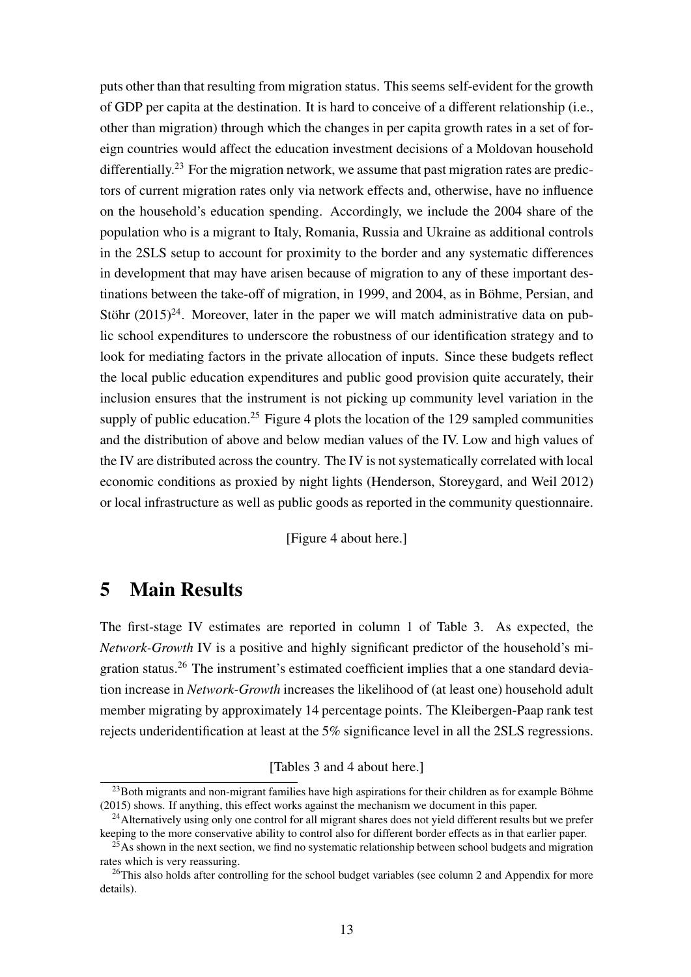puts other than that resulting from migration status. This seems self-evident for the growth of GDP per capita at the destination. It is hard to conceive of a different relationship (i.e., other than migration) through which the changes in per capita growth rates in a set of foreign countries would affect the education investment decisions of a Moldovan household differentially.<sup>[23](#page-15-1)</sup> For the migration network, we assume that past migration rates are predictors of current migration rates only via network effects and, otherwise, have no influence on the household's education spending. Accordingly, we include the 2004 share of the population who is a migrant to Italy, Romania, Russia and Ukraine as additional controls in the 2SLS setup to account for proximity to the border and any systematic differences in development that may have arisen because of migration to any of these important destinations between the take-off of migration, in 1999, and 2004, as in Böhme, Persian, and Stöhr  $(2015)^{24}$  $(2015)^{24}$  $(2015)^{24}$  $(2015)^{24}$ . Moreover, later in the paper we will match administrative data on public school expenditures to underscore the robustness of our identification strategy and to look for mediating factors in the private allocation of inputs. Since these budgets reflect the local public education expenditures and public good provision quite accurately, their inclusion ensures that the instrument is not picking up community level variation in the supply of public education.<sup>[25](#page-15-3)</sup> Figure [4](#page-28-1) plots the location of the 129 sampled communities and the distribution of above and below median values of the IV. Low and high values of the IV are distributed across the country. The IV is not systematically correlated with local economic conditions as proxied by night lights (Henderson, Storeygard, and Weil [2012\)](#page-25-13) or local infrastructure as well as public goods as reported in the community questionnaire.

[Figure [4](#page-28-1) about here.]

## <span id="page-15-0"></span>5 Main Results

The first-stage IV estimates are reported in column 1 of Table [3.](#page-30-0) As expected, the *Network-Growth* IV is a positive and highly significant predictor of the household's migration status.[26](#page-15-4) The instrument's estimated coefficient implies that a one standard deviation increase in *Network-Growth* increases the likelihood of (at least one) household adult member migrating by approximately 14 percentage points. The Kleibergen-Paap rank test rejects underidentification at least at the 5% significance level in all the 2SLS regressions.

[Tables [3](#page-30-0) and [4](#page-31-0) about here.]

<span id="page-15-1"></span><sup>&</sup>lt;sup>23</sup>Both migrants and non-migrant families have high aspirations for their children as for example Böhme [\(2015\)](#page-24-16) shows. If anything, this effect works against the mechanism we document in this paper.

<span id="page-15-2"></span><sup>&</sup>lt;sup>24</sup>Alternatively using only one control for all migrant shares does not yield different results but we prefer keeping to the more conservative ability to control also for different border effects as in that earlier paper.

<span id="page-15-3"></span> $^{25}$ As shown in the next section, we find no systematic relationship between school budgets and migration rates which is very reassuring.

<span id="page-15-4"></span><sup>&</sup>lt;sup>26</sup>This also holds after controlling for the school budget variables (see column 2 and Appendix for more details).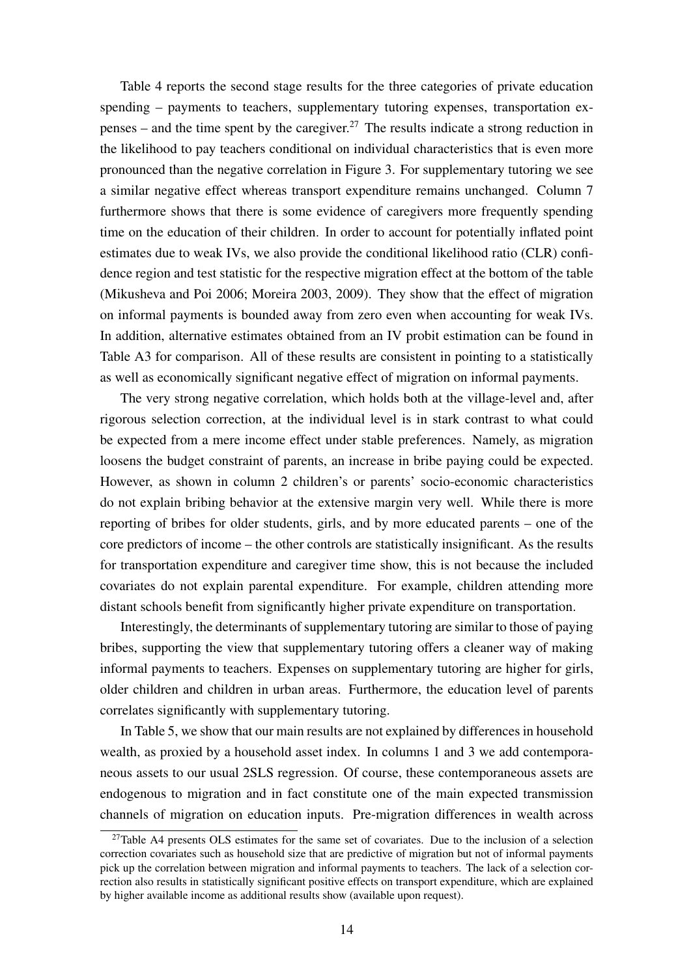Table [4](#page-31-0) reports the second stage results for the three categories of private education spending – payments to teachers, supplementary tutoring expenses, transportation ex-penses – and the time spent by the caregiver.<sup>[27](#page-16-0)</sup> The results indicate a strong reduction in the likelihood to pay teachers conditional on individual characteristics that is even more pronounced than the negative correlation in Figure [3.](#page-28-0) For supplementary tutoring we see a similar negative effect whereas transport expenditure remains unchanged. Column 7 furthermore shows that there is some evidence of caregivers more frequently spending time on the education of their children. In order to account for potentially inflated point estimates due to weak IVs, we also provide the conditional likelihood ratio (CLR) confidence region and test statistic for the respective migration effect at the bottom of the table (Mikusheva and Poi [2006;](#page-25-14) Moreira [2003,](#page-25-15) [2009\)](#page-25-16). They show that the effect of migration on informal payments is bounded away from zero even when accounting for weak IVs. In addition, alternative estimates obtained from an IV probit estimation can be found in Table [A3](#page-40-0) for comparison. All of these results are consistent in pointing to a statistically as well as economically significant negative effect of migration on informal payments.

The very strong negative correlation, which holds both at the village-level and, after rigorous selection correction, at the individual level is in stark contrast to what could be expected from a mere income effect under stable preferences. Namely, as migration loosens the budget constraint of parents, an increase in bribe paying could be expected. However, as shown in column 2 children's or parents' socio-economic characteristics do not explain bribing behavior at the extensive margin very well. While there is more reporting of bribes for older students, girls, and by more educated parents – one of the core predictors of income – the other controls are statistically insignificant. As the results for transportation expenditure and caregiver time show, this is not because the included covariates do not explain parental expenditure. For example, children attending more distant schools benefit from significantly higher private expenditure on transportation.

Interestingly, the determinants of supplementary tutoring are similar to those of paying bribes, supporting the view that supplementary tutoring offers a cleaner way of making informal payments to teachers. Expenses on supplementary tutoring are higher for girls, older children and children in urban areas. Furthermore, the education level of parents correlates significantly with supplementary tutoring.

In Table [5,](#page-32-0) we show that our main results are not explained by differences in household wealth, as proxied by a household asset index. In columns 1 and 3 we add contemporaneous assets to our usual 2SLS regression. Of course, these contemporaneous assets are endogenous to migration and in fact constitute one of the main expected transmission channels of migration on education inputs. Pre-migration differences in wealth across

<span id="page-16-0"></span> $27$ Table [A4](#page-40-1) presents OLS estimates for the same set of covariates. Due to the inclusion of a selection correction covariates such as household size that are predictive of migration but not of informal payments pick up the correlation between migration and informal payments to teachers. The lack of a selection correction also results in statistically significant positive effects on transport expenditure, which are explained by higher available income as additional results show (available upon request).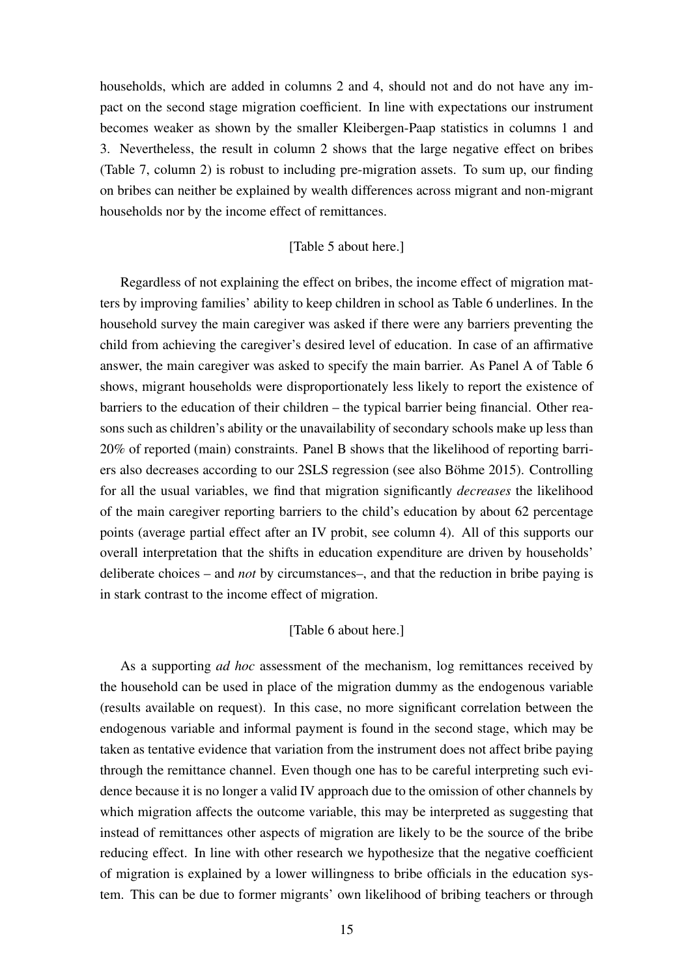households, which are added in columns 2 and 4, should not and do not have any impact on the second stage migration coefficient. In line with expectations our instrument becomes weaker as shown by the smaller Kleibergen-Paap statistics in columns 1 and 3. Nevertheless, the result in column 2 shows that the large negative effect on bribes (Table [7,](#page-34-0) column 2) is robust to including pre-migration assets. To sum up, our finding on bribes can neither be explained by wealth differences across migrant and non-migrant households nor by the income effect of remittances.

#### [Table [5](#page-32-0) about here.]

Regardless of not explaining the effect on bribes, the income effect of migration matters by improving families' ability to keep children in school as Table [6](#page-33-0) underlines. In the household survey the main caregiver was asked if there were any barriers preventing the child from achieving the caregiver's desired level of education. In case of an affirmative answer, the main caregiver was asked to specify the main barrier. As Panel A of Table [6](#page-33-0) shows, migrant households were disproportionately less likely to report the existence of barriers to the education of their children – the typical barrier being financial. Other reasons such as children's ability or the unavailability of secondary schools make up less than 20% of reported (main) constraints. Panel B shows that the likelihood of reporting barriers also decreases according to our 2SLS regression (see also Böhme [2015\)](#page-24-16). Controlling for all the usual variables, we find that migration significantly *decreases* the likelihood of the main caregiver reporting barriers to the child's education by about 62 percentage points (average partial effect after an IV probit, see column 4). All of this supports our overall interpretation that the shifts in education expenditure are driven by households' deliberate choices – and *not* by circumstances–, and that the reduction in bribe paying is in stark contrast to the income effect of migration.

#### [Table [6](#page-33-0) about here.]

As a supporting *ad hoc* assessment of the mechanism, log remittances received by the household can be used in place of the migration dummy as the endogenous variable (results available on request). In this case, no more significant correlation between the endogenous variable and informal payment is found in the second stage, which may be taken as tentative evidence that variation from the instrument does not affect bribe paying through the remittance channel. Even though one has to be careful interpreting such evidence because it is no longer a valid IV approach due to the omission of other channels by which migration affects the outcome variable, this may be interpreted as suggesting that instead of remittances other aspects of migration are likely to be the source of the bribe reducing effect. In line with other research we hypothesize that the negative coefficient of migration is explained by a lower willingness to bribe officials in the education system. This can be due to former migrants' own likelihood of bribing teachers or through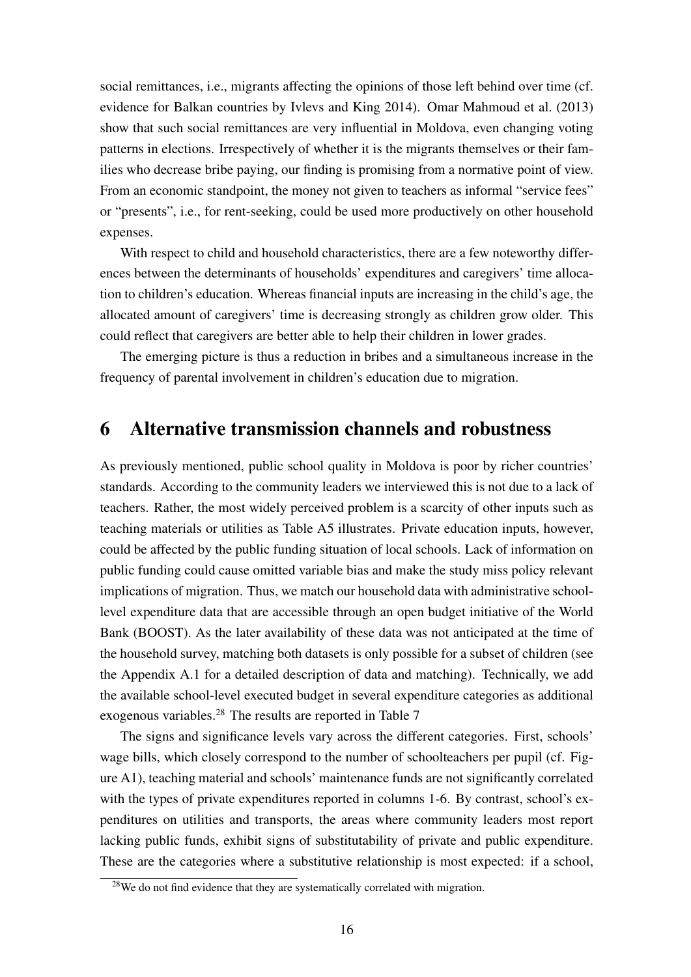social remittances, i.e., migrants affecting the opinions of those left behind over time (cf. evidence for Balkan countries by Ivlevs and King [2014\)](#page-25-6). Omar Mahmoud et al. [\(2013\)](#page-26-2) show that such social remittances are very influential in Moldova, even changing voting patterns in elections. Irrespectively of whether it is the migrants themselves or their families who decrease bribe paying, our finding is promising from a normative point of view. From an economic standpoint, the money not given to teachers as informal "service fees" or "presents", i.e., for rent-seeking, could be used more productively on other household expenses.

With respect to child and household characteristics, there are a few noteworthy differences between the determinants of households' expenditures and caregivers' time allocation to children's education. Whereas financial inputs are increasing in the child's age, the allocated amount of caregivers' time is decreasing strongly as children grow older. This could reflect that caregivers are better able to help their children in lower grades.

The emerging picture is thus a reduction in bribes and a simultaneous increase in the frequency of parental involvement in children's education due to migration.

## <span id="page-18-0"></span>6 Alternative transmission channels and robustness

As previously mentioned, public school quality in Moldova is poor by richer countries' standards. According to the community leaders we interviewed this is not due to a lack of teachers. Rather, the most widely perceived problem is a scarcity of other inputs such as teaching materials or utilities as Table [A5](#page-41-0) illustrates. Private education inputs, however, could be affected by the public funding situation of local schools. Lack of information on public funding could cause omitted variable bias and make the study miss policy relevant implications of migration. Thus, we match our household data with administrative schoollevel expenditure data that are accessible through an open budget initiative of the World Bank (BOOST). As the later availability of these data was not anticipated at the time of the household survey, matching both datasets is only possible for a subset of children (see the Appendix [A.1](#page-3-1) for a detailed description of data and matching). Technically, we add the available school-level executed budget in several expenditure categories as additional exogenous variables.<sup>[28](#page-18-1)</sup> The results are reported in Table [7](#page-34-0)

The signs and significance levels vary across the different categories. First, schools' wage bills, which closely correspond to the number of schoolteachers per pupil (cf. Figure [A1\)](#page-38-0), teaching material and schools' maintenance funds are not significantly correlated with the types of private expenditures reported in columns 1-6. By contrast, school's expenditures on utilities and transports, the areas where community leaders most report lacking public funds, exhibit signs of substitutability of private and public expenditure. These are the categories where a substitutive relationship is most expected: if a school,

<span id="page-18-1"></span> $28$ We do not find evidence that they are systematically correlated with migration.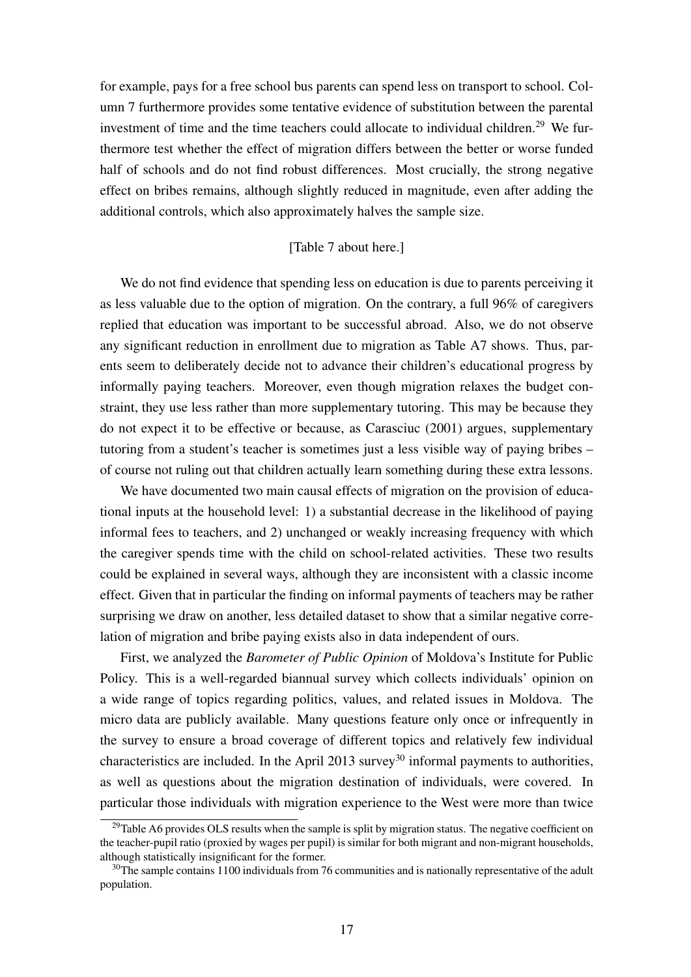for example, pays for a free school bus parents can spend less on transport to school. Column 7 furthermore provides some tentative evidence of substitution between the parental investment of time and the time teachers could allocate to individual children.<sup>[29](#page-19-0)</sup> We furthermore test whether the effect of migration differs between the better or worse funded half of schools and do not find robust differences. Most crucially, the strong negative effect on bribes remains, although slightly reduced in magnitude, even after adding the additional controls, which also approximately halves the sample size.

#### [Table [7](#page-34-0) about here.]

We do not find evidence that spending less on education is due to parents perceiving it as less valuable due to the option of migration. On the contrary, a full 96% of caregivers replied that education was important to be successful abroad. Also, we do not observe any significant reduction in enrollment due to migration as Table [A7](#page-43-0) shows. Thus, parents seem to deliberately decide not to advance their children's educational progress by informally paying teachers. Moreover, even though migration relaxes the budget constraint, they use less rather than more supplementary tutoring. This may be because they do not expect it to be effective or because, as Carasciuc [\(2001\)](#page-24-13) argues, supplementary tutoring from a student's teacher is sometimes just a less visible way of paying bribes – of course not ruling out that children actually learn something during these extra lessons.

We have documented two main causal effects of migration on the provision of educational inputs at the household level: 1) a substantial decrease in the likelihood of paying informal fees to teachers, and 2) unchanged or weakly increasing frequency with which the caregiver spends time with the child on school-related activities. These two results could be explained in several ways, although they are inconsistent with a classic income effect. Given that in particular the finding on informal payments of teachers may be rather surprising we draw on another, less detailed dataset to show that a similar negative correlation of migration and bribe paying exists also in data independent of ours.

First, we analyzed the *Barometer of Public Opinion* of Moldova's Institute for Public Policy. This is a well-regarded biannual survey which collects individuals' opinion on a wide range of topics regarding politics, values, and related issues in Moldova. The micro data are publicly available. Many questions feature only once or infrequently in the survey to ensure a broad coverage of different topics and relatively few individual characteristics are included. In the April 2013 survey<sup>[30](#page-19-1)</sup> informal payments to authorities, as well as questions about the migration destination of individuals, were covered. In particular those individuals with migration experience to the West were more than twice

<span id="page-19-0"></span> $29$ Table [A6](#page-42-0) provides OLS results when the sample is split by migration status. The negative coefficient on the teacher-pupil ratio (proxied by wages per pupil) is similar for both migrant and non-migrant households, although statistically insignificant for the former.

<span id="page-19-1"></span> $30$ The sample contains 1100 individuals from 76 communities and is nationally representative of the adult population.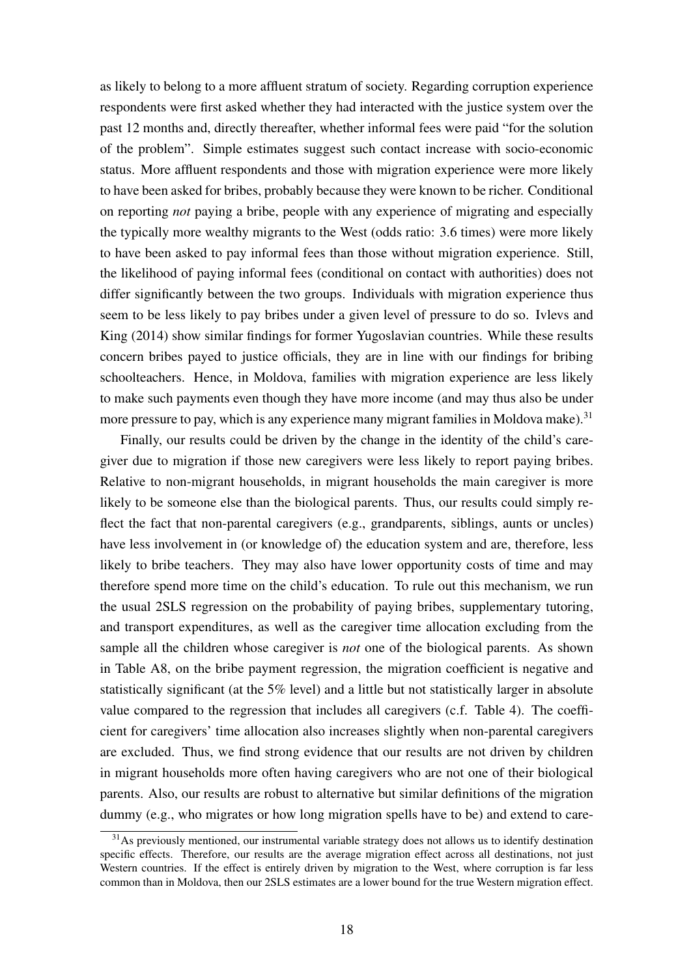as likely to belong to a more affluent stratum of society. Regarding corruption experience respondents were first asked whether they had interacted with the justice system over the past 12 months and, directly thereafter, whether informal fees were paid "for the solution of the problem". Simple estimates suggest such contact increase with socio-economic status. More affluent respondents and those with migration experience were more likely to have been asked for bribes, probably because they were known to be richer. Conditional on reporting *not* paying a bribe, people with any experience of migrating and especially the typically more wealthy migrants to the West (odds ratio: 3.6 times) were more likely to have been asked to pay informal fees than those without migration experience. Still, the likelihood of paying informal fees (conditional on contact with authorities) does not differ significantly between the two groups. Individuals with migration experience thus seem to be less likely to pay bribes under a given level of pressure to do so. Ivlevs and King [\(2014\)](#page-25-6) show similar findings for former Yugoslavian countries. While these results concern bribes payed to justice officials, they are in line with our findings for bribing schoolteachers. Hence, in Moldova, families with migration experience are less likely to make such payments even though they have more income (and may thus also be under more pressure to pay, which is any experience many migrant families in Moldova make).<sup>[31](#page-20-0)</sup>

Finally, our results could be driven by the change in the identity of the child's caregiver due to migration if those new caregivers were less likely to report paying bribes. Relative to non-migrant households, in migrant households the main caregiver is more likely to be someone else than the biological parents. Thus, our results could simply reflect the fact that non-parental caregivers (e.g., grandparents, siblings, aunts or uncles) have less involvement in (or knowledge of) the education system and are, therefore, less likely to bribe teachers. They may also have lower opportunity costs of time and may therefore spend more time on the child's education. To rule out this mechanism, we run the usual 2SLS regression on the probability of paying bribes, supplementary tutoring, and transport expenditures, as well as the caregiver time allocation excluding from the sample all the children whose caregiver is *not* one of the biological parents. As shown in Table [A8,](#page-44-0) on the bribe payment regression, the migration coefficient is negative and statistically significant (at the 5% level) and a little but not statistically larger in absolute value compared to the regression that includes all caregivers (c.f. Table [4\)](#page-31-0). The coefficient for caregivers' time allocation also increases slightly when non-parental caregivers are excluded. Thus, we find strong evidence that our results are not driven by children in migrant households more often having caregivers who are not one of their biological parents. Also, our results are robust to alternative but similar definitions of the migration dummy (e.g., who migrates or how long migration spells have to be) and extend to care-

<span id="page-20-0"></span> $31$ As previously mentioned, our instrumental variable strategy does not allows us to identify destination specific effects. Therefore, our results are the average migration effect across all destinations, not just Western countries. If the effect is entirely driven by migration to the West, where corruption is far less common than in Moldova, then our 2SLS estimates are a lower bound for the true Western migration effect.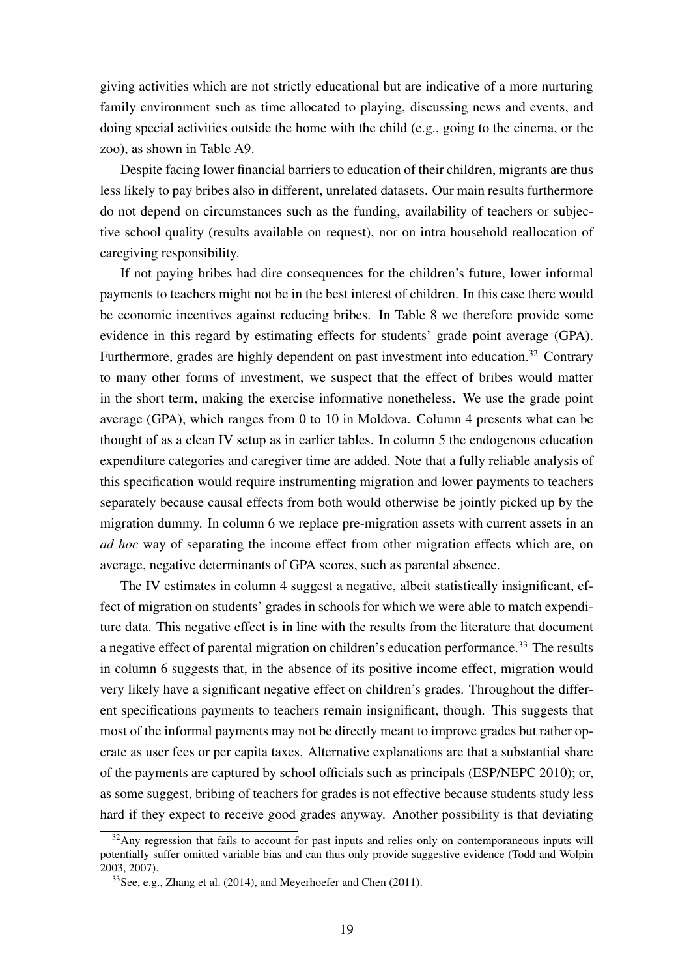giving activities which are not strictly educational but are indicative of a more nurturing family environment such as time allocated to playing, discussing news and events, and doing special activities outside the home with the child (e.g., going to the cinema, or the zoo), as shown in Table [A9.](#page-45-0)

Despite facing lower financial barriers to education of their children, migrants are thus less likely to pay bribes also in different, unrelated datasets. Our main results furthermore do not depend on circumstances such as the funding, availability of teachers or subjective school quality (results available on request), nor on intra household reallocation of caregiving responsibility.

If not paying bribes had dire consequences for the children's future, lower informal payments to teachers might not be in the best interest of children. In this case there would be economic incentives against reducing bribes. In Table [8](#page-35-0) we therefore provide some evidence in this regard by estimating effects for students' grade point average (GPA). Furthermore, grades are highly dependent on past investment into education.<sup>[32](#page-21-0)</sup> Contrary to many other forms of investment, we suspect that the effect of bribes would matter in the short term, making the exercise informative nonetheless. We use the grade point average (GPA), which ranges from 0 to 10 in Moldova. Column 4 presents what can be thought of as a clean IV setup as in earlier tables. In column 5 the endogenous education expenditure categories and caregiver time are added. Note that a fully reliable analysis of this specification would require instrumenting migration and lower payments to teachers separately because causal effects from both would otherwise be jointly picked up by the migration dummy. In column 6 we replace pre-migration assets with current assets in an *ad hoc* way of separating the income effect from other migration effects which are, on average, negative determinants of GPA scores, such as parental absence.

The IV estimates in column 4 suggest a negative, albeit statistically insignificant, effect of migration on students' grades in schools for which we were able to match expenditure data. This negative effect is in line with the results from the literature that document a negative effect of parental migration on children's education performance.<sup>[33](#page-21-1)</sup> The results in column 6 suggests that, in the absence of its positive income effect, migration would very likely have a significant negative effect on children's grades. Throughout the different specifications payments to teachers remain insignificant, though. This suggests that most of the informal payments may not be directly meant to improve grades but rather operate as user fees or per capita taxes. Alternative explanations are that a substantial share of the payments are captured by school officials such as principals (ESP/NEPC [2010\)](#page-25-1); or, as some suggest, bribing of teachers for grades is not effective because students study less hard if they expect to receive good grades anyway. Another possibility is that deviating

<span id="page-21-0"></span> $32$ Any regression that fails to account for past inputs and relies only on contemporaneous inputs will potentially suffer omitted variable bias and can thus only provide suggestive evidence (Todd and Wolpin [2003,](#page-26-7) [2007\)](#page-26-11).

<span id="page-21-1"></span><sup>33</sup>See, e.g., Zhang et al. [\(2014\)](#page-26-4), and Meyerhoefer and Chen [\(2011\)](#page-25-17).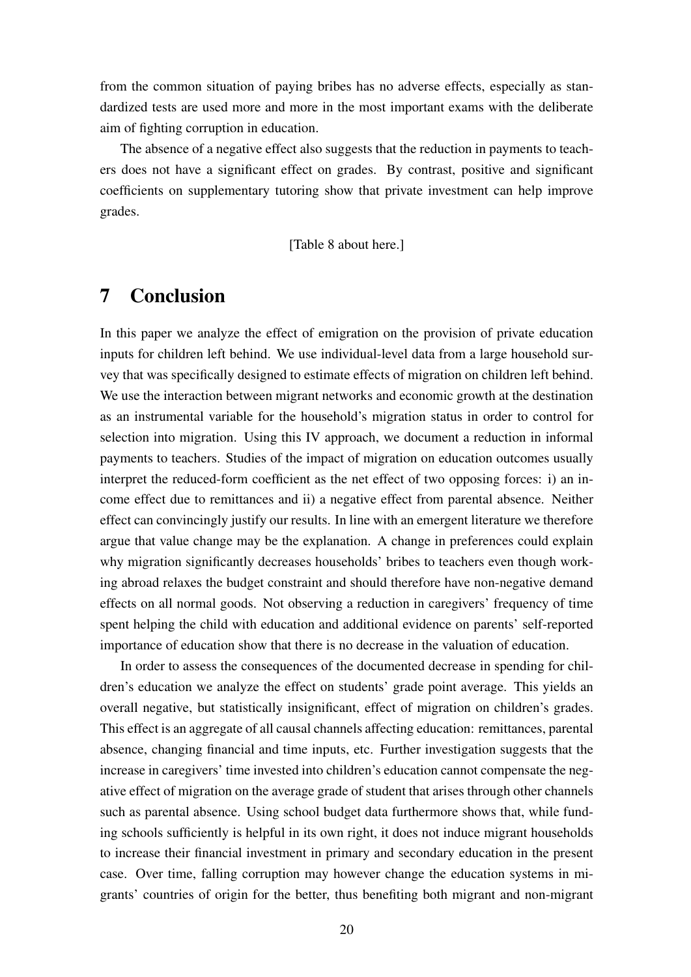from the common situation of paying bribes has no adverse effects, especially as standardized tests are used more and more in the most important exams with the deliberate aim of fighting corruption in education.

The absence of a negative effect also suggests that the reduction in payments to teachers does not have a significant effect on grades. By contrast, positive and significant coefficients on supplementary tutoring show that private investment can help improve grades.

[Table [8](#page-35-0) about here.]

## <span id="page-22-0"></span>7 Conclusion

In this paper we analyze the effect of emigration on the provision of private education inputs for children left behind. We use individual-level data from a large household survey that was specifically designed to estimate effects of migration on children left behind. We use the interaction between migrant networks and economic growth at the destination as an instrumental variable for the household's migration status in order to control for selection into migration. Using this IV approach, we document a reduction in informal payments to teachers. Studies of the impact of migration on education outcomes usually interpret the reduced-form coefficient as the net effect of two opposing forces: i) an income effect due to remittances and ii) a negative effect from parental absence. Neither effect can convincingly justify our results. In line with an emergent literature we therefore argue that value change may be the explanation. A change in preferences could explain why migration significantly decreases households' bribes to teachers even though working abroad relaxes the budget constraint and should therefore have non-negative demand effects on all normal goods. Not observing a reduction in caregivers' frequency of time spent helping the child with education and additional evidence on parents' self-reported importance of education show that there is no decrease in the valuation of education.

In order to assess the consequences of the documented decrease in spending for children's education we analyze the effect on students' grade point average. This yields an overall negative, but statistically insignificant, effect of migration on children's grades. This effect is an aggregate of all causal channels affecting education: remittances, parental absence, changing financial and time inputs, etc. Further investigation suggests that the increase in caregivers' time invested into children's education cannot compensate the negative effect of migration on the average grade of student that arises through other channels such as parental absence. Using school budget data furthermore shows that, while funding schools sufficiently is helpful in its own right, it does not induce migrant households to increase their financial investment in primary and secondary education in the present case. Over time, falling corruption may however change the education systems in migrants' countries of origin for the better, thus benefiting both migrant and non-migrant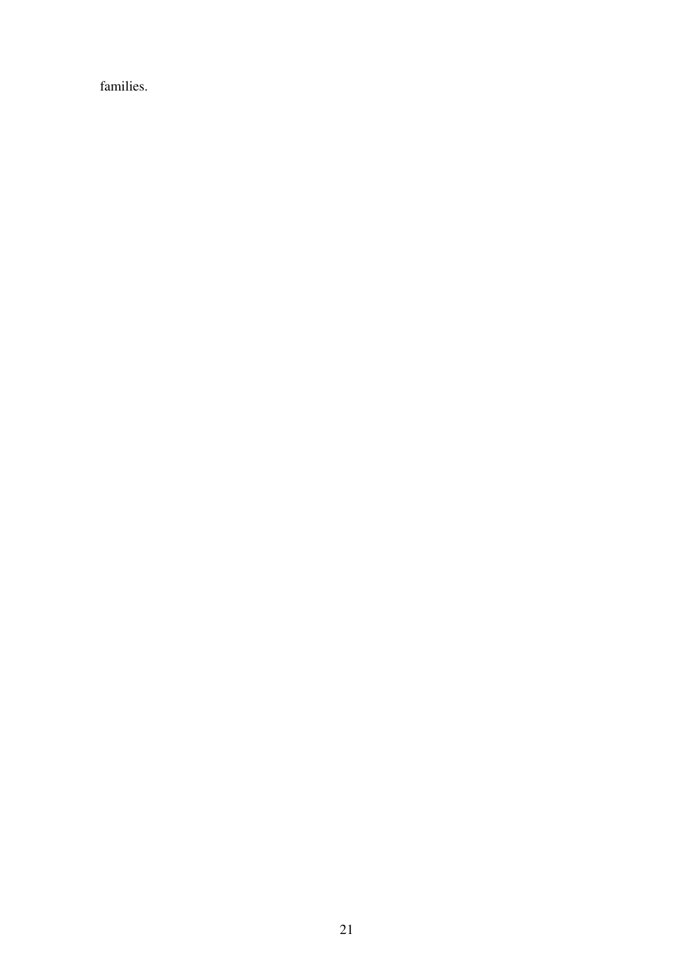families.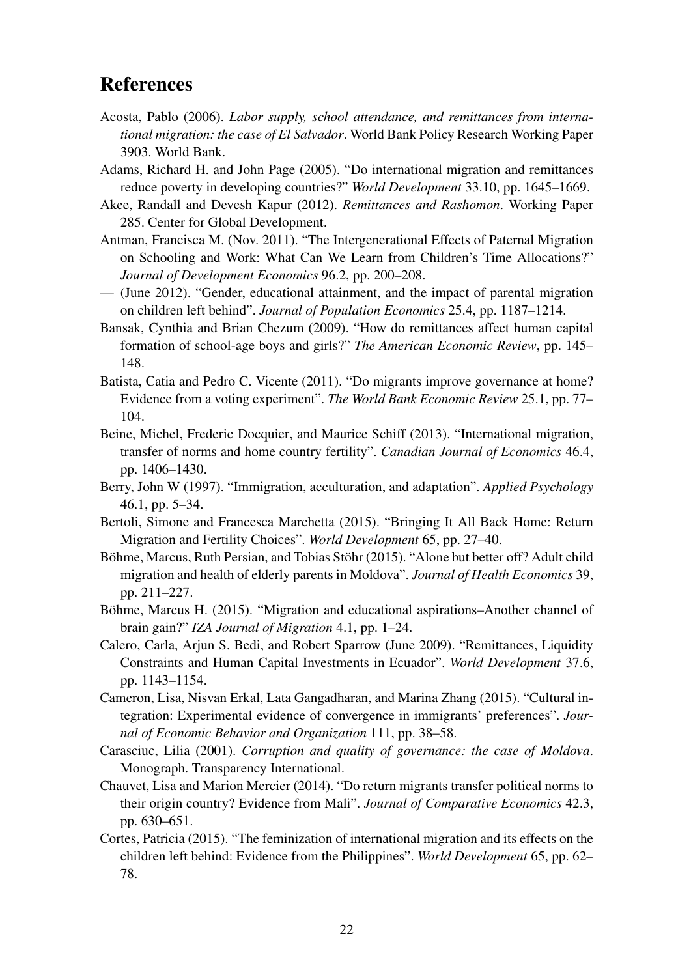## References

- <span id="page-24-12"></span>Acosta, Pablo (2006). *Labor supply, school attendance, and remittances from international migration: the case of El Salvador*. World Bank Policy Research Working Paper 3903. World Bank.
- <span id="page-24-10"></span>Adams, Richard H. and John Page (2005). "Do international migration and remittances reduce poverty in developing countries?" *World Development* 33.10, pp. 1645–1669.
- <span id="page-24-14"></span>Akee, Randall and Devesh Kapur (2012). *Remittances and Rashomon*. Working Paper 285. Center for Global Development.
- <span id="page-24-0"></span>Antman, Francisca M. (Nov. 2011). "The Intergenerational Effects of Paternal Migration on Schooling and Work: What Can We Learn from Children's Time Allocations?" *Journal of Development Economics* 96.2, pp. 200–208.
- <span id="page-24-1"></span>— (June 2012). "Gender, educational attainment, and the impact of parental migration on children left behind". *Journal of Population Economics* 25.4, pp. 1187–1214.
- <span id="page-24-2"></span>Bansak, Cynthia and Brian Chezum (2009). "How do remittances affect human capital formation of school-age boys and girls?" *The American Economic Review*, pp. 145– 148.
- <span id="page-24-5"></span>Batista, Catia and Pedro C. Vicente (2011). "Do migrants improve governance at home? Evidence from a voting experiment". *The World Bank Economic Review* 25.1, pp. 77– 104.
- <span id="page-24-6"></span>Beine, Michel, Frederic Docquier, and Maurice Schiff (2013). "International migration, transfer of norms and home country fertility". *Canadian Journal of Economics* 46.4, pp. 1406–1430.
- <span id="page-24-11"></span>Berry, John W (1997). "Immigration, acculturation, and adaptation". *Applied Psychology* 46.1, pp. 5–34.
- <span id="page-24-7"></span>Bertoli, Simone and Francesca Marchetta (2015). "Bringing It All Back Home: Return Migration and Fertility Choices". *World Development* 65, pp. 27–40.
- <span id="page-24-15"></span>Böhme, Marcus, Ruth Persian, and Tobias Stöhr (2015). "Alone but better off? Adult child migration and health of elderly parents in Moldova". *Journal of Health Economics* 39, pp. 211–227.
- <span id="page-24-16"></span>Böhme, Marcus H. (2015). "Migration and educational aspirations–Another channel of brain gain?" *IZA Journal of Migration* 4.1, pp. 1–24.
- <span id="page-24-3"></span>Calero, Carla, Arjun S. Bedi, and Robert Sparrow (June 2009). "Remittances, Liquidity Constraints and Human Capital Investments in Ecuador". *World Development* 37.6, pp. 1143–1154.
- <span id="page-24-8"></span>Cameron, Lisa, Nisvan Erkal, Lata Gangadharan, and Marina Zhang (2015). "Cultural integration: Experimental evidence of convergence in immigrants' preferences". *Journal of Economic Behavior and Organization* 111, pp. 38–58.
- <span id="page-24-13"></span>Carasciuc, Lilia (2001). *Corruption and quality of governance: the case of Moldova*. Monograph. Transparency International.
- <span id="page-24-9"></span>Chauvet, Lisa and Marion Mercier (2014). "Do return migrants transfer political norms to their origin country? Evidence from Mali". *Journal of Comparative Economics* 42.3, pp. 630–651.
- <span id="page-24-4"></span>Cortes, Patricia (2015). "The feminization of international migration and its effects on the children left behind: Evidence from the Philippines". *World Development* 65, pp. 62– 78.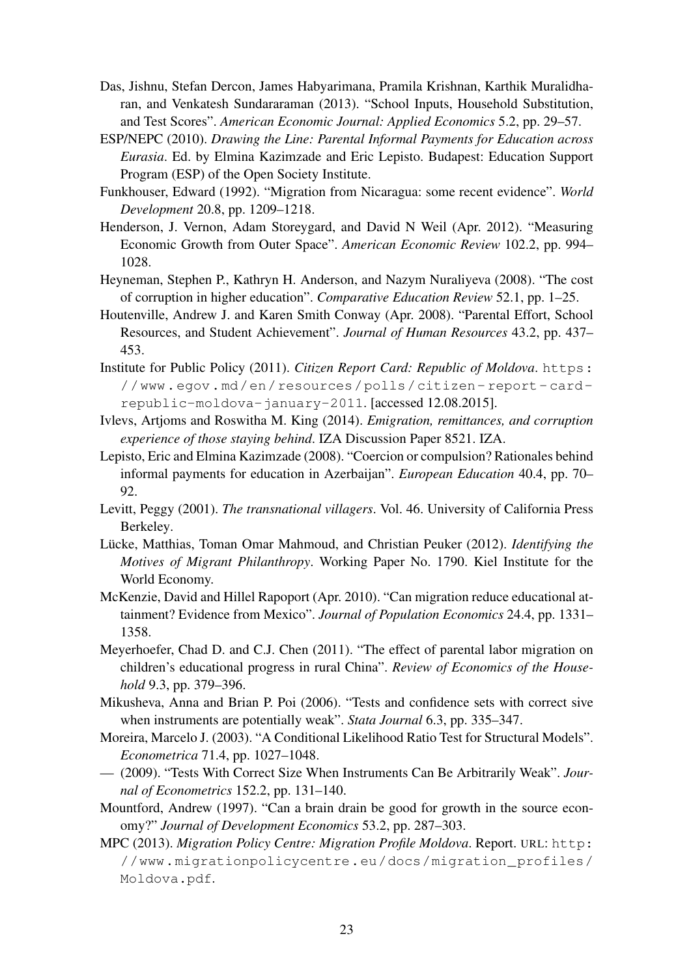- <span id="page-25-7"></span>Das, Jishnu, Stefan Dercon, James Habyarimana, Pramila Krishnan, Karthik Muralidharan, and Venkatesh Sundararaman (2013). "School Inputs, Household Substitution, and Test Scores". *American Economic Journal: Applied Economics* 5.2, pp. 29–57.
- <span id="page-25-1"></span>ESP/NEPC (2010). *Drawing the Line: Parental Informal Payments for Education across Eurasia*. Ed. by Elmina Kazimzade and Eric Lepisto. Budapest: Education Support Program (ESP) of the Open Society Institute.
- <span id="page-25-9"></span>Funkhouser, Edward (1992). "Migration from Nicaragua: some recent evidence". *World Development* 20.8, pp. 1209–1218.
- <span id="page-25-13"></span>Henderson, J. Vernon, Adam Storeygard, and David N Weil (Apr. 2012). "Measuring Economic Growth from Outer Space". *American Economic Review* 102.2, pp. 994– 1028.
- <span id="page-25-2"></span>Heyneman, Stephen P., Kathryn H. Anderson, and Nazym Nuraliyeva (2008). "The cost of corruption in higher education". *Comparative Education Review* 52.1, pp. 1–25.
- <span id="page-25-8"></span>Houtenville, Andrew J. and Karen Smith Conway (Apr. 2008). "Parental Effort, School Resources, and Student Achievement". *Journal of Human Resources* 43.2, pp. 437– 453.
- <span id="page-25-11"></span>Institute for Public Policy (2011). *Citizen Report Card: Republic of Moldova*. [https:](https://www.egov.md/en/resources/polls/citizen-report-card-republic-moldova-january-2011) [//www.egov.md/en/resources/polls/citizen- report- card](https://www.egov.md/en/resources/polls/citizen-report-card-republic-moldova-january-2011)[republic-moldova-january-2011](https://www.egov.md/en/resources/polls/citizen-report-card-republic-moldova-january-2011). [accessed 12.08.2015].
- <span id="page-25-6"></span>Ivlevs, Artjoms and Roswitha M. King (2014). *Emigration, remittances, and corruption experience of those staying behind*. IZA Discussion Paper 8521. IZA.
- <span id="page-25-3"></span>Lepisto, Eric and Elmina Kazimzade (2008). "Coercion or compulsion? Rationales behind informal payments for education in Azerbaijan". *European Education* 40.4, pp. 70– 92.
- <span id="page-25-5"></span>Levitt, Peggy (2001). *The transnational villagers*. Vol. 46. University of California Press Berkeley.
- <span id="page-25-12"></span>Lücke, Matthias, Toman Omar Mahmoud, and Christian Peuker (2012). *Identifying the Motives of Migrant Philanthropy*. Working Paper No. 1790. Kiel Institute for the World Economy.
- <span id="page-25-4"></span>McKenzie, David and Hillel Rapoport (Apr. 2010). "Can migration reduce educational attainment? Evidence from Mexico". *Journal of Population Economics* 24.4, pp. 1331– 1358.
- <span id="page-25-17"></span>Meyerhoefer, Chad D. and C.J. Chen (2011). "The effect of parental labor migration on children's educational progress in rural China". *Review of Economics of the Household* 9.3, pp. 379–396.
- <span id="page-25-14"></span>Mikusheva, Anna and Brian P. Poi (2006). "Tests and confidence sets with correct sive when instruments are potentially weak". *Stata Journal* 6.3, pp. 335–347.
- <span id="page-25-15"></span>Moreira, Marcelo J. (2003). "A Conditional Likelihood Ratio Test for Structural Models". *Econometrica* 71.4, pp. 1027–1048.
- <span id="page-25-16"></span>— (2009). "Tests With Correct Size When Instruments Can Be Arbitrarily Weak". *Journal of Econometrics* 152.2, pp. 131–140.
- <span id="page-25-0"></span>Mountford, Andrew (1997). "Can a brain drain be good for growth in the source economy?" *Journal of Development Economics* 53.2, pp. 287–303.
- <span id="page-25-10"></span>MPC (2013). *Migration Policy Centre: Migration Profile Moldova*. Report. URL: [http:](http://www.migrationpolicycentre.eu/docs/migration_profiles/Moldova.pdf) [//www.migrationpolicycentre.eu/docs/migration\\_profiles/](http://www.migrationpolicycentre.eu/docs/migration_profiles/Moldova.pdf) [Moldova.pdf](http://www.migrationpolicycentre.eu/docs/migration_profiles/Moldova.pdf).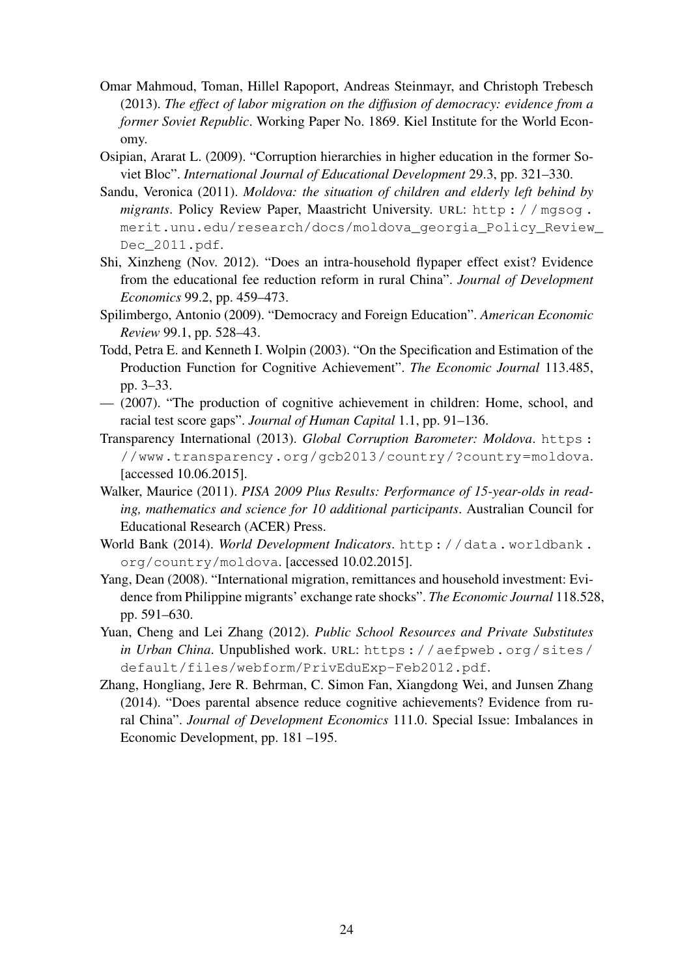- <span id="page-26-2"></span>Omar Mahmoud, Toman, Hillel Rapoport, Andreas Steinmayr, and Christoph Trebesch (2013). *The effect of labor migration on the diffusion of democracy: evidence from a former Soviet Republic*. Working Paper No. 1869. Kiel Institute for the World Economy.
- <span id="page-26-1"></span>Osipian, Ararat L. (2009). "Corruption hierarchies in higher education in the former Soviet Bloc". *International Journal of Educational Development* 29.3, pp. 321–330.
- <span id="page-26-12"></span>Sandu, Veronica (2011). *Moldova: the situation of children and elderly left behind by migrants*. Policy Review Paper, Maastricht University. URL: http://mgsog. [merit.unu.edu/research/docs/moldova\\_georgia\\_Policy\\_Review](http://mgsog.merit.unu.edu/research/docs/moldova_georgia_Policy_Review_Dec_2011.pdf)\_ [Dec\\_2011.pdf](http://mgsog.merit.unu.edu/research/docs/moldova_georgia_Policy_Review_Dec_2011.pdf).
- <span id="page-26-5"></span>Shi, Xinzheng (Nov. 2012). "Does an intra-household flypaper effect exist? Evidence from the educational fee reduction reform in rural China". *Journal of Development Economics* 99.2, pp. 459–473.
- <span id="page-26-3"></span>Spilimbergo, Antonio (2009). "Democracy and Foreign Education". *American Economic Review* 99.1, pp. 528–43.
- <span id="page-26-7"></span>Todd, Petra E. and Kenneth I. Wolpin (2003). "On the Specification and Estimation of the Production Function for Cognitive Achievement". *The Economic Journal* 113.485, pp. 3–33.
- <span id="page-26-11"></span>— (2007). "The production of cognitive achievement in children: Home, school, and racial test score gaps". *Journal of Human Capital* 1.1, pp. 91–136.
- <span id="page-26-10"></span>Transparency International (2013). *Global Corruption Barometer: Moldova*. [https :](https://www.transparency.org/gcb2013/country/?country=moldova) [//www.transparency.org/gcb2013/country/?country=moldova](https://www.transparency.org/gcb2013/country/?country=moldova). [accessed 10.06.2015].
- <span id="page-26-9"></span>Walker, Maurice (2011). *PISA 2009 Plus Results: Performance of 15-year-olds in reading, mathematics and science for 10 additional participants*. Australian Council for Educational Research (ACER) Press.
- <span id="page-26-8"></span>World Bank (2014). *World Development Indicators*. [http://data.worldbank.](http://data.worldbank.org/country/moldova) [org/country/moldova](http://data.worldbank.org/country/moldova). [accessed 10.02.2015].
- <span id="page-26-0"></span>Yang, Dean (2008). "International migration, remittances and household investment: Evidence from Philippine migrants' exchange rate shocks". *The Economic Journal* 118.528, pp. 591–630.
- <span id="page-26-6"></span>Yuan, Cheng and Lei Zhang (2012). *Public School Resources and Private Substitutes in Urban China*. Unpublished work. URL: [https://aefpweb.org/sites/](https://aefpweb.org/sites/default/files/webform/PrivEduExp-Feb2012.pdf) [default/files/webform/PrivEduExp-Feb2012.pdf](https://aefpweb.org/sites/default/files/webform/PrivEduExp-Feb2012.pdf).
- <span id="page-26-4"></span>Zhang, Hongliang, Jere R. Behrman, C. Simon Fan, Xiangdong Wei, and Junsen Zhang (2014). "Does parental absence reduce cognitive achievements? Evidence from rural China". *Journal of Development Economics* 111.0. Special Issue: Imbalances in Economic Development, pp. 181 –195.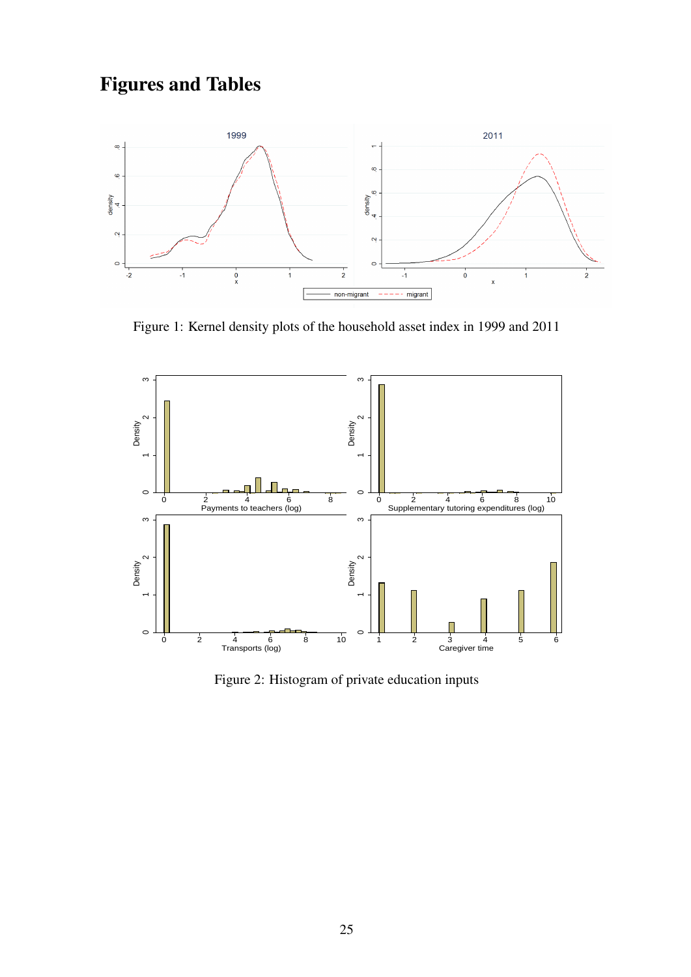## Figures and Tables

<span id="page-27-0"></span>

Figure 1: Kernel density plots of the household asset index in 1999 and 2011

<span id="page-27-1"></span>

Figure 2: Histogram of private education inputs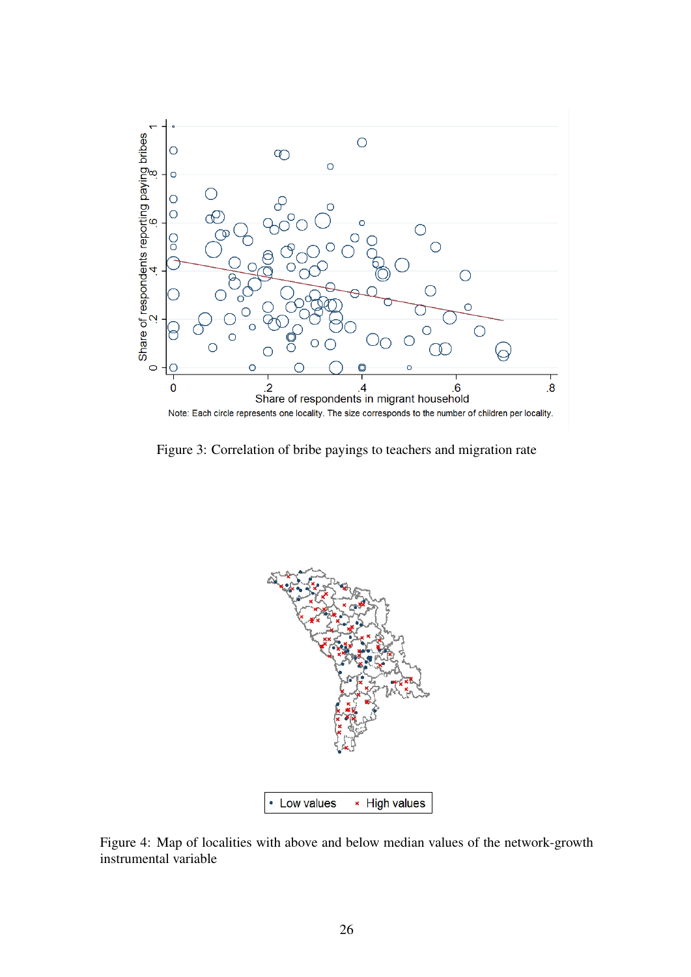<span id="page-28-0"></span>

<span id="page-28-1"></span>Figure 3: Correlation of bribe payings to teachers and migration rate



Figure 4: Map of localities with above and below median values of the network-growth instrumental variable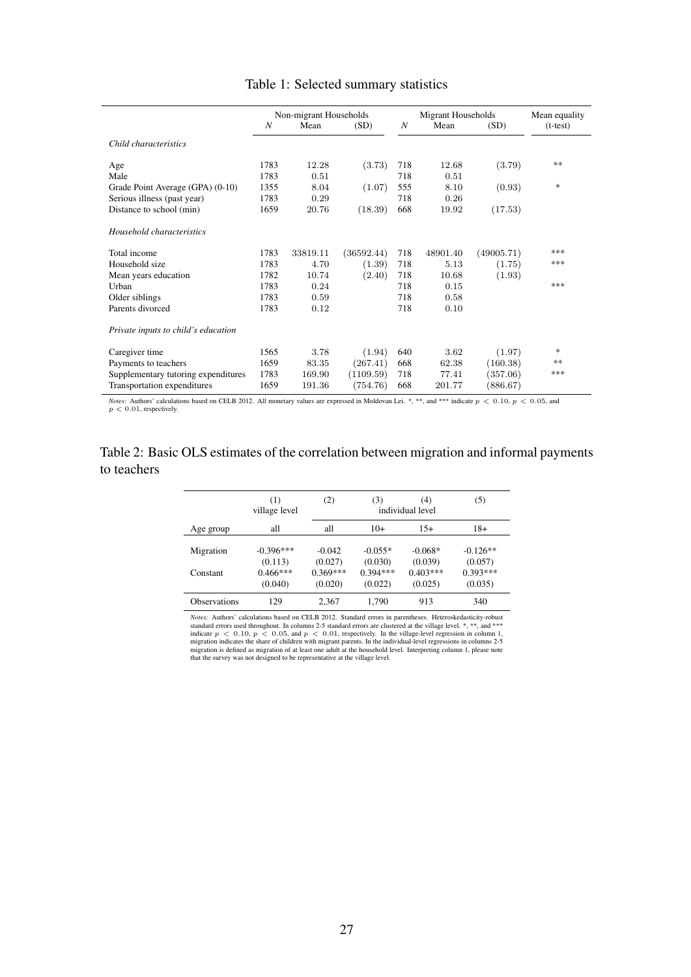<span id="page-29-0"></span>

|                                     |                  | Non-migrant Households |            |                  | Migrant Households |            | Mean equality |
|-------------------------------------|------------------|------------------------|------------|------------------|--------------------|------------|---------------|
|                                     | $\boldsymbol{N}$ | Mean                   | (SD)       | $\boldsymbol{N}$ | Mean               | (SD)       | $(t-test)$    |
| Child characteristics               |                  |                        |            |                  |                    |            |               |
| Age                                 | 1783             | 12.28                  | (3.73)     | 718              | 12.68              | (3.79)     | **            |
| Male                                | 1783             | 0.51                   |            | 718              | 0.51               |            |               |
| Grade Point Average (GPA) (0-10)    | 1355             | 8.04                   | (1.07)     | 555              | 8.10               | (0.93)     | $\ast$        |
| Serious illness (past year)         | 1783             | 0.29                   |            | 718              | 0.26               |            |               |
| Distance to school (min)            | 1659             | 20.76                  | (18.39)    | 668              | 19.92              | (17.53)    |               |
| Household characteristics           |                  |                        |            |                  |                    |            |               |
| Total income                        | 1783             | 33819.11               | (36592.44) | 718              | 48901.40           | (49005.71) | ***           |
| Household size                      | 1783             | 4.70                   | (1.39)     | 718              | 5.13               | (1.75)     | ***           |
| Mean years education                | 1782             | 10.74                  | (2.40)     | 718              | 10.68              | (1.93)     |               |
| Urban                               | 1783             | 0.24                   |            | 718              | 0.15               |            | ***           |
| Older siblings                      | 1783             | 0.59                   |            | 718              | 0.58               |            |               |
| Parents divorced                    | 1783             | 0.12                   |            | 718              | 0.10               |            |               |
| Private inputs to child's education |                  |                        |            |                  |                    |            |               |
| Caregiver time                      | 1565             | 3.78                   | (1.94)     | 640              | 3.62               | (1.97)     | $*$           |
| Payments to teachers                | 1659             | 83.35                  | (267.41)   | 668              | 62.38              | (160.38)   | **            |
| Supplementary tutoring expenditures | 1783             | 169.90                 | (1109.59)  | 718              | 77.41              | (357.06)   | ***           |
| Transportation expenditures         | 1659             | 191.36                 | (754.76)   | 668              | 201.77             | (886.67)   |               |

#### Table 1: Selected summary statistics

*Notes:* Authors' calculations based on CELB 2012. All monetary values are expressed in Moldovan Lei. \*, \*\*, and \*\*\* indicate  $p < 0.10$ ,  $p < 0.05$ , and  $p\,<\,0.01,$  respectively.

#### <span id="page-29-1"></span>Table 2: Basic OLS estimates of the correlation between migration and informal payments to teachers

|                     | (1)           | (2)        | (3)        | (4)              | (5)        |
|---------------------|---------------|------------|------------|------------------|------------|
|                     | village level |            |            | individual level |            |
| Age group           | all           | all        | $10+$      | $15+$            | $18+$      |
|                     |               |            |            |                  |            |
| Migration           | $-0.396***$   | $-0.042$   | $-0.055*$  | $-0.068*$        | $-0.126**$ |
|                     | (0.113)       | (0.027)    | (0.030)    | (0.039)          | (0.057)    |
| Constant            | $0.466***$    | $0.369***$ | $0.394***$ | $0.403***$       | $0.393***$ |
|                     | (0.040)       | (0.020)    | (0.022)    | (0.025)          | (0.035)    |
| <b>Observations</b> | 129           | 2.367      | 1.790      | 913              | 340        |

*Notes:* Authors' calculations based on CELB 2012. Standard errors in parentheses. Heteroskedasticity-robustandard errors used throughout. In columns 2-5 standard errors are clustered at the village level. \*, \*\*, and \*\*\*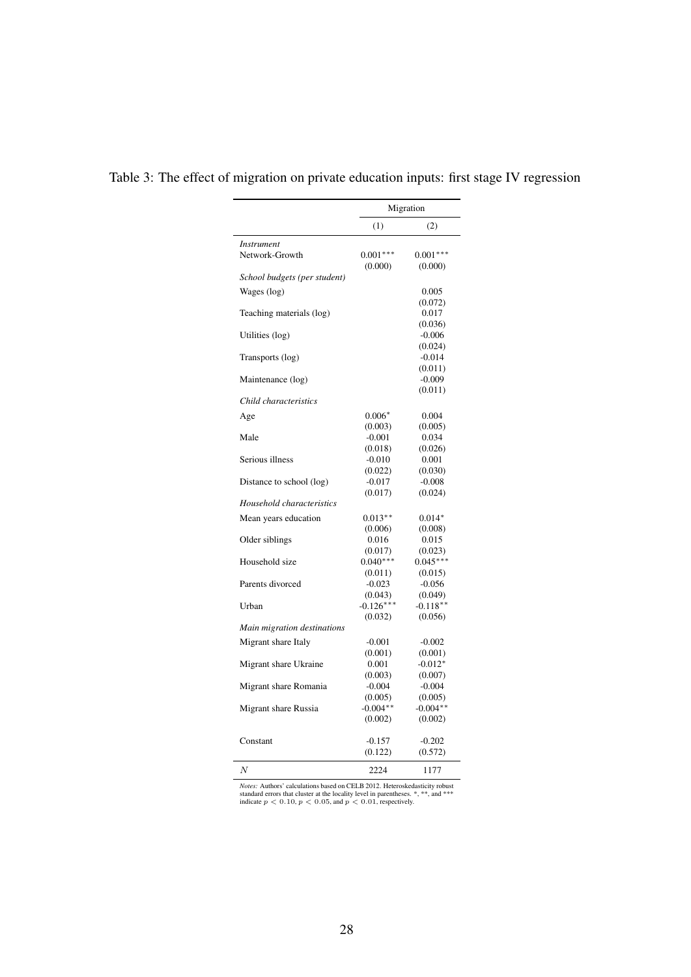|                              | Migration           |                      |  |
|------------------------------|---------------------|----------------------|--|
|                              | (1)                 | (2)                  |  |
| <i>Instrument</i>            |                     |                      |  |
| Network-Growth               | $0.001***$          | $0.001***$           |  |
|                              | (0.000)             | (0.000)              |  |
| School budgets (per student) |                     |                      |  |
| Wages (log)                  |                     | 0.005                |  |
|                              |                     | (0.072)              |  |
| Teaching materials (log)     |                     | 0.017                |  |
|                              |                     | (0.036)              |  |
| Utilities (log)              |                     | $-0.006$             |  |
|                              |                     | (0.024)              |  |
| Transports (log)             |                     | $-0.014$             |  |
|                              |                     | (0.011)              |  |
| Maintenance (log)            |                     | $-0.009$             |  |
| Child characteristics        |                     | (0.011)              |  |
|                              |                     |                      |  |
| Age                          | $0.006*$            | 0.004                |  |
|                              | (0.003)             | (0.005)              |  |
| Male                         | $-0.001$            | 0.034                |  |
|                              | (0.018)             | (0.026)              |  |
| Serious illness              | $-0.010$            | 0.001                |  |
|                              | (0.022)             | (0.030)              |  |
| Distance to school (log)     | $-0.017$            | $-0.008$             |  |
| Household characteristics    | (0.017)             | (0.024)              |  |
|                              |                     |                      |  |
| Mean years education         | $0.013**$           | $0.014*$             |  |
|                              | (0.006)             | (0.008)              |  |
| Older siblings               | 0.016               | 0.015                |  |
|                              | (0.017)             | (0.023)              |  |
| Household size               | $0.040***$          | $0.045***$           |  |
| Parents divorced             | (0.011)             | (0.015)              |  |
|                              | $-0.023$<br>(0.043) | $-0.056$<br>(0.049)  |  |
| Urban                        | $-0.126***$         | $-0.118**$           |  |
|                              | (0.032)             | (0.056)              |  |
| Main migration destinations  |                     |                      |  |
|                              |                     |                      |  |
| Migrant share Italy          | $-0.001$            | $-0.002$             |  |
|                              | (0.001)<br>0.001    | (0.001)<br>$-0.012*$ |  |
| Migrant share Ukraine        | (0.003)             | (0.007)              |  |
| Migrant share Romania        | $-0.004$            | $-0.004$             |  |
|                              | (0.005)             | (0.005)              |  |
| Migrant share Russia         | $-0.004**$          | $-0.004**$           |  |
|                              | (0.002)             | (0.002)              |  |
|                              |                     |                      |  |
| Constant                     | $-0.157$            | $-0.202$             |  |
|                              | (0.122)             | (0.572)              |  |
|                              |                     |                      |  |
| N                            | 2224                | 1177                 |  |

## <span id="page-30-0"></span>Table 3: The effect of migration on private education inputs: first stage IV regression

*Notes:* Authors' calculations based on CELB 2012. Heteroskedasticity robust and ard errors that cluster at the locality level in parentheses. \*, \*\*, and \*\*\*<br>indicate  $p < 0.10$ ,  $p < 0.05$ , and  $p < 0.01$ , respectively.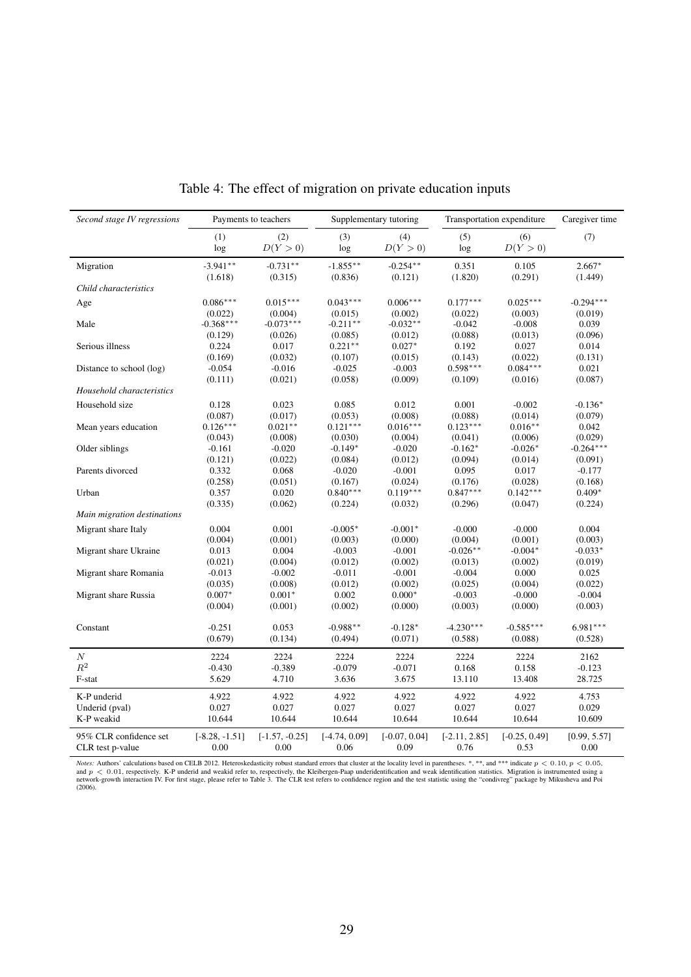<span id="page-31-0"></span>

| Second stage IV regressions |                       | Payments to teachers  |                       | Supplementary tutoring |                  | Transportation expenditure | Caregiver time      |
|-----------------------------|-----------------------|-----------------------|-----------------------|------------------------|------------------|----------------------------|---------------------|
|                             | (1)<br>log            | (2)<br>D(Y>0)         | (3)<br>log            | (4)<br>D(Y>0)          | (5)<br>log       | (6)<br>D(Y>0)              | (7)                 |
| Migration                   | $-3.941**$<br>(1.618) | $-0.731**$<br>(0.315) | $-1.855**$<br>(0.836) | $-0.254**$<br>(0.121)  | 0.351<br>(1.820) | 0.105<br>(0.291)           | $2.667*$<br>(1.449) |
| Child characteristics       |                       |                       |                       |                        |                  |                            |                     |
| Age                         | $0.086***$            | $0.015***$            | $0.043***$            | $0.006***$             | $0.177***$       | $0.025***$                 | $-0.294***$         |
|                             | (0.022)               | (0.004)               | (0.015)               | (0.002)                | (0.022)          | (0.003)                    | (0.019)             |
| Male                        | $-0.368***$           | $-0.073***$           | $-0.211**$            | $-0.032**$             | $-0.042$         | $-0.008$                   | 0.039               |
|                             | (0.129)               | (0.026)               | (0.085)               | (0.012)                | (0.088)          | (0.013)                    | (0.096)             |
| Serious illness             | 0.224<br>(0.169)      | 0.017<br>(0.032)      | $0.221**$<br>(0.107)  | $0.027*$<br>(0.015)    | 0.192<br>(0.143) | 0.027<br>(0.022)           | 0.014<br>(0.131)    |
| Distance to school (log)    | $-0.054$              | $-0.016$              | $-0.025$              | $-0.003$               | $0.598***$       | $0.084***$                 | 0.021               |
|                             | (0.111)               | (0.021)               | (0.058)               | (0.009)                | (0.109)          | (0.016)                    | (0.087)             |
| Household characteristics   |                       |                       |                       |                        |                  |                            |                     |
| Household size              | 0.128                 | 0.023                 | 0.085                 | 0.012                  | 0.001            | $-0.002$                   | $-0.136*$           |
|                             | (0.087)               | (0.017)               | (0.053)               | (0.008)                | (0.088)          | (0.014)                    | (0.079)             |
| Mean years education        | $0.126***$            | $0.021**$             | $0.121***$            | $0.016***$             | $0.123***$       | $0.016**$                  | 0.042               |
|                             | (0.043)               | (0.008)               | (0.030)               | (0.004)                | (0.041)          | (0.006)                    | (0.029)             |
| Older siblings              | $-0.161$              | $-0.020$              | $-0.149*$             | $-0.020$               | $-0.162*$        | $-0.026*$                  | $-0.264***$         |
|                             | (0.121)               | (0.022)               | (0.084)               | (0.012)                | (0.094)          | (0.014)                    | (0.091)             |
| Parents divorced            | 0.332                 | 0.068                 | $-0.020$              | $-0.001$               | 0.095            | 0.017                      | $-0.177$            |
|                             | (0.258)               | (0.051)               | (0.167)               | (0.024)                | (0.176)          | (0.028)                    | (0.168)             |
| Urban                       | 0.357                 | 0.020                 | $0.840***$            | $0.119***$             | $0.847***$       | $0.142***$                 | $0.409*$            |
|                             | (0.335)               | (0.062)               | (0.224)               | (0.032)                | (0.296)          | (0.047)                    | (0.224)             |
| Main migration destinations |                       |                       |                       |                        |                  |                            |                     |
| Migrant share Italy         | 0.004                 | 0.001                 | $-0.005*$             | $-0.001*$              | $-0.000$         | $-0.000$                   | 0.004               |
|                             | (0.004)               | (0.001)               | (0.003)               | (0.000)                | (0.004)          | (0.001)                    | (0.003)             |
| Migrant share Ukraine       | 0.013                 | 0.004                 | $-0.003$              | $-0.001$               | $-0.026**$       | $-0.004*$                  | $-0.033*$           |
|                             | (0.021)               | (0.004)               | (0.012)               | (0.002)                | (0.013)          | (0.002)                    | (0.019)             |
| Migrant share Romania       | $-0.013$              | $-0.002$              | $-0.011$              | $-0.001$               | $-0.004$         | 0.000                      | 0.025               |
|                             | (0.035)               | (0.008)               | (0.012)               | (0.002)                | (0.025)          | (0.004)                    | (0.022)             |
| Migrant share Russia        | $0.007*$              | $0.001*$              | 0.002                 | $0.000*$               | $-0.003$         | $-0.000$                   | $-0.004$            |
|                             | (0.004)               | (0.001)               | (0.002)               | (0.000)                | (0.003)          | (0.000)                    | (0.003)             |
| Constant                    | $-0.251$              | 0.053                 | $-0.988**$            | $-0.128*$              | $-4.230***$      | $-0.585***$                | $6.981***$          |
|                             | (0.679)               | (0.134)               | (0.494)               | (0.071)                | (0.588)          | (0.088)                    | (0.528)             |
| $\boldsymbol{N}$            | 2224                  | 2224                  | 2224                  | 2224                   | 2224             | 2224                       | 2162                |
| $\mathbb{R}^2$              | $-0.430$              | $-0.389$              | $-0.079$              | $-0.071$               | 0.168            | 0.158                      | $-0.123$            |
| F-stat                      | 5.629                 | 4.710                 | 3.636                 | 3.675                  | 13.110           | 13.408                     | 28.725              |
| K-P underid                 | 4.922                 | 4.922                 | 4.922                 | 4.922                  | 4.922            | 4.922                      | 4.753               |
| Underid (pval)              | 0.027                 | 0.027                 | 0.027                 | 0.027                  | 0.027            | 0.027                      | 0.029               |
| K-P weakid                  | 10.644                | 10.644                | 10.644                | 10.644                 | 10.644           | 10.644                     | 10.609              |
| 95% CLR confidence set      | $[-8.28, -1.51]$      | $[-1.57, -0.25]$      | $[-4.74, 0.09]$       | $[-0.07, 0.04]$        | $[-2.11, 2.85]$  | $[-0.25, 0.49]$            | [0.99, 5.57]        |
| CLR test p-value            | 0.00                  | 0.00                  | 0.06                  | 0.09                   | 0.76             | 0.53                       | 0.00                |

Table 4: The effect of migration on private education inputs

*Notes:* Authors' calculations based on CELB 2012. Heteroskedasticity robust standard errors that cluster at the locality level in parentheses. \*, \*\*, and \*\*\* indicate  $p < 0.10$ ,  $p < 0.05$ , and  $p < 0.01$ , respectively. K-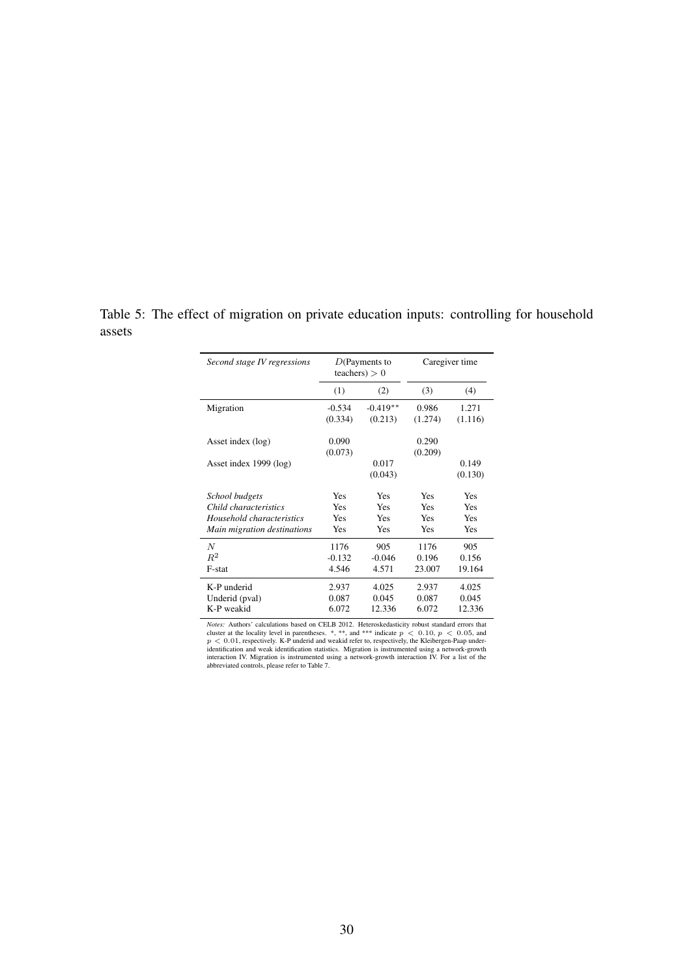| Second stage IV regressions | $D$ (Payments to<br>teachers) $> 0$ |                       |                  | Caregiver time   |
|-----------------------------|-------------------------------------|-----------------------|------------------|------------------|
|                             | (1)                                 | (2)                   | (3)              | (4)              |
| Migration                   | $-0.534$<br>(0.334)                 | $-0.419**$<br>(0.213) | 0.986<br>(1.274) | 1.271<br>(1.116) |
| Asset index (log)           | 0.090<br>(0.073)                    |                       | 0.290<br>(0.209) |                  |
| Asset index 1999 (log)      |                                     | 0.017<br>(0.043)      |                  | 0.149<br>(0.130) |
| School budgets              | Yes                                 | Yes                   | Yes              | Yes              |
| Child characteristics       | Yes                                 | Yes                   | Yes              | Yes              |
| Household characteristics   | Yes                                 | Yes                   | Yes              | Yes              |
| Main migration destinations | Yes                                 | Yes                   | Yes              | Yes              |
| N                           | 1176                                | 905                   | 1176             | 905              |
| $R^2$                       | $-0.132$                            | $-0.046$              | 0.196            | 0.156            |
| F-stat                      | 4.546                               | 4.571                 | 23.007           | 19.164           |
| K-P underid                 | 2.937                               | 4.025                 | 2.937            | 4.025            |
| Underid (pval)              | 0.087                               | 0.045                 | 0.087            | 0.045            |
| K-P weakid                  | 6.072                               | 12.336                | 6.072            | 12.336           |

<span id="page-32-0"></span>Table 5: The effect of migration on private education inputs: controlling for household assets

*Notes:* Authors' calculations based on CELB 2012. Heteroskedasticity robust standard errors that  $\omega$  be the locality level in parentheses. \*, \*\*\*, and \*\*\* indicate  $p < 0.01$ ,  $p < 0.05$ , and  $p < 0.01$ , respectively. K-P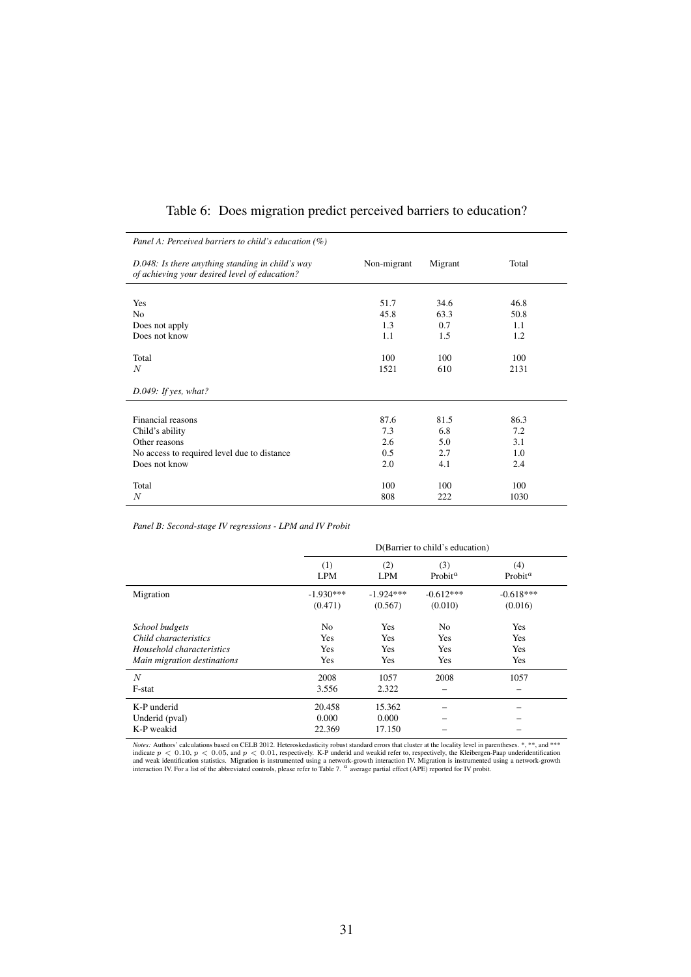<span id="page-33-0"></span>

| D.048: Is there anything standing in child's way<br>of achieving your desired level of education? | Non-migrant | Migrant | Total |
|---------------------------------------------------------------------------------------------------|-------------|---------|-------|
| Yes                                                                                               | 51.7        | 34.6    | 46.8  |
| No                                                                                                | 45.8        | 63.3    | 50.8  |
| Does not apply                                                                                    | 1.3         | 0.7     | 1.1   |
| Does not know                                                                                     | 1.1         | 1.5     | 1.2   |
| Total                                                                                             | 100         | 100     | 100   |
| $\boldsymbol{N}$                                                                                  | 1521        | 610     | 2131  |
| $D.049$ : If yes, what?                                                                           |             |         |       |
| Financial reasons                                                                                 | 87.6        | 81.5    | 86.3  |
| Child's ability                                                                                   | 7.3         | 6.8     | 7.2   |
| Other reasons                                                                                     | 2.6         | 5.0     | 3.1   |
| No access to required level due to distance                                                       | 0.5         | 2.7     | 1.0   |
| Does not know                                                                                     | 2.0         | 4.1     | 2.4   |
| Total                                                                                             | 100         | 100     | 100   |
| $\boldsymbol{N}$                                                                                  | 808         | 222     | 1030  |

#### Table 6: Does migration predict perceived barriers to education?

#### *Panel B: Second-stage IV regressions - LPM and IV Probit*

|                             | D(Barrier to child's education) |                        |                                         |                                         |  |  |
|-----------------------------|---------------------------------|------------------------|-----------------------------------------|-----------------------------------------|--|--|
|                             | (1)<br><b>LPM</b>               | (2)<br><b>LPM</b>      | (3)<br>Probit <sup><math>a</math></sup> | (4)<br>Probit <sup><math>a</math></sup> |  |  |
| Migration                   | $-1.930***$<br>(0.471)          | $-1.924***$<br>(0.567) | $-0.612***$<br>(0.010)                  | $-0.618***$<br>(0.016)                  |  |  |
| School budgets              | No                              | Yes                    | No                                      | Yes                                     |  |  |
| Child characteristics       | Yes                             | Yes                    | Yes                                     | Yes                                     |  |  |
| Household characteristics   | Yes                             | Yes                    | Yes                                     | Yes                                     |  |  |
| Main migration destinations | Yes                             | Yes                    | Yes                                     | Yes                                     |  |  |
| $\boldsymbol{N}$            | 2008                            | 1057                   | 2008                                    | 1057                                    |  |  |
| F-stat                      | 3.556                           | 2.322                  |                                         |                                         |  |  |
| K-P underid                 | 20.458                          | 15.362                 |                                         |                                         |  |  |
| Underid (pval)              | 0.000                           | 0.000                  |                                         |                                         |  |  |
| K-P weakid                  | 22.369                          | 17.150                 |                                         |                                         |  |  |

*Notes:* Authors' calculations based on CELB 2012. Heteroskedasticity robust standard errors that cluster at the locality level in parentheses. \*, \*\*, and \*\*\*<br>indicate  $p < 0.10$ ,  $p < 0.05$ , and  $p < 0.01$ , respectively. K-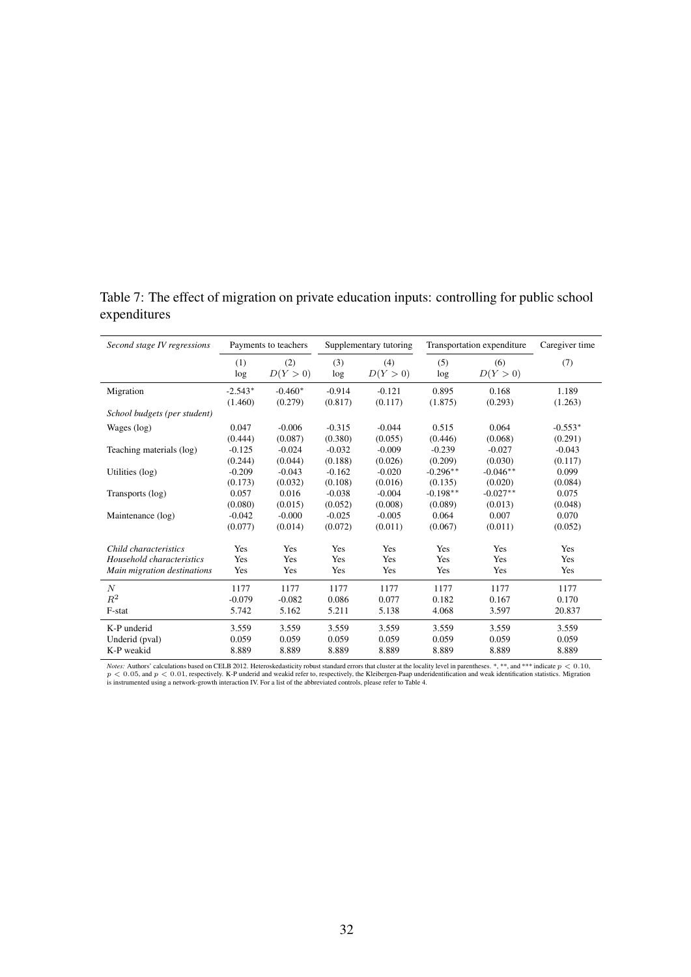| Second stage IV regressions  | Payments to teachers |               |            | Supplementary tutoring | Transportation expenditure | Caregiver time |           |
|------------------------------|----------------------|---------------|------------|------------------------|----------------------------|----------------|-----------|
|                              | (1)<br>log           | (2)<br>D(Y>0) | (3)<br>log | (4)<br>D(Y>0)          | (5)<br>log                 | (6)<br>D(Y>0)  | (7)       |
| Migration                    | $-2.543*$            | $-0.460*$     | $-0.914$   | $-0.121$               | 0.895                      | 0.168          | 1.189     |
|                              | (1.460)              | (0.279)       | (0.817)    | (0.117)                | (1.875)                    | (0.293)        | (1.263)   |
| School budgets (per student) |                      |               |            |                        |                            |                |           |
| Wages (log)                  | 0.047                | $-0.006$      | $-0.315$   | $-0.044$               | 0.515                      | 0.064          | $-0.553*$ |
|                              | (0.444)              | (0.087)       | (0.380)    | (0.055)                | (0.446)                    | (0.068)        | (0.291)   |
| Teaching materials (log)     | $-0.125$             | $-0.024$      | $-0.032$   | $-0.009$               | $-0.239$                   | $-0.027$       | $-0.043$  |
|                              | (0.244)              | (0.044)       | (0.188)    | (0.026)                | (0.209)                    | (0.030)        | (0.117)   |
| Utilities (log)              | $-0.209$             | $-0.043$      | $-0.162$   | $-0.020$               | $-0.296**$                 | $-0.046**$     | 0.099     |
|                              | (0.173)              | (0.032)       | (0.108)    | (0.016)                | (0.135)                    | (0.020)        | (0.084)   |
| Transports (log)             | 0.057                | 0.016         | $-0.038$   | $-0.004$               | $-0.198**$                 | $-0.027**$     | 0.075     |
|                              | (0.080)              | (0.015)       | (0.052)    | (0.008)                | (0.089)                    | (0.013)        | (0.048)   |
| Maintenance (log)            | $-0.042$             | $-0.000$      | $-0.025$   | $-0.005$               | 0.064                      | 0.007          | 0.070     |
|                              | (0.077)              | (0.014)       | (0.072)    | (0.011)                | (0.067)                    | (0.011)        | (0.052)   |
| Child characteristics        | Yes                  | Yes           | Yes        | Yes                    | Yes                        | Yes            | Yes       |
| Household characteristics    | Yes                  | Yes           | Yes        | Yes                    | Yes                        | Yes            | Yes       |
| Main migration destinations  | Yes                  | Yes           | Yes        | Yes                    | Yes                        | Yes            | Yes       |
| $\boldsymbol{N}$             | 1177                 | 1177          | 1177       | 1177                   | 1177                       | 1177           | 1177      |
| $R^2$                        | $-0.079$             | $-0.082$      | 0.086      | 0.077                  | 0.182                      | 0.167          | 0.170     |
| F-stat                       | 5.742                | 5.162         | 5.211      | 5.138                  | 4.068                      | 3.597          | 20.837    |
| K-P underid                  | 3.559                | 3.559         | 3.559      | 3.559                  | 3.559                      | 3.559          | 3.559     |
| Underid (pval)               | 0.059                | 0.059         | 0.059      | 0.059                  | 0.059                      | 0.059          | 0.059     |
| K-P weakid                   | 8.889                | 8.889         | 8.889      | 8.889                  | 8.889                      | 8.889          | 8.889     |

<span id="page-34-0"></span>Table 7: The effect of migration on private education inputs: controlling for public school expenditures

*Notes:* Authors' calculations based on CELB 2012. Heteroskedasticity robust standard errors that cluster at the locality level in parentheses. \*, \*\*, and \*\*\* indicate  $p < 0.10$ <br> $p < 0.05$ , and  $p < 0.01$ , respectively. K-P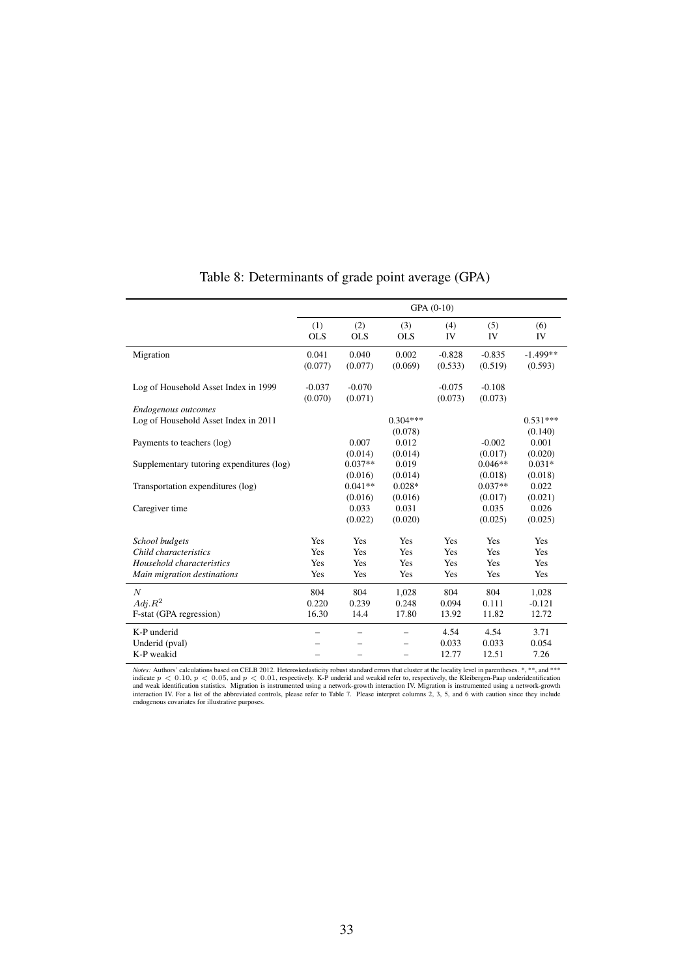<span id="page-35-0"></span>

|                                           |                   |                   |                   | $GPA(0-10)$ |           |            |
|-------------------------------------------|-------------------|-------------------|-------------------|-------------|-----------|------------|
|                                           | (1)<br><b>OLS</b> | (2)<br><b>OLS</b> | (3)<br><b>OLS</b> | (4)<br>IV   | (5)<br>IV | (6)<br>IV  |
| Migration                                 | 0.041             | 0.040             | 0.002             | $-0.828$    | $-0.835$  | $-1.499**$ |
|                                           | (0.077)           | (0.077)           | (0.069)           | (0.533)     | (0.519)   | (0.593)    |
| Log of Household Asset Index in 1999      | $-0.037$          | $-0.070$          |                   | $-0.075$    | $-0.108$  |            |
|                                           | (0.070)           | (0.071)           |                   | (0.073)     | (0.073)   |            |
| Endogenous outcomes                       |                   |                   |                   |             |           |            |
| Log of Household Asset Index in 2011      |                   |                   | $0.304***$        |             |           | $0.531***$ |
|                                           |                   |                   | (0.078)           |             |           | (0.140)    |
| Payments to teachers (log)                |                   | 0.007             | 0.012             |             | $-0.002$  | 0.001      |
|                                           |                   | (0.014)           | (0.014)           |             | (0.017)   | (0.020)    |
| Supplementary tutoring expenditures (log) |                   | $0.037**$         | 0.019             |             | $0.046**$ | $0.031*$   |
|                                           |                   | (0.016)           | (0.014)           |             | (0.018)   | (0.018)    |
| Transportation expenditures (log)         |                   | $0.041**$         | $0.028*$          |             | $0.037**$ | 0.022      |
|                                           |                   | (0.016)           | (0.016)           |             | (0.017)   | (0.021)    |
| Caregiver time                            |                   | 0.033             | 0.031             |             | 0.035     | 0.026      |
|                                           |                   | (0.022)           | (0.020)           |             | (0.025)   | (0.025)    |
| School budgets                            | Yes               | Yes               | Yes               | Yes         | Yes       | Yes        |
| Child characteristics                     | Yes               | Yes               | Yes               | Yes         | Yes       | Yes        |
| Household characteristics                 | Yes               | Yes               | Yes               | Yes         | Yes       | Yes        |
| Main migration destinations               | Yes               | Yes               | Yes               | Yes         | Yes       | Yes        |
| $\boldsymbol{N}$                          | 804               | 804               | 1,028             | 804         | 804       | 1,028      |
| $Adj.R^2$                                 | 0.220             | 0.239             | 0.248             | 0.094       | 0.111     | $-0.121$   |
| F-stat (GPA regression)                   | 16.30             | 14.4              | 17.80             | 13.92       | 11.82     | 12.72      |
| K-P underid                               |                   |                   |                   | 4.54        | 4.54      | 3.71       |
| Underid (pval)                            |                   |                   |                   | 0.033       | 0.033     | 0.054      |
| K-P weakid                                |                   |                   |                   | 12.77       | 12.51     | 7.26       |

#### Table 8: Determinants of grade point average (GPA)

*Notes:* Authors' calculations based on CELB 2012. Heteroskedasticity robust standard errors that cluster at the locality level in parentheses. \*, \*\*, and \*\*\*<br>indicate  $p < 0.10$ ,  $p < 0.05$ , and  $p < 0.01$ , respectively. K-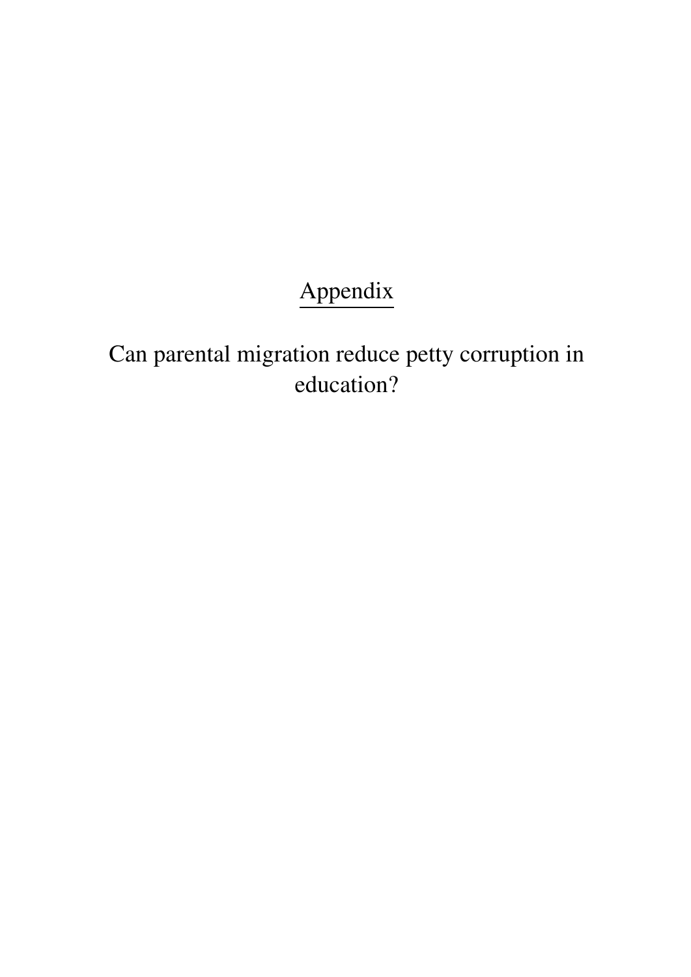# Appendix

# Can parental migration reduce petty corruption in education?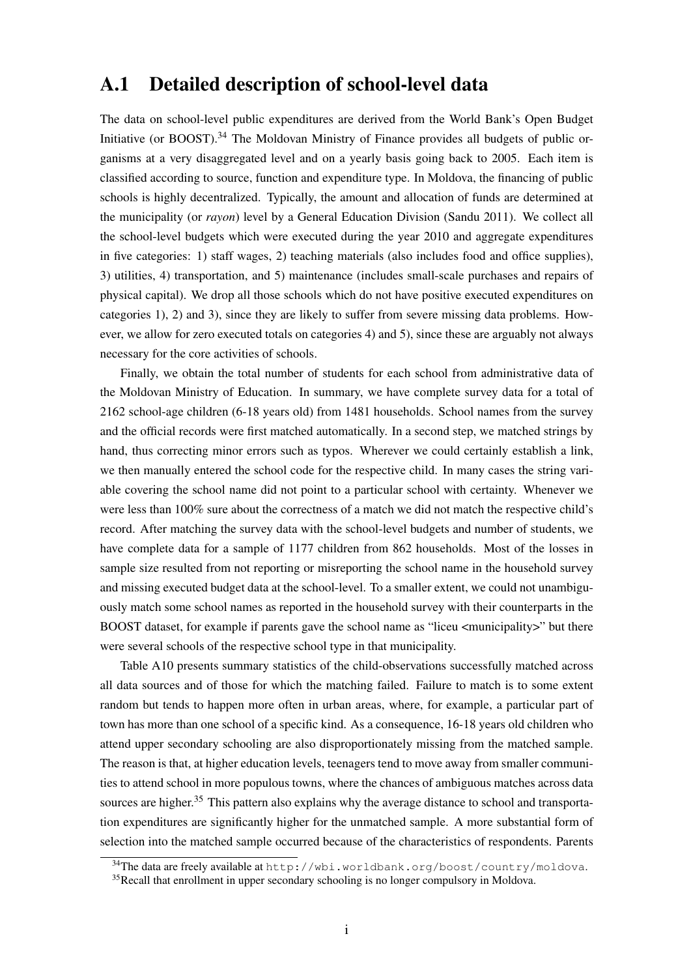## A.1 Detailed description of school-level data

The data on school-level public expenditures are derived from the World Bank's Open Budget Initiative (or BOOST).<sup>[34](#page-37-0)</sup> The Moldovan Ministry of Finance provides all budgets of public organisms at a very disaggregated level and on a yearly basis going back to 2005. Each item is classified according to source, function and expenditure type. In Moldova, the financing of public schools is highly decentralized. Typically, the amount and allocation of funds are determined at the municipality (or *rayon*) level by a General Education Division (Sandu [2011\)](#page-26-12). We collect all the school-level budgets which were executed during the year 2010 and aggregate expenditures in five categories: 1) staff wages, 2) teaching materials (also includes food and office supplies), 3) utilities, 4) transportation, and 5) maintenance (includes small-scale purchases and repairs of physical capital). We drop all those schools which do not have positive executed expenditures on categories 1), 2) and 3), since they are likely to suffer from severe missing data problems. However, we allow for zero executed totals on categories 4) and 5), since these are arguably not always necessary for the core activities of schools.

Finally, we obtain the total number of students for each school from administrative data of the Moldovan Ministry of Education. In summary, we have complete survey data for a total of 2162 school-age children (6-18 years old) from 1481 households. School names from the survey and the official records were first matched automatically. In a second step, we matched strings by hand, thus correcting minor errors such as typos. Wherever we could certainly establish a link, we then manually entered the school code for the respective child. In many cases the string variable covering the school name did not point to a particular school with certainty. Whenever we were less than 100% sure about the correctness of a match we did not match the respective child's record. After matching the survey data with the school-level budgets and number of students, we have complete data for a sample of 1177 children from 862 households. Most of the losses in sample size resulted from not reporting or misreporting the school name in the household survey and missing executed budget data at the school-level. To a smaller extent, we could not unambiguously match some school names as reported in the household survey with their counterparts in the BOOST dataset, for example if parents gave the school name as "liceu <municipality>" but there were several schools of the respective school type in that municipality.

Table [A10](#page-46-0) presents summary statistics of the child-observations successfully matched across all data sources and of those for which the matching failed. Failure to match is to some extent random but tends to happen more often in urban areas, where, for example, a particular part of town has more than one school of a specific kind. As a consequence, 16-18 years old children who attend upper secondary schooling are also disproportionately missing from the matched sample. The reason is that, at higher education levels, teenagers tend to move away from smaller communities to attend school in more populous towns, where the chances of ambiguous matches across data sources are higher. $35$  This pattern also explains why the average distance to school and transportation expenditures are significantly higher for the unmatched sample. A more substantial form of selection into the matched sample occurred because of the characteristics of respondents. Parents

<span id="page-37-0"></span> $34$ The data are freely available at <http://wbi.worldbank.org/boost/country/moldova>.

<span id="page-37-1"></span><sup>&</sup>lt;sup>35</sup>Recall that enrollment in upper secondary schooling is no longer compulsory in Moldova.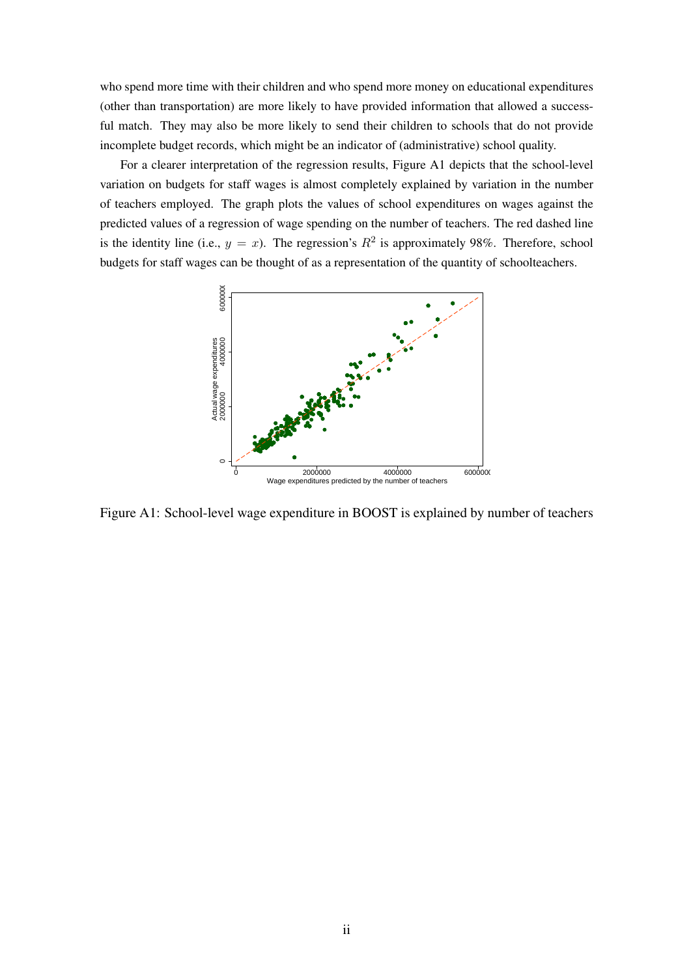who spend more time with their children and who spend more money on educational expenditures (other than transportation) are more likely to have provided information that allowed a successful match. They may also be more likely to send their children to schools that do not provide incomplete budget records, which might be an indicator of (administrative) school quality.

For a clearer interpretation of the regression results, Figure [A1](#page-38-0) depicts that the school-level variation on budgets for staff wages is almost completely explained by variation in the number of teachers employed. The graph plots the values of school expenditures on wages against the predicted values of a regression of wage spending on the number of teachers. The red dashed line is the identity line (i.e.,  $y = x$ ). The regression's  $R^2$  is approximately 98%. Therefore, school budgets for staff wages can be thought of as a representation of the quantity of schoolteachers.

<span id="page-38-0"></span>

Figure A1: School-level wage expenditure in BOOST is explained by number of teachers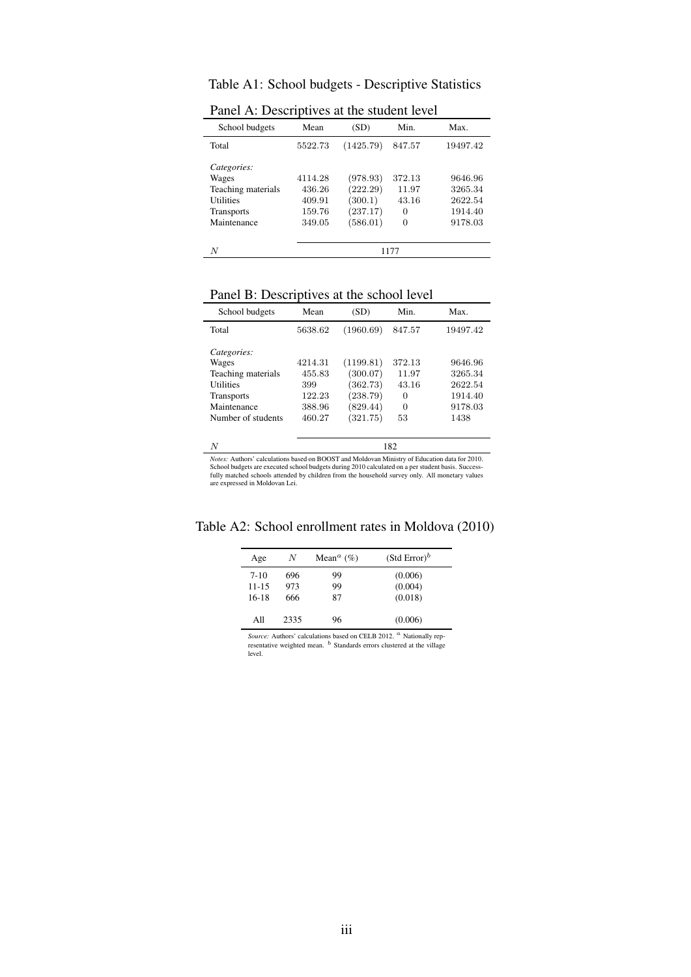|                    | Panel A: Descriptives at the student level |           |          |          |  |  |  |
|--------------------|--------------------------------------------|-----------|----------|----------|--|--|--|
| School budgets     | Mean                                       | (SD)      | Min.     | Max.     |  |  |  |
| Total              | 5522.73                                    | (1425.79) | 847.57   | 19497.42 |  |  |  |
| Categories:        |                                            |           |          |          |  |  |  |
| Wages              | 4114.28                                    | (978.93)  | 372.13   | 9646.96  |  |  |  |
| Teaching materials | 436.26                                     | (222.29)  | 11.97    | 3265.34  |  |  |  |
| Utilities          | 409.91                                     | (300.1)   | 43.16    | 2622.54  |  |  |  |
| <b>Transports</b>  | 159.76                                     | (237.17)  | $\Omega$ | 1914.40  |  |  |  |
| Maintenance        | 349.05                                     | (586.01)  | $\Omega$ | 9178.03  |  |  |  |
|                    |                                            |           |          |          |  |  |  |
| N                  |                                            |           | 1177     |          |  |  |  |

<span id="page-39-1"></span>Table A1: School budgets - Descriptive Statistics

| Panel B: Descriptives at the school level |  |  |  |
|-------------------------------------------|--|--|--|
|-------------------------------------------|--|--|--|

|                    |         | (SD)      | Min.     | Max.     |
|--------------------|---------|-----------|----------|----------|
| Total              | 5638.62 | (1960.69) | 847.57   | 19497.42 |
| Categories:        |         |           |          |          |
| Wages              | 4214.31 | (1199.81) | 372.13   | 9646.96  |
| Teaching materials | 455.83  | (300.07)  | 11.97    | 3265.34  |
| <b>Utilities</b>   | 399     | (362.73)  | 43.16    | 2622.54  |
| <b>Transports</b>  | 122.23  | (238.79)  | 0        | 1914.40  |
| Maintenance        | 388.96  | (829.44)  | $\Omega$ | 9178.03  |
| Number of students | 460.27  | (321.75)  | 53       | 1438     |

*Notes:* Authors' calculations based on BOOST and Moldovan Ministry of Education data for 2010. School budgets are executed school budgets during 2010 calculated on a per student basis. Success-fully matched schools attended by children from the household survey only. All monetary values are expressed in Moldovan Lei.

<span id="page-39-0"></span>Table A2: School enrollment rates in Moldova (2010)

| Age       | N    | Mean <sup><math>a</math></sup> (%) | $(Std Error)^b$ |
|-----------|------|------------------------------------|-----------------|
| $7-10$    | 696  | 99                                 | (0.006)         |
| $11 - 15$ | 973  | 99                                 | (0.004)         |
| $16-18$   | 666  | 87                                 | (0.018)         |
| All       | 2335 | 96                                 | (0.006)         |

*Source:* Authors' calculations based on CELB 2012. <sup>a</sup> Nationally representative weighted mean. <sup>b</sup> Standards errors clustered at the village level.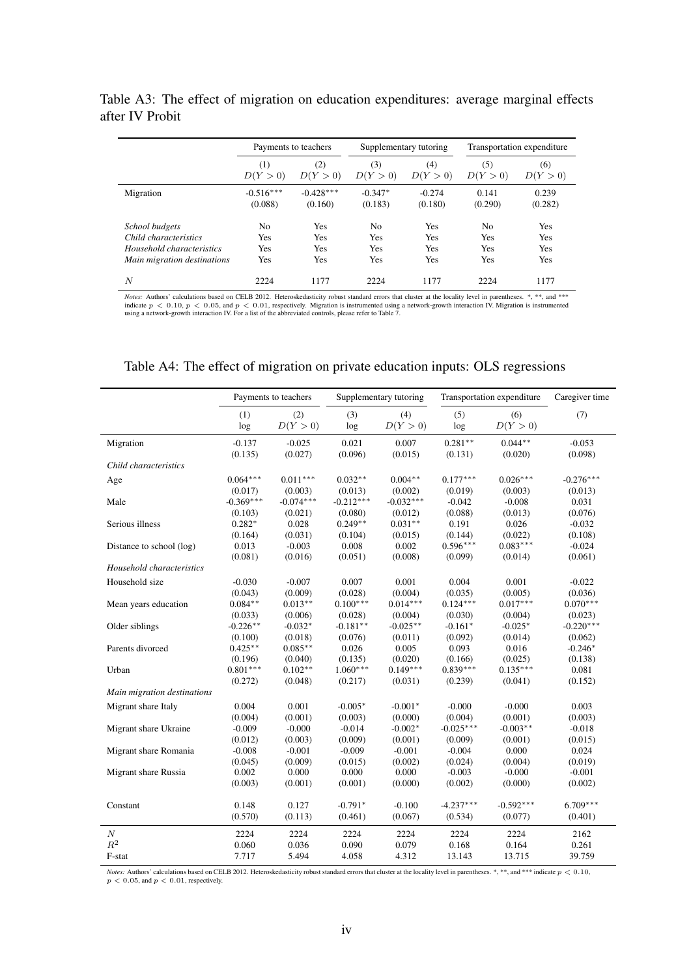<span id="page-40-0"></span>Table A3: The effect of migration on education expenditures: average marginal effects after IV Probit

|                             | Payments to teachers   |                        |                      | Supplementary tutoring | Transportation expenditure |                  |
|-----------------------------|------------------------|------------------------|----------------------|------------------------|----------------------------|------------------|
|                             | (1)<br>D(Y>0)          | (2)<br>D(Y>0)          | (3)<br>D(Y>0)        | (4)<br>D(Y>0)          | (5)<br>D(Y>0)              | (6)<br>D(Y>0)    |
| Migration                   | $-0.516***$<br>(0.088) | $-0.428***$<br>(0.160) | $-0.347*$<br>(0.183) | $-0.274$<br>(0.180)    | 0.141<br>(0.290)           | 0.239<br>(0.282) |
| School budgets              | No.                    | Yes                    | No                   | <b>Yes</b>             | No                         | Yes              |
| Child characteristics       | Yes                    | Yes                    | Yes                  | Yes                    | Yes                        | Yes              |
| Household characteristics   | Yes                    | Yes                    | Yes                  | Yes                    | Yes                        | Yes              |
| Main migration destinations | Yes                    | Yes                    | Yes                  | Yes                    | <b>Yes</b>                 | Yes              |
| N                           | 2224                   | 1177                   | 2224                 | 1177                   | 2224                       | 1177             |

*Notes:* Authors' calculations based on CELB 2012. Heteroskedasticity robust standard errors that cluster at the locality level in parentheses. \*, \*\*, and \*\*\*<br>indicate  $p < 0.10$ ,  $p < 0.05$ , and  $p < 0.01$ , respectively. Mig

<span id="page-40-1"></span>

| Table A4: The effect of migration on private education inputs: OLS regressions |  |  |  |  |
|--------------------------------------------------------------------------------|--|--|--|--|
|--------------------------------------------------------------------------------|--|--|--|--|

|                             |                     | Payments to teachers |                  | Supplementary tutoring |                      | Transportation expenditure | Caregiver time      |
|-----------------------------|---------------------|----------------------|------------------|------------------------|----------------------|----------------------------|---------------------|
|                             | (1)<br>log          | (2)<br>D(Y>0)        | (3)<br>log       | (4)<br>D(Y>0)          | (5)<br>log           | (6)<br>D(Y>0)              | (7)                 |
| Migration                   | $-0.137$<br>(0.135) | $-0.025$<br>(0.027)  | 0.021<br>(0.096) | 0.007<br>(0.015)       | $0.281**$<br>(0.131) | $0.044**$<br>(0.020)       | $-0.053$<br>(0.098) |
| Child characteristics       |                     |                      |                  |                        |                      |                            |                     |
| Age                         | $0.064***$          | $0.011***$           | $0.032**$        | $0.004**$              | $0.177***$           | $0.026***$                 | $-0.276***$         |
|                             | (0.017)             | (0.003)              | (0.013)          | (0.002)                | (0.019)              | (0.003)                    | (0.013)             |
| Male                        | $-0.369***$         | $-0.074***$          | $-0.212***$      | $-0.032***$            | $-0.042$             | $-0.008$                   | 0.031               |
|                             | (0.103)             | (0.021)              | (0.080)          | (0.012)                | (0.088)              | (0.013)                    | (0.076)             |
| Serious illness             | $0.282*$            | 0.028                | $0.249**$        | $0.031**$              | 0.191                | 0.026                      | $-0.032$            |
|                             | (0.164)             | (0.031)              | (0.104)          | (0.015)                | (0.144)              | (0.022)                    | (0.108)             |
| Distance to school (log)    | 0.013               | $-0.003$             | 0.008            | 0.002                  | $0.596***$           | $0.083***$                 | $-0.024$            |
|                             | (0.081)             | (0.016)              | (0.051)          | (0.008)                | (0.099)              | (0.014)                    | (0.061)             |
| Household characteristics   |                     |                      |                  |                        |                      |                            |                     |
| Household size              | $-0.030$            | $-0.007$             | 0.007            | 0.001                  | 0.004                | 0.001                      | $-0.022$            |
|                             | (0.043)             | (0.009)              | (0.028)          | (0.004)                | (0.035)              | (0.005)                    | (0.036)             |
| Mean years education        | $0.084**$           | $0.013**$            | $0.100***$       | $0.014***$             | $0.124***$           | $0.017***$                 | $0.070***$          |
|                             | (0.033)             | (0.006)              | (0.028)          | (0.004)                | (0.030)              | (0.004)                    | (0.023)             |
| Older siblings              | $-0.226**$          | $-0.032*$            | $-0.181**$       | $-0.025**$             | $-0.161*$            | $-0.025*$                  | $-0.220***$         |
|                             | (0.100)             | (0.018)              | (0.076)          | (0.011)                | (0.092)              | (0.014)                    | (0.062)             |
| Parents divorced            | $0.425**$           | $0.085**$            | 0.026            | 0.005                  | 0.093                | 0.016                      | $-0.246*$           |
|                             | (0.196)             | (0.040)              | (0.135)          | (0.020)                | (0.166)              | (0.025)                    | (0.138)             |
| Urban                       | $0.801***$          | $0.102**$            | $1.060***$       | $0.149***$             | $0.839***$           | $0.135***$                 | 0.081               |
|                             | (0.272)             | (0.048)              | (0.217)          | (0.031)                | (0.239)              | (0.041)                    | (0.152)             |
| Main migration destinations |                     |                      |                  |                        |                      |                            |                     |
| Migrant share Italy         | 0.004               | 0.001                | $-0.005*$        | $-0.001*$              | $-0.000$             | $-0.000$                   | 0.003               |
|                             | (0.004)             | (0.001)              | (0.003)          | (0.000)                | (0.004)              | (0.001)                    | (0.003)             |
| Migrant share Ukraine       | $-0.009$            | $-0.000$             | $-0.014$         | $-0.002*$              | $-0.025***$          | $-0.003**$                 | $-0.018$            |
|                             | (0.012)             | (0.003)              | (0.009)          | (0.001)                | (0.009)              | (0.001)                    | (0.015)             |
| Migrant share Romania       | $-0.008$            | $-0.001$             | $-0.009$         | $-0.001$               | $-0.004$             | 0.000                      | 0.024               |
|                             | (0.045)             | (0.009)              | (0.015)          | (0.002)                | (0.024)              | (0.004)                    | (0.019)             |
| Migrant share Russia        | 0.002               | 0.000                | 0.000            | 0.000                  | $-0.003$             | $-0.000$                   | $-0.001$            |
|                             | (0.003)             | (0.001)              | (0.001)          | (0.000)                | (0.002)              | (0.000)                    | (0.002)             |
| Constant                    | 0.148               | 0.127                | $-0.791*$        | $-0.100$               | $-4.237***$          | $-0.592***$                | $6.709***$          |
|                             | (0.570)             | (0.113)              | (0.461)          | (0.067)                | (0.534)              | (0.077)                    | (0.401)             |
| $\boldsymbol{N}$            | 2224                | 2224                 | 2224             | 2224                   | 2224                 | 2224                       | 2162                |
| $R^2$                       | 0.060               | 0.036                | 0.090            | 0.079                  | 0.168                | 0.164                      | 0.261               |
| F-stat                      | 7.717               | 5.494                | 4.058            | 4.312                  | 13.143               | 13.715                     | 39.759              |

*Notes:* Authors' calculations based on CELB 2012. Heteroskedasticity robust standard errors that cluster at the locality level in parentheses. \*, \*\*, and \*\*\* indicate  $p < 0.10$ ,  $p < 0.01$ , respectively.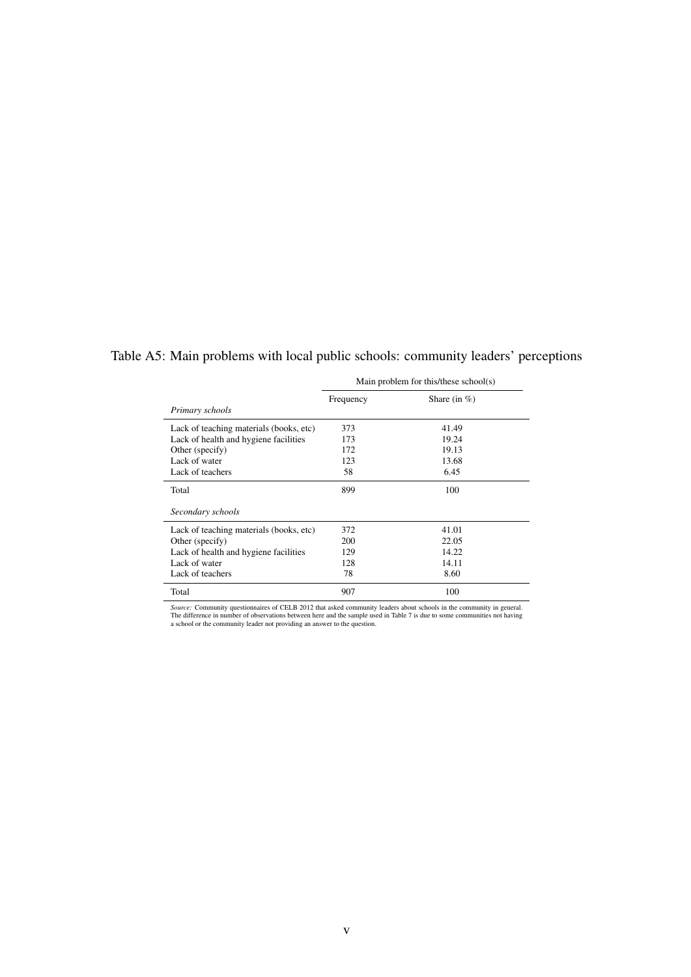|                                         | Main problem for this/these school(s) |                  |  |  |  |
|-----------------------------------------|---------------------------------------|------------------|--|--|--|
|                                         | Frequency                             | Share (in $\%$ ) |  |  |  |
| Primary schools                         |                                       |                  |  |  |  |
| Lack of teaching materials (books, etc) | 373                                   | 41.49            |  |  |  |
| Lack of health and hygiene facilities   | 173                                   | 19.24            |  |  |  |
| Other (specify)                         | 172                                   | 19.13            |  |  |  |
| Lack of water                           | 123                                   | 13.68            |  |  |  |
| Lack of teachers                        | 58                                    | 6.45             |  |  |  |
| Total                                   | 899                                   | 100              |  |  |  |
| Secondary schools                       |                                       |                  |  |  |  |
| Lack of teaching materials (books, etc) | 372                                   | 41.01            |  |  |  |
| Other (specify)                         | 200                                   | 22.05            |  |  |  |
| Lack of health and hygiene facilities   | 129                                   | 14.22            |  |  |  |
| Lack of water                           | 128                                   | 14.11            |  |  |  |
| Lack of teachers                        | 78                                    | 8.60             |  |  |  |
| Total                                   | 907                                   | 100              |  |  |  |

<span id="page-41-0"></span>Table A5: Main problems with local public schools: community leaders' perceptions

Source: Community questionnaires of CELB 2012 that asked community leaders about schools in the community in general.<br>The difference in number of observations between here and the sample used in Table [7](#page-34-0) is due to some comm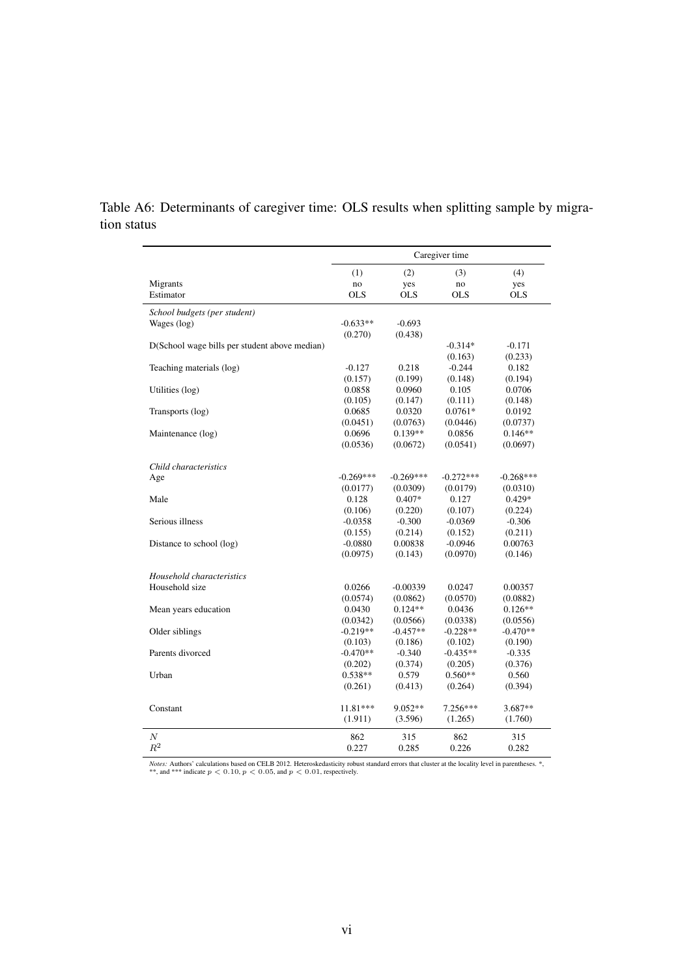|                                               |             |             | Caregiver time |             |
|-----------------------------------------------|-------------|-------------|----------------|-------------|
|                                               | (1)         | (2)         | (3)            | (4)         |
| Migrants                                      | no          | yes         | no             | yes         |
| Estimator                                     | <b>OLS</b>  | <b>OLS</b>  | <b>OLS</b>     | <b>OLS</b>  |
| School budgets (per student)                  |             |             |                |             |
| Wages (log)                                   | $-0.633**$  | $-0.693$    |                |             |
|                                               | (0.270)     | (0.438)     |                |             |
| D(School wage bills per student above median) |             |             | $-0.314*$      | $-0.171$    |
|                                               |             |             | (0.163)        | (0.233)     |
| Teaching materials (log)                      | $-0.127$    | 0.218       | $-0.244$       | 0.182       |
|                                               | (0.157)     | (0.199)     | (0.148)        | (0.194)     |
| Utilities (log)                               | 0.0858      | 0.0960      | 0.105          | 0.0706      |
|                                               | (0.105)     | (0.147)     | (0.111)        | (0.148)     |
| Transports (log)                              | 0.0685      | 0.0320      | $0.0761*$      | 0.0192      |
|                                               | (0.0451)    | (0.0763)    | (0.0446)       | (0.0737)    |
| Maintenance (log)                             | 0.0696      | $0.139**$   | 0.0856         | $0.146**$   |
|                                               | (0.0536)    | (0.0672)    | (0.0541)       | (0.0697)    |
| Child characteristics                         |             |             |                |             |
| Age                                           | $-0.269***$ | $-0.269***$ | $-0.272***$    | $-0.268***$ |
|                                               | (0.0177)    | (0.0309)    | (0.0179)       | (0.0310)    |
| Male                                          | 0.128       | $0.407*$    | 0.127          | $0.429*$    |
|                                               | (0.106)     | (0.220)     | (0.107)        | (0.224)     |
| Serious illness                               | $-0.0358$   | $-0.300$    | $-0.0369$      | $-0.306$    |
|                                               | (0.155)     | (0.214)     | (0.152)        | (0.211)     |
| Distance to school (log)                      | $-0.0880$   | 0.00838     | $-0.0946$      | 0.00763     |
|                                               | (0.0975)    | (0.143)     | (0.0970)       | (0.146)     |
| Household characteristics                     |             |             |                |             |
| Household size                                | 0.0266      | $-0.00339$  | 0.0247         | 0.00357     |
|                                               | (0.0574)    | (0.0862)    | (0.0570)       | (0.0882)    |
| Mean years education                          | 0.0430      | $0.124**$   | 0.0436         | $0.126**$   |
|                                               | (0.0342)    | (0.0566)    | (0.0338)       | (0.0556)    |
| Older siblings                                | $-0.219**$  | $-0.457**$  | $-0.228**$     | $-0.470**$  |
|                                               | (0.103)     | (0.186)     | (0.102)        | (0.190)     |
| Parents divorced                              | $-0.470**$  | $-0.340$    | $-0.435**$     | $-0.335$    |
|                                               | (0.202)     | (0.374)     | (0.205)        | (0.376)     |
| Urban                                         | $0.538**$   | 0.579       | $0.560**$      | 0.560       |
|                                               | (0.261)     | (0.413)     | (0.264)        | (0.394)     |
| Constant                                      | 11.81***    | 9.052**     | $7.256***$     | 3.687**     |
|                                               | (1.911)     | (3.596)     | (1.265)        | (1.760)     |
| $\boldsymbol{N}$                              | 862         | 315         | 862            | 315         |
| $\mathbb{R}^2$                                | 0.227       | 0.285       | 0.226          | 0.282       |

#### <span id="page-42-0"></span>Table A6: Determinants of caregiver time: OLS results when splitting sample by migration status

*Notes:* Authors' calculations based on CELB 2012. Heteroskedasticity robust standard errors that cluster at the locality level in parentheses. \*, \*\*, and \*\*\* indicate  $p < 0.10$ ,  $p < 0.05$ , and  $p < 0.01$ , respectively.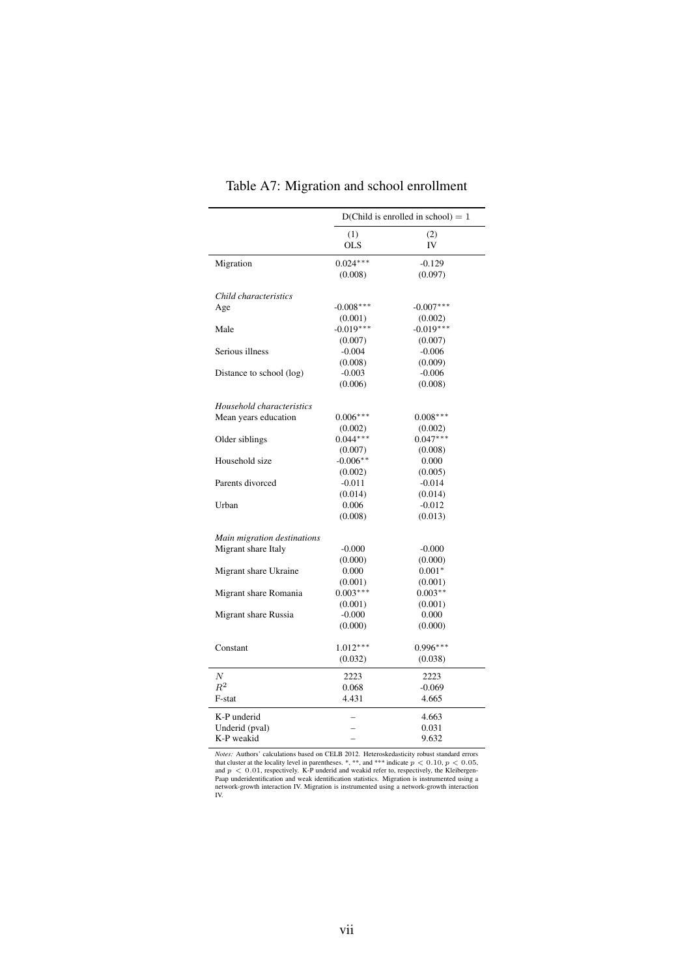<span id="page-43-0"></span>

|                             | $D(Child is enrolled in school) = 1$ |             |  |  |
|-----------------------------|--------------------------------------|-------------|--|--|
|                             | (1)                                  | (2)         |  |  |
|                             | <b>OLS</b>                           | IV          |  |  |
| Migration                   | $0.024***$                           | $-0.129$    |  |  |
|                             | (0.008)                              | (0.097)     |  |  |
| Child characteristics       |                                      |             |  |  |
| Age                         | $-0.008***$                          | $-0.007***$ |  |  |
|                             | (0.001)                              | (0.002)     |  |  |
| Male                        | $-0.019***$                          | $-0.019***$ |  |  |
|                             | (0.007)                              | (0.007)     |  |  |
| Serious illness             | $-0.004$                             | $-0.006$    |  |  |
|                             | (0.008)                              | (0.009)     |  |  |
| Distance to school (log)    | $-0.003$                             | $-0.006$    |  |  |
|                             | (0.006)                              | (0.008)     |  |  |
| Household characteristics   |                                      |             |  |  |
| Mean years education        | $0.006***$                           | $0.008***$  |  |  |
|                             | (0.002)                              | (0.002)     |  |  |
| Older siblings              | $0.044***$                           | $0.047***$  |  |  |
|                             | (0.007)                              | (0.008)     |  |  |
| Household size              | $-0.006**$                           | 0.000       |  |  |
|                             | (0.002)                              | (0.005)     |  |  |
| Parents divorced            | $-0.011$                             | $-0.014$    |  |  |
|                             | (0.014)                              | (0.014)     |  |  |
| Urban                       | 0.006                                | $-0.012$    |  |  |
|                             | (0.008)                              | (0.013)     |  |  |
| Main migration destinations |                                      |             |  |  |
| Migrant share Italy         | $-0.000$                             | $-0.000$    |  |  |
|                             | (0.000)                              | (0.000)     |  |  |
| Migrant share Ukraine       | 0.000                                | $0.001*$    |  |  |
|                             | (0.001)                              | (0.001)     |  |  |
| Migrant share Romania       | $0.003***$                           | $0.003**$   |  |  |
|                             | (0.001)                              | (0.001)     |  |  |
| Migrant share Russia        | $-0.000$                             | 0.000       |  |  |
|                             | (0.000)                              | (0.000)     |  |  |
| Constant                    | $1.012***$                           | $0.996***$  |  |  |
|                             | (0.032)                              | (0.038)     |  |  |
| Ν                           | 2223                                 | 2223        |  |  |
| $R^2$                       | 0.068                                | $-0.069$    |  |  |
| F-stat                      | 4.431                                | 4.665       |  |  |
| K-P underid                 |                                      | 4.663       |  |  |
| Underid (pval)              |                                      | 0.031       |  |  |
| K-P weakid                  |                                      | 9.632       |  |  |

#### Table A7: Migration and school enrollment

*Notes:* Authors' calculations based on CELB 2012. Heteroskedasticity robust standard errors<br>that cluster at the locality level in paramheses. \*, \*\*\*, and \*\*\* indicate  $p < 0.01$ ,  $p < 0.05$ , respectively. K-P underid and w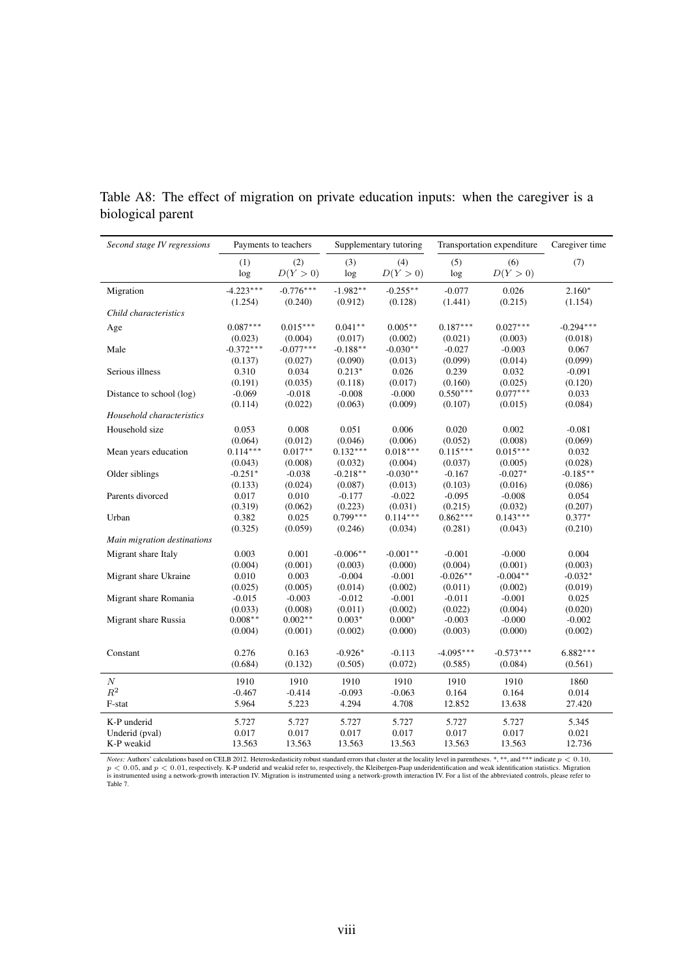| Second stage IV regressions |             | Payments to teachers |            | Supplementary tutoring |             | Transportation expenditure | Caregiver time |
|-----------------------------|-------------|----------------------|------------|------------------------|-------------|----------------------------|----------------|
|                             | (1)<br>log  | (2)<br>D(Y>0)        | (3)<br>log | (4)<br>D(Y>0)          | (5)<br>log  | (6)<br>D(Y>0)              | (7)            |
| Migration                   | $-4.223***$ | $-0.776***$          | $-1.982**$ | $-0.255**$             | $-0.077$    | 0.026                      | $2.160*$       |
|                             | (1.254)     | (0.240)              | (0.912)    | (0.128)                | (1.441)     | (0.215)                    | (1.154)        |
| Child characteristics       |             |                      |            |                        |             |                            |                |
| Age                         | $0.087***$  | $0.015***$           | $0.041**$  | $0.005**$              | $0.187***$  | $0.027***$                 | $-0.294***$    |
| Male                        | (0.023)     | (0.004)              | (0.017)    | (0.002)                | (0.021)     | (0.003)                    | (0.018)        |
|                             | $-0.372***$ | $-0.077***$          | $-0.188**$ | $-0.030**$             | $-0.027$    | $-0.003$                   | 0.067          |
| Serious illness             | (0.137)     | (0.027)              | (0.090)    | (0.013)                | (0.099)     | (0.014)                    | (0.099)        |
|                             | 0.310       | 0.034                | $0.213*$   | 0.026                  | 0.239       | 0.032                      | $-0.091$       |
|                             | (0.191)     | (0.035)              | (0.118)    | (0.017)                | (0.160)     | (0.025)                    | (0.120)        |
| Distance to school (log)    | $-0.069$    | $-0.018$             | $-0.008$   | $-0.000$               | $0.550***$  | $0.077***$                 | 0.033          |
|                             | (0.114)     | (0.022)              | (0.063)    | (0.009)                | (0.107)     | (0.015)                    | (0.084)        |
| Household characteristics   |             |                      |            |                        |             |                            |                |
| Household size              | 0.053       | 0.008                | 0.051      | 0.006                  | 0.020       | 0.002                      | $-0.081$       |
|                             | (0.064)     | (0.012)              | (0.046)    | (0.006)                | (0.052)     | (0.008)                    | (0.069)        |
| Mean years education        | $0.114***$  | $0.017**$            | $0.132***$ | $0.018***$             | $0.115***$  | $0.015***$                 | 0.032          |
|                             | (0.043)     | (0.008)              | (0.032)    | (0.004)                | (0.037)     | (0.005)                    | (0.028)        |
| Older siblings              | $-0.251*$   | $-0.038$             | $-0.218**$ | $-0.030**$             | $-0.167$    | $-0.027*$                  | $-0.185**$     |
|                             | (0.133)     | (0.024)              | (0.087)    | (0.013)                | (0.103)     | (0.016)                    | (0.086)        |
| Parents divorced            | 0.017       | 0.010                | $-0.177$   | $-0.022$               | $-0.095$    | $-0.008$                   | 0.054          |
|                             | (0.319)     | (0.062)              | (0.223)    | (0.031)                | (0.215)     | (0.032)                    | (0.207)        |
| Urban                       | 0.382       | 0.025                | $0.799***$ | $0.114***$             | $0.862***$  | $0.143***$                 | $0.377*$       |
|                             | (0.325)     | (0.059)              | (0.246)    | (0.034)                | (0.281)     | (0.043)                    | (0.210)        |
| Main migration destinations |             |                      |            |                        |             |                            |                |
| Migrant share Italy         | 0.003       | 0.001                | $-0.006**$ | $-0.001**$             | $-0.001$    | $-0.000$                   | 0.004          |
|                             | (0.004)     | (0.001)              | (0.003)    | (0.000)                | (0.004)     | (0.001)                    | (0.003)        |
| Migrant share Ukraine       | 0.010       | 0.003                | $-0.004$   | $-0.001$               | $-0.026**$  | $-0.004**$                 | $-0.032*$      |
|                             | (0.025)     | (0.005)              | (0.014)    | (0.002)                | (0.011)     | (0.002)                    | (0.019)        |
| Migrant share Romania       | $-0.015$    | $-0.003$             | $-0.012$   | $-0.001$               | $-0.011$    | $-0.001$                   | 0.025          |
|                             | (0.033)     | (0.008)              | (0.011)    | (0.002)                | (0.022)     | (0.004)                    | (0.020)        |
| Migrant share Russia        | $0.008**$   | $0.002**$            | $0.003*$   | $0.000*$               | $-0.003$    | $-0.000$                   | $-0.002$       |
|                             | (0.004)     | (0.001)              | (0.002)    | (0.000)                | (0.003)     | (0.000)                    | (0.002)        |
| Constant                    | 0.276       | 0.163                | $-0.926*$  | $-0.113$               | $-4.095***$ | $-0.573***$                | $6.882***$     |
|                             | (0.684)     | (0.132)              | (0.505)    | (0.072)                | (0.585)     | (0.084)                    | (0.561)        |
| $\cal N$                    | 1910        | 1910                 | 1910       | 1910                   | 1910        | 1910                       | 1860           |
| $\mathbb{R}^2$              | $-0.467$    | $-0.414$             | $-0.093$   | $-0.063$               | 0.164       | 0.164                      | 0.014          |
| F-stat                      | 5.964       | 5.223                | 4.294      | 4.708                  | 12.852      | 13.638                     | 27.420         |
| K-P underid                 | 5.727       | 5.727                | 5.727      | 5.727                  | 5.727       | 5.727                      | 5.345          |
| Underid (pval)              | 0.017       | 0.017                | 0.017      | 0.017                  | 0.017       | 0.017                      | 0.021          |
| K-P weakid                  | 13.563      | 13.563               | 13.563     | 13.563                 | 13.563      | 13.563                     | 12.736         |

<span id="page-44-0"></span>Table A8: The effect of migration on private education inputs: when the caregiver is a biological parent

*Notes*: Authors' calculations based on CELB 2012. Heteroskedasticity robust standard errors that cluster at the locality level in parentheses. \*, \*\*, and \*\*\* indicate  $p < 0.10$ <br> $p < 0.05$ , and  $p < 0.1$  respectively. K-P u Table [7.](#page-34-0)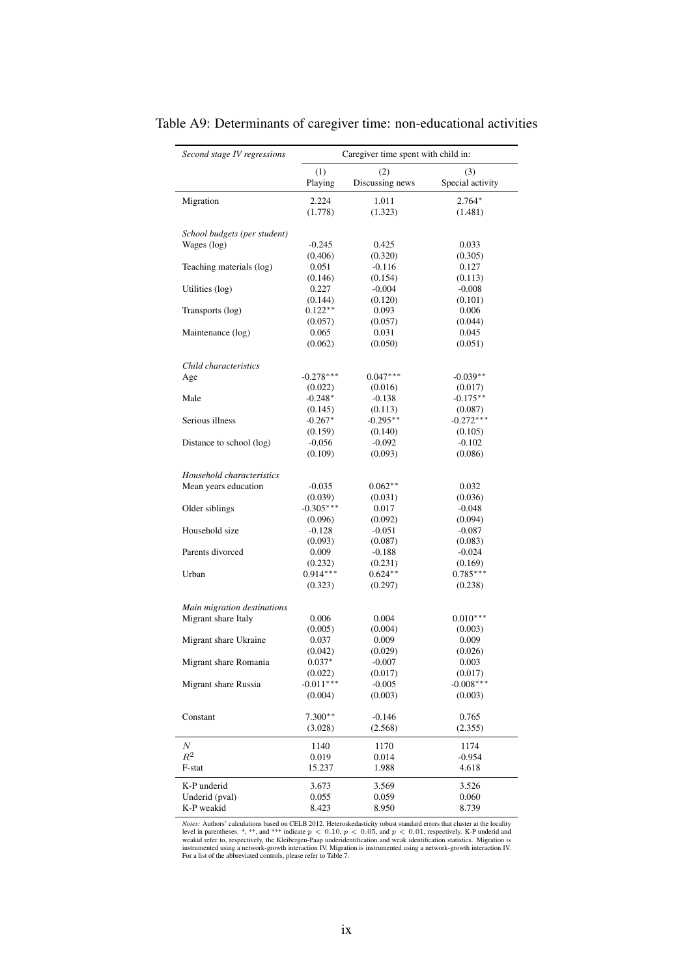| Second stage IV regressions  |                     | Caregiver time spent with child in: |                         |
|------------------------------|---------------------|-------------------------------------|-------------------------|
|                              | (1)<br>Playing      | (2)<br>Discussing news              | (3)<br>Special activity |
| Migration                    | 2.224<br>(1.778)    | 1.011<br>(1.323)                    | $2.764*$<br>(1.481)     |
| School budgets (per student) |                     |                                     |                         |
| Wages (log)                  | $-0.245$            | 0.425                               | 0.033                   |
|                              | (0.406)             | (0.320)                             | (0.305)                 |
| Teaching materials (log)     | 0.051               | $-0.116$                            | 0.127                   |
|                              | (0.146)             | (0.154)                             | (0.113)                 |
| Utilities (log)              | 0.227               | $-0.004$                            | $-0.008$                |
|                              | (0.144)             | (0.120)                             | (0.101)                 |
| Transports (log)             | $0.122**$           | 0.093                               | 0.006                   |
|                              | (0.057)             | (0.057)                             | (0.044)                 |
| Maintenance (log)            | 0.065               | 0.031                               | 0.045                   |
|                              | (0.062)             | (0.050)                             | (0.051)                 |
| Child characteristics        |                     |                                     |                         |
| Age                          | $-0.278***$         | $0.047***$                          | $-0.039**$              |
|                              | (0.022)             | (0.016)                             | (0.017)                 |
| Male                         | $-0.248*$           | $-0.138$                            | $-0.175**$              |
| Serious illness              | (0.145)             | (0.113)                             | (0.087)<br>$-0.272***$  |
|                              | $-0.267*$           | $-0.295**$<br>(0.140)               |                         |
| Distance to school (log)     | (0.159)<br>$-0.056$ | $-0.092$                            | (0.105)<br>$-0.102$     |
|                              | (0.109)             | (0.093)                             | (0.086)                 |
| Household characteristics    |                     |                                     |                         |
| Mean years education         | $-0.035$            | $0.062**$                           | 0.032                   |
|                              | (0.039)             | (0.031)                             | (0.036)                 |
| Older siblings               | $-0.305***$         | 0.017                               | $-0.048$                |
|                              | (0.096)             | (0.092)                             | (0.094)                 |
| Household size               | $-0.128$            | $-0.051$                            | $-0.087$                |
|                              | (0.093)             | (0.087)                             | (0.083)                 |
| Parents divorced             | 0.009               | $-0.188$                            | $-0.024$                |
|                              | (0.232)             | (0.231)                             | (0.169)                 |
| Urban                        | $0.914***$          | $0.624**$                           | $0.785***$              |
|                              | (0.323)             | (0.297)                             | (0.238)                 |
| Main migration destinations  |                     |                                     |                         |
| Migrant share Italy          | 0.006               | 0.004                               | $0.010***$              |
|                              | (0.005)             | (0.004)                             | (0.003)                 |
| Migrant share Ukraine        | 0.037               | 0.009                               | 0.009                   |
|                              | (0.042)             | (0.029)                             | (0.026)                 |
| Migrant share Romania        | $0.037*$<br>(0.022) | $-0.007$<br>(0.017)                 | 0.003<br>(0.017)        |
| Migrant share Russia         | $-0.011***$         | $-0.005$                            | $-0.008***$             |
|                              | (0.004)             | (0.003)                             | (0.003)                 |
| Constant                     | $7.300**$           | $-0.146$                            | 0.765                   |
|                              | (3.028)             | (2.568)                             | (2.355)                 |
| $_{N}$                       | 1140                | 1170                                | 1174                    |
| $\mathbb{R}^2$               | 0.019               | 0.014                               | $-0.954$                |
| F-stat                       | 15.237              | 1.988                               | 4.618                   |
| K-P underid                  | 3.673               | 3.569                               | 3.526                   |
| Underid (pval)               | 0.055               | 0.059                               | 0.060                   |
| K-P weakid                   | 8.423               | 8.950                               | 8.739                   |

#### <span id="page-45-0"></span>Table A9: Determinants of caregiver time: non-educational activities

*Notes:* Authors' calculations based on CELB 2012. Heteroskedasticity robust standard errors that cluster at the locality<br>level in parentheses. \*, \*\*, and \*\*\* indicate  $p < 0.10$ ,  $p < 0.05$ , and  $p < 0.01$ , respectively. K-